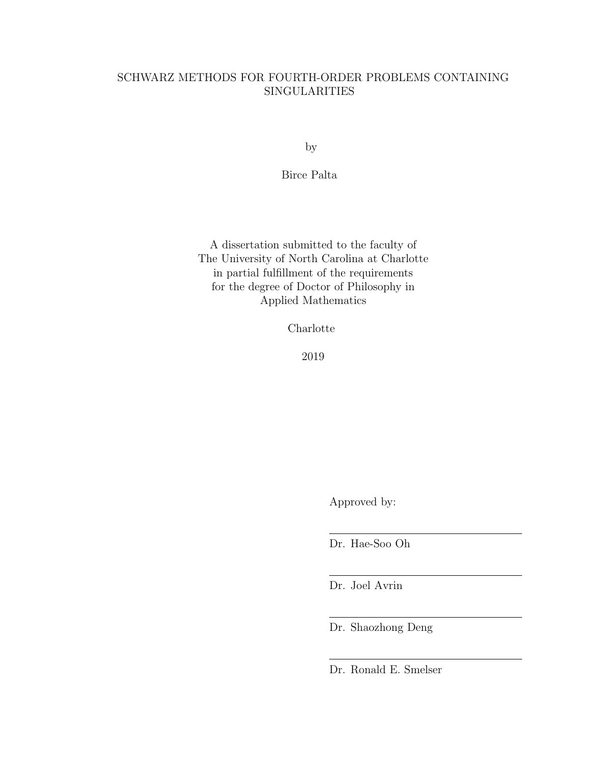# SCHWARZ METHODS FOR FOURTH-ORDER PROBLEMS CONTAINING **SINGULARITIES**

by

Birce Palta

A dissertation submitted to the faculty of The University of North Carolina at Charlotte in partial fulfillment of the requirements for the degree of Doctor of Philosophy in Applied Mathematics

Charlotte

2019

Approved by:

Dr. Hae-Soo Oh

Dr. Joel Avrin

Dr. Shaozhong Deng

Dr. Ronald E. Smelser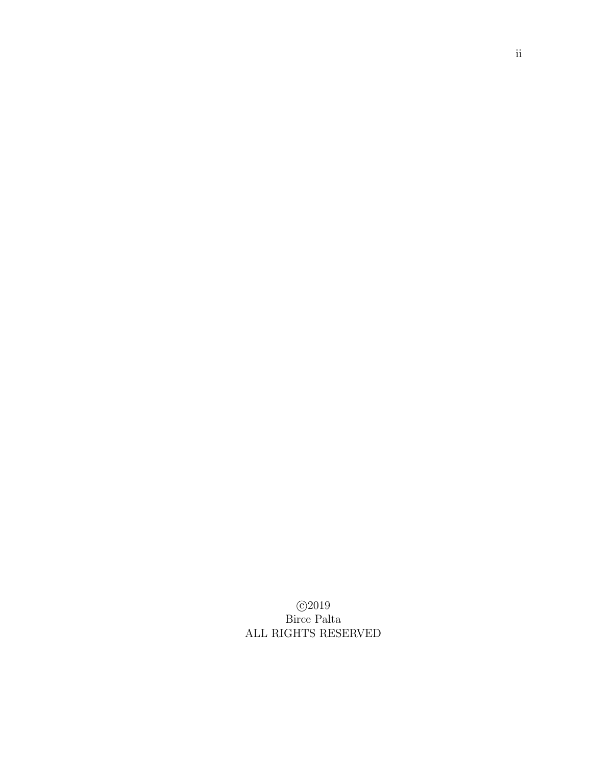c 2019 Birce Palta ALL RIGHTS RESERVED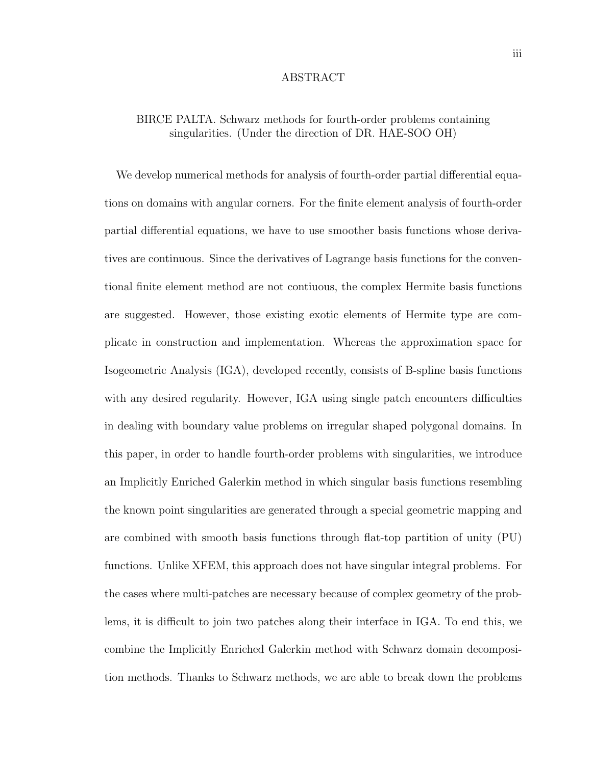#### ABSTRACT

# BIRCE PALTA. Schwarz methods for fourth-order problems containing singularities. (Under the direction of DR. HAE-SOO OH)

We develop numerical methods for analysis of fourth-order partial differential equations on domains with angular corners. For the finite element analysis of fourth-order partial differential equations, we have to use smoother basis functions whose derivatives are continuous. Since the derivatives of Lagrange basis functions for the conventional finite element method are not contiuous, the complex Hermite basis functions are suggested. However, those existing exotic elements of Hermite type are complicate in construction and implementation. Whereas the approximation space for Isogeometric Analysis (IGA), developed recently, consists of B-spline basis functions with any desired regularity. However, IGA using single patch encounters difficulties in dealing with boundary value problems on irregular shaped polygonal domains. In this paper, in order to handle fourth-order problems with singularities, we introduce an Implicitly Enriched Galerkin method in which singular basis functions resembling the known point singularities are generated through a special geometric mapping and are combined with smooth basis functions through flat-top partition of unity (PU) functions. Unlike XFEM, this approach does not have singular integral problems. For the cases where multi-patches are necessary because of complex geometry of the problems, it is difficult to join two patches along their interface in IGA. To end this, we combine the Implicitly Enriched Galerkin method with Schwarz domain decomposition methods. Thanks to Schwarz methods, we are able to break down the problems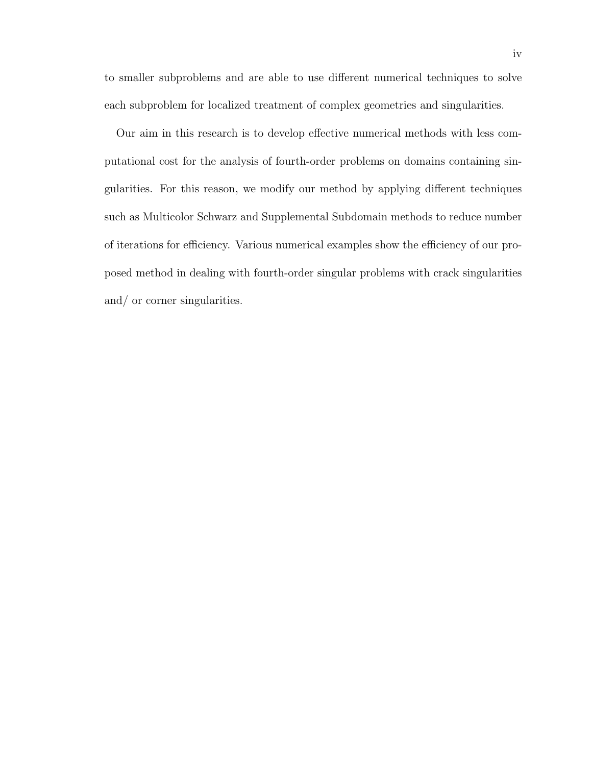to smaller subproblems and are able to use different numerical techniques to solve each subproblem for localized treatment of complex geometries and singularities.

Our aim in this research is to develop effective numerical methods with less computational cost for the analysis of fourth-order problems on domains containing singularities. For this reason, we modify our method by applying different techniques such as Multicolor Schwarz and Supplemental Subdomain methods to reduce number of iterations for efficiency. Various numerical examples show the efficiency of our proposed method in dealing with fourth-order singular problems with crack singularities and/ or corner singularities.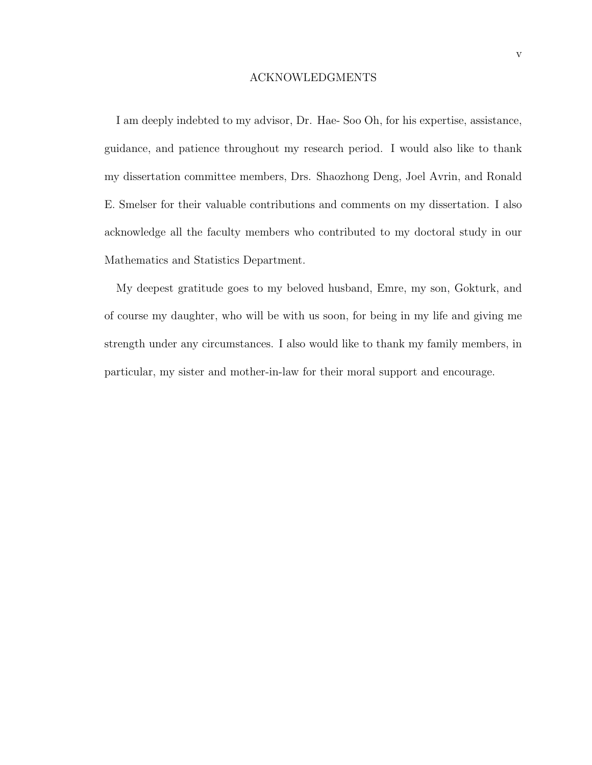### ACKNOWLEDGMENTS

I am deeply indebted to my advisor, Dr. Hae- Soo Oh, for his expertise, assistance, guidance, and patience throughout my research period. I would also like to thank my dissertation committee members, Drs. Shaozhong Deng, Joel Avrin, and Ronald E. Smelser for their valuable contributions and comments on my dissertation. I also acknowledge all the faculty members who contributed to my doctoral study in our Mathematics and Statistics Department.

My deepest gratitude goes to my beloved husband, Emre, my son, Gokturk, and of course my daughter, who will be with us soon, for being in my life and giving me strength under any circumstances. I also would like to thank my family members, in particular, my sister and mother-in-law for their moral support and encourage.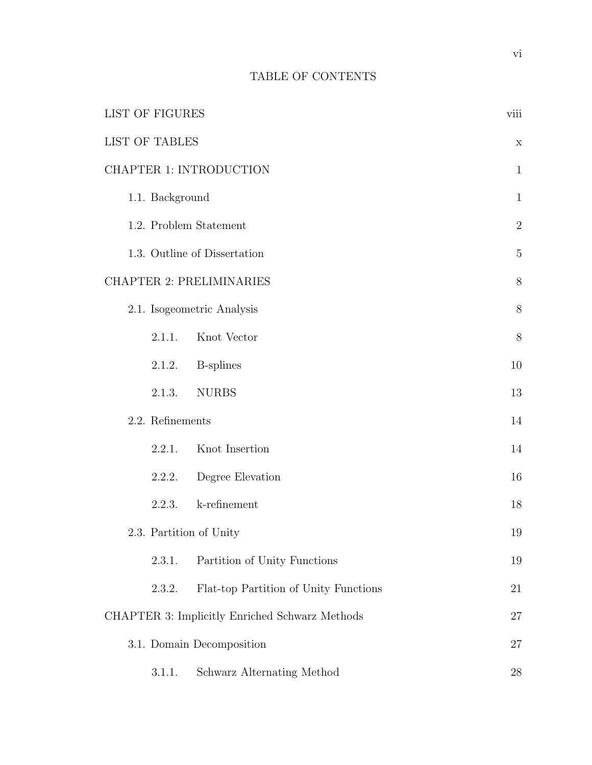# TABLE OF CONTENTS

| <b>LIST OF FIGURES</b> |                                                | viii         |
|------------------------|------------------------------------------------|--------------|
| <b>LIST OF TABLES</b>  |                                                | $\mathbf X$  |
|                        | CHAPTER 1: INTRODUCTION                        | $\mathbf{1}$ |
| 1.1. Background        |                                                | $\mathbf{1}$ |
|                        | 1.2. Problem Statement                         | $\sqrt{2}$   |
|                        | 1.3. Outline of Dissertation                   | $\mathbf 5$  |
|                        | <b>CHAPTER 2: PRELIMINARIES</b>                | $8\,$        |
|                        | 2.1. Isogeometric Analysis                     | 8            |
| 2.1.1.                 | Knot Vector                                    | 8            |
| 2.1.2.                 | <b>B</b> -splines                              | $10\,$       |
| 2.1.3.                 | <b>NURBS</b>                                   | 13           |
| 2.2. Refinements       |                                                | 14           |
| 2.2.1.                 | Knot Insertion                                 | 14           |
| 2.2.2.                 | Degree Elevation                               | 16           |
| 2.2.3.                 | k-refinement                                   | 18           |
|                        | 2.3. Partition of Unity                        | 19           |
| 2.3.1.                 | Partition of Unity Functions                   | 19           |
| 2.3.2.                 | Flat-top Partition of Unity Functions          | 21           |
|                        | CHAPTER 3: Implicitly Enriched Schwarz Methods | 27           |
|                        | 3.1. Domain Decomposition                      | 27           |
| 3.1.1.                 | Schwarz Alternating Method                     | 28           |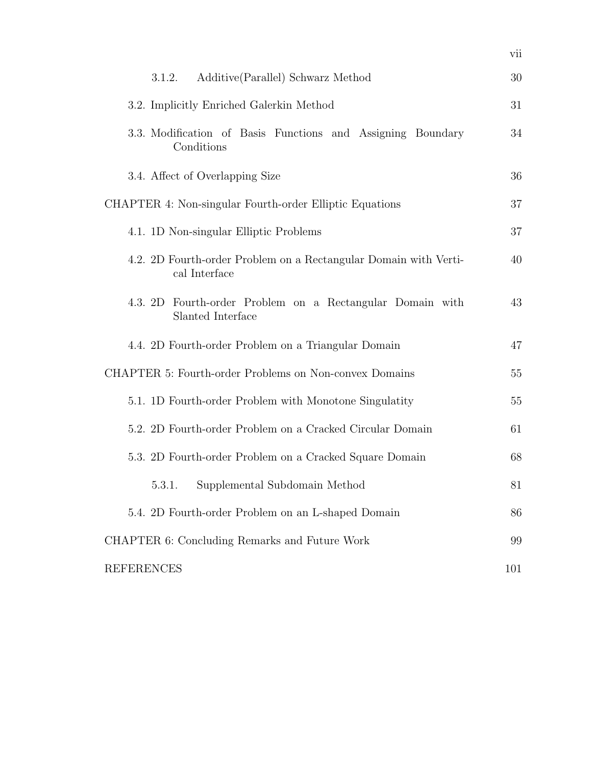| Additive (Parallel) Schwarz Method<br>3.1.2.                                        | 30  |
|-------------------------------------------------------------------------------------|-----|
| 3.2. Implicitly Enriched Galerkin Method                                            | 31  |
| 3.3. Modification of Basis Functions and Assigning Boundary<br>Conditions           | 34  |
| 3.4. Affect of Overlapping Size                                                     | 36  |
| CHAPTER 4: Non-singular Fourth-order Elliptic Equations                             | 37  |
| 4.1. 1D Non-singular Elliptic Problems                                              | 37  |
| 4.2. 2D Fourth-order Problem on a Rectangular Domain with Verti-<br>cal Interface   | 40  |
| Fourth-order Problem on a Rectangular Domain with<br>4.3. $2D$<br>Slanted Interface | 43  |
| 4.4. 2D Fourth-order Problem on a Triangular Domain                                 | 47  |
| CHAPTER 5: Fourth-order Problems on Non-convex Domains                              | 55  |
| 5.1. 1D Fourth-order Problem with Monotone Singulatity                              | 55  |
| 5.2. 2D Fourth-order Problem on a Cracked Circular Domain                           | 61  |
| 5.3. 2D Fourth-order Problem on a Cracked Square Domain                             | 68  |
| Supplemental Subdomain Method<br>5.3.1.                                             | 81  |
| 5.4. 2D Fourth-order Problem on an L-shaped Domain                                  | 86  |
| CHAPTER 6: Concluding Remarks and Future Work                                       | 99  |
| <b>REFERENCES</b>                                                                   | 101 |

vii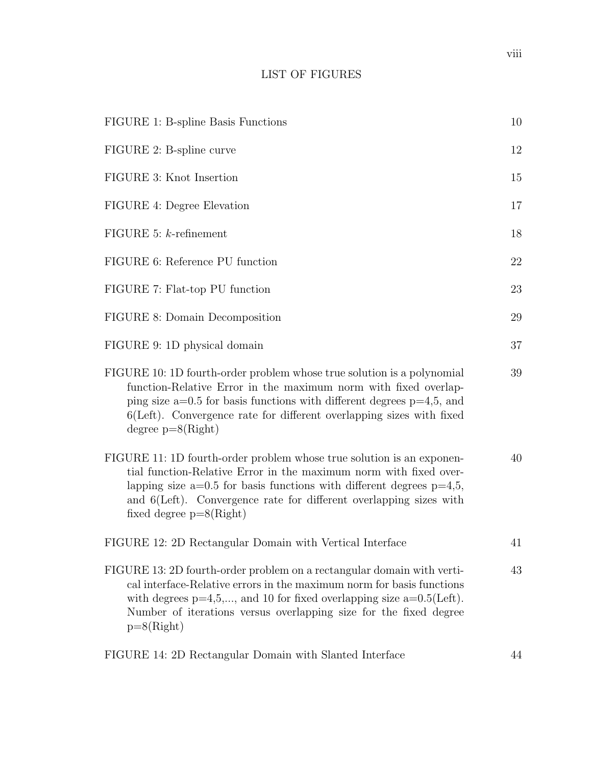# LIST OF FIGURES

| FIGURE 1: B-spline Basis Functions                                                                                                                                                                                                                                                                                         | 10 |
|----------------------------------------------------------------------------------------------------------------------------------------------------------------------------------------------------------------------------------------------------------------------------------------------------------------------------|----|
| FIGURE 2: B-spline curve                                                                                                                                                                                                                                                                                                   | 12 |
| FIGURE 3: Knot Insertion                                                                                                                                                                                                                                                                                                   | 15 |
| FIGURE 4: Degree Elevation                                                                                                                                                                                                                                                                                                 | 17 |
| FIGURE 5: $k$ -refinement                                                                                                                                                                                                                                                                                                  | 18 |
| FIGURE 6: Reference PU function                                                                                                                                                                                                                                                                                            | 22 |
| FIGURE 7: Flat-top PU function                                                                                                                                                                                                                                                                                             | 23 |
| FIGURE 8: Domain Decomposition                                                                                                                                                                                                                                                                                             | 29 |
| FIGURE 9: 1D physical domain                                                                                                                                                                                                                                                                                               | 37 |
| FIGURE 10: 1D fourth-order problem whose true solution is a polynomial<br>function-Relative Error in the maximum norm with fixed overlap-<br>ping size $a=0.5$ for basis functions with different degrees $p=4,5$ , and<br>$6(Left)$ . Convergence rate for different overlapping sizes with fixed<br>degree $p=8(Right)$  | 39 |
| FIGURE 11: 1D fourth-order problem whose true solution is an exponen-<br>tial function-Relative Error in the maximum norm with fixed over-<br>lapping size $a=0.5$ for basis functions with different degrees $p=4,5$ ,<br>and 6(Left). Convergence rate for different overlapping sizes with<br>fixed degree $p=8(Right)$ | 40 |
| FIGURE 12: 2D Rectangular Domain with Vertical Interface                                                                                                                                                                                                                                                                   | 41 |
| FIGURE 13: 2D fourth-order problem on a rectangular domain with verti-<br>cal interface-Relative errors in the maximum norm for basis functions<br>with degrees $p=4,5,$ , and 10 for fixed overlapping size $a=0.5$ (Left).<br>Number of iterations versus overlapping size for the fixed degree<br>$p=8(Right)$          | 43 |
| FIGURE 14: 2D Rectangular Domain with Slanted Interface                                                                                                                                                                                                                                                                    | 44 |

viii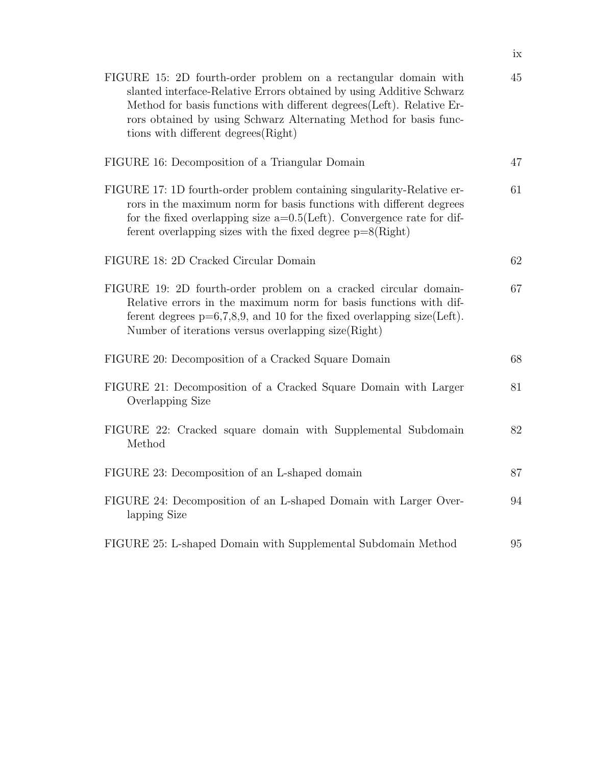| FIGURE 15: 2D fourth-order problem on a rectangular domain with<br>slanted interface-Relative Errors obtained by using Additive Schwarz<br>Method for basis functions with different degrees (Left). Relative Er-<br>rors obtained by using Schwarz Alternating Method for basis func-<br>tions with different degrees(Right) | 45 |
|-------------------------------------------------------------------------------------------------------------------------------------------------------------------------------------------------------------------------------------------------------------------------------------------------------------------------------|----|
| FIGURE 16: Decomposition of a Triangular Domain                                                                                                                                                                                                                                                                               | 47 |
| FIGURE 17: 1D fourth-order problem containing singularity-Relative er-<br>rors in the maximum norm for basis functions with different degrees<br>for the fixed overlapping size $a=0.5$ (Left). Convergence rate for dif-<br>ferent overlapping sizes with the fixed degree $p=8(Right)$                                      | 61 |
| FIGURE 18: 2D Cracked Circular Domain                                                                                                                                                                                                                                                                                         | 62 |
| FIGURE 19: 2D fourth-order problem on a cracked circular domain-<br>Relative errors in the maximum norm for basis functions with dif-<br>ferent degrees $p=6,7,8,9$ , and 10 for the fixed overlapping size(Left).<br>Number of iterations versus overlapping size(Right)                                                     | 67 |
| FIGURE 20: Decomposition of a Cracked Square Domain                                                                                                                                                                                                                                                                           | 68 |
| FIGURE 21: Decomposition of a Cracked Square Domain with Larger<br>Overlapping Size                                                                                                                                                                                                                                           | 81 |
| FIGURE 22: Cracked square domain with Supplemental Subdomain<br>Method                                                                                                                                                                                                                                                        | 82 |
| FIGURE 23: Decomposition of an L-shaped domain                                                                                                                                                                                                                                                                                | 87 |
| FIGURE 24: Decomposition of an L-shaped Domain with Larger Over-<br>lapping Size                                                                                                                                                                                                                                              | 94 |
| FIGURE 25: L-shaped Domain with Supplemental Subdomain Method                                                                                                                                                                                                                                                                 | 95 |

ix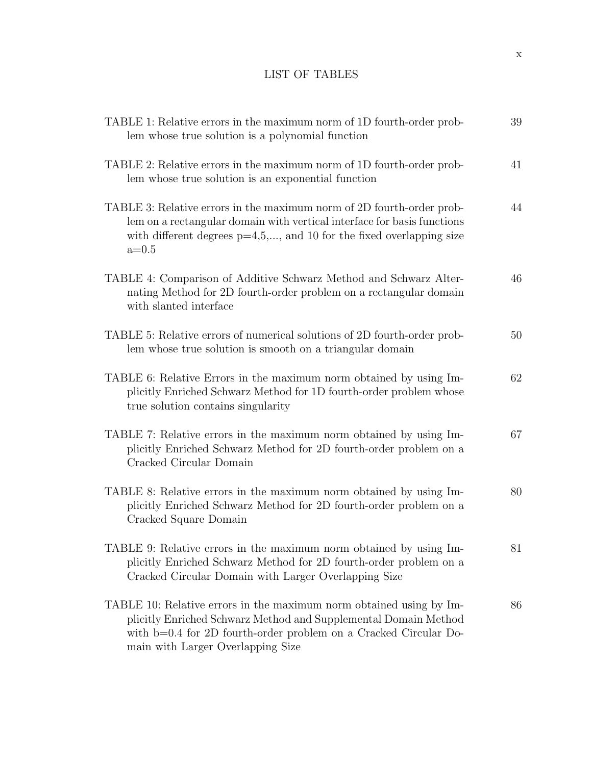# LIST OF TABLES

| TABLE 1: Relative errors in the maximum norm of 1D fourth-order prob-<br>lem whose true solution is a polynomial function                                                                                                                       | 39 |
|-------------------------------------------------------------------------------------------------------------------------------------------------------------------------------------------------------------------------------------------------|----|
| TABLE 2: Relative errors in the maximum norm of 1D fourth-order prob-<br>lem whose true solution is an exponential function                                                                                                                     | 41 |
| TABLE 3: Relative errors in the maximum norm of 2D fourth-order prob-<br>lem on a rectangular domain with vertical interface for basis functions<br>with different degrees $p=4,5,$ , and 10 for the fixed overlapping size<br>$a=0.5$          | 44 |
| TABLE 4: Comparison of Additive Schwarz Method and Schwarz Alter-<br>nating Method for 2D fourth-order problem on a rectangular domain<br>with slanted interface                                                                                | 46 |
| TABLE 5: Relative errors of numerical solutions of 2D fourth-order prob-<br>lem whose true solution is smooth on a triangular domain                                                                                                            | 50 |
| TABLE 6: Relative Errors in the maximum norm obtained by using Im-<br>plicitly Enriched Schwarz Method for 1D fourth-order problem whose<br>true solution contains singularity                                                                  | 62 |
| TABLE 7: Relative errors in the maximum norm obtained by using Im-<br>plicitly Enriched Schwarz Method for 2D fourth-order problem on a<br>Cracked Circular Domain                                                                              | 67 |
| TABLE 8: Relative errors in the maximum norm obtained by using Im-<br>plicitly Enriched Schwarz Method for 2D fourth-order problem on a<br>Cracked Square Domain                                                                                | 80 |
| TABLE 9: Relative errors in the maximum norm obtained by using Im-<br>plicitly Enriched Schwarz Method for 2D fourth-order problem on a<br>Cracked Circular Domain with Larger Overlapping Size                                                 | 81 |
| TABLE 10: Relative errors in the maximum norm obtained using by Im-<br>plicitly Enriched Schwarz Method and Supplemental Domain Method<br>with b=0.4 for 2D fourth-order problem on a Cracked Circular Do-<br>main with Larger Overlapping Size | 86 |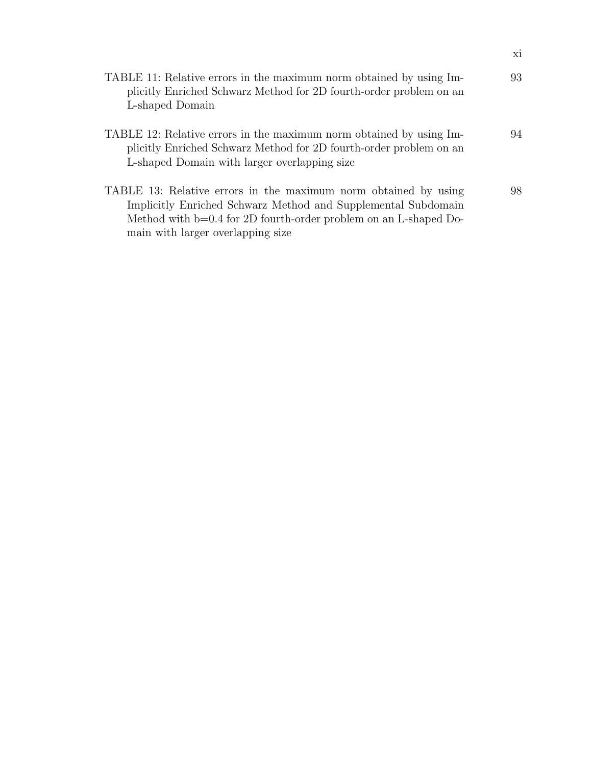| TABLE 11: Relative errors in the maximum norm obtained by using Im-<br>plicitly Enriched Schwarz Method for 2D fourth-order problem on an<br>L-shaped Domain                                                                                | 93 |
|---------------------------------------------------------------------------------------------------------------------------------------------------------------------------------------------------------------------------------------------|----|
| TABLE 12: Relative errors in the maximum norm obtained by using Im-<br>plicitly Enriched Schwarz Method for 2D fourth-order problem on an<br>L-shaped Domain with larger overlapping size                                                   | 94 |
| TABLE 13: Relative errors in the maximum norm obtained by using<br>Implicitly Enriched Schwarz Method and Supplemental Subdomain<br>Method with $b=0.4$ for 2D fourth-order problem on an L-shaped Do-<br>main with larger overlapping size | 98 |

xi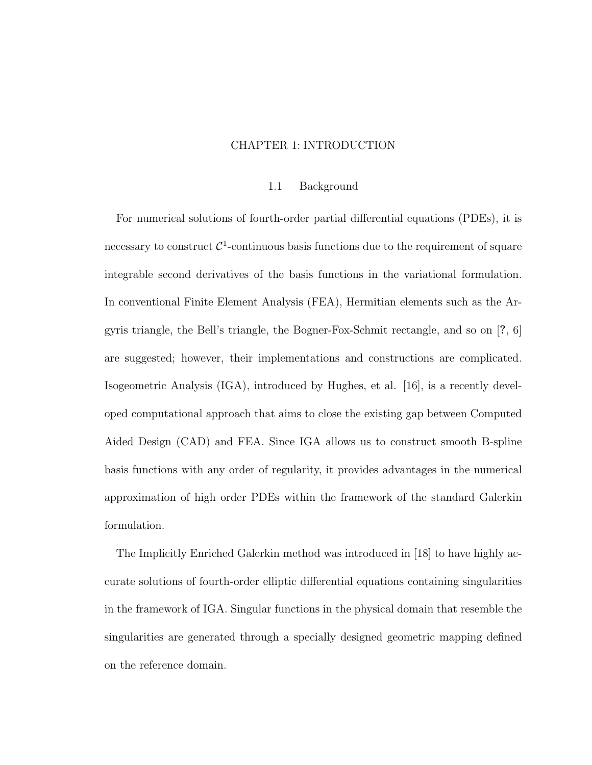## CHAPTER 1: INTRODUCTION

#### 1.1 Background

For numerical solutions of fourth-order partial differential equations (PDEs), it is necessary to construct  $C^1$ -continuous basis functions due to the requirement of square integrable second derivatives of the basis functions in the variational formulation. In conventional Finite Element Analysis (FEA), Hermitian elements such as the Argyris triangle, the Bell's triangle, the Bogner-Fox-Schmit rectangle, and so on [?, 6] are suggested; however, their implementations and constructions are complicated. Isogeometric Analysis (IGA), introduced by Hughes, et al. [16], is a recently developed computational approach that aims to close the existing gap between Computed Aided Design (CAD) and FEA. Since IGA allows us to construct smooth B-spline basis functions with any order of regularity, it provides advantages in the numerical approximation of high order PDEs within the framework of the standard Galerkin formulation.

The Implicitly Enriched Galerkin method was introduced in [18] to have highly accurate solutions of fourth-order elliptic differential equations containing singularities in the framework of IGA. Singular functions in the physical domain that resemble the singularities are generated through a specially designed geometric mapping defined on the reference domain.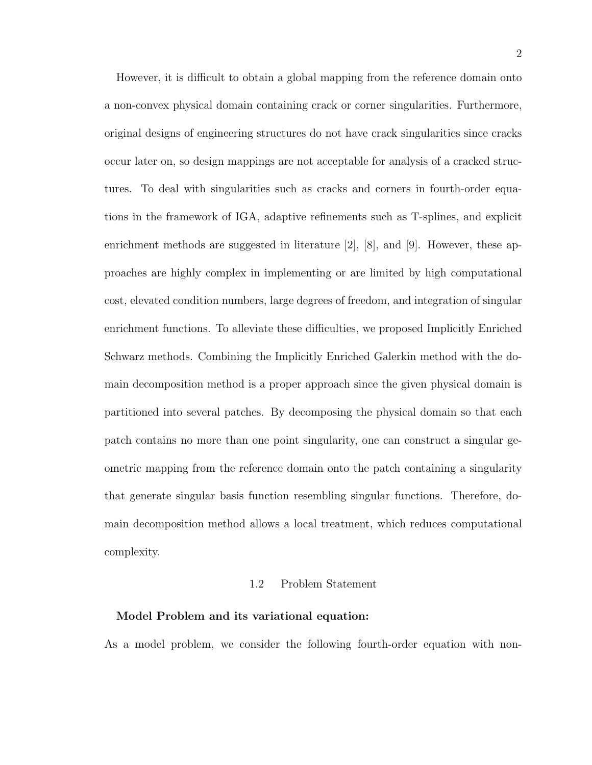However, it is difficult to obtain a global mapping from the reference domain onto a non-convex physical domain containing crack or corner singularities. Furthermore, original designs of engineering structures do not have crack singularities since cracks occur later on, so design mappings are not acceptable for analysis of a cracked structures. To deal with singularities such as cracks and corners in fourth-order equations in the framework of IGA, adaptive refinements such as T-splines, and explicit enrichment methods are suggested in literature [2], [8], and [9]. However, these approaches are highly complex in implementing or are limited by high computational cost, elevated condition numbers, large degrees of freedom, and integration of singular enrichment functions. To alleviate these difficulties, we proposed Implicitly Enriched Schwarz methods. Combining the Implicitly Enriched Galerkin method with the domain decomposition method is a proper approach since the given physical domain is partitioned into several patches. By decomposing the physical domain so that each patch contains no more than one point singularity, one can construct a singular geometric mapping from the reference domain onto the patch containing a singularity that generate singular basis function resembling singular functions. Therefore, domain decomposition method allows a local treatment, which reduces computational complexity.

## 1.2 Problem Statement

#### Model Problem and its variational equation:

As a model problem, we consider the following fourth-order equation with non-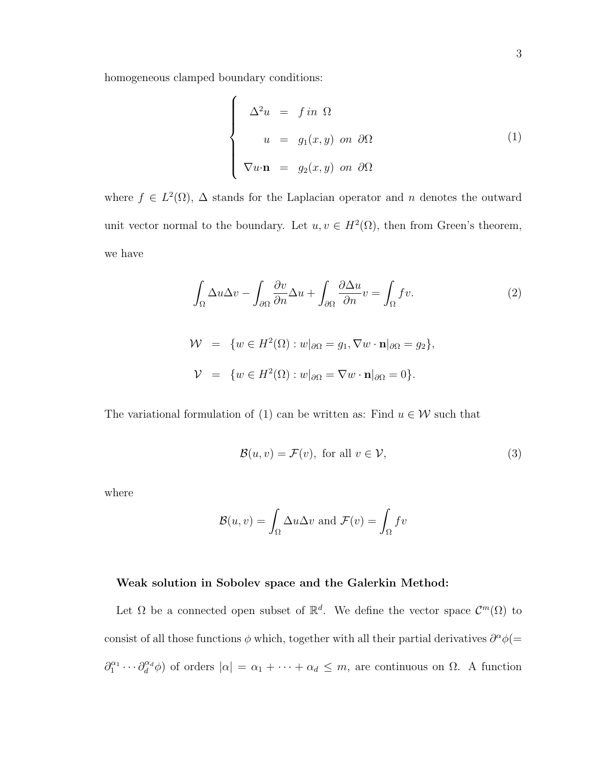homogeneous clamped boundary conditions:

$$
\begin{cases}\n\Delta^2 u = f \text{ in } \Omega \\
u = g_1(x, y) \text{ on } \partial\Omega \\
\nabla u \cdot \mathbf{n} = g_2(x, y) \text{ on } \partial\Omega\n\end{cases}
$$
\n(1)

where  $f \in L^2(\Omega)$ ,  $\Delta$  stands for the Laplacian operator and n denotes the outward unit vector normal to the boundary. Let  $u, v \in H^2(\Omega)$ , then from Green's theorem, we have

$$
\int_{\Omega} \Delta u \Delta v - \int_{\partial \Omega} \frac{\partial v}{\partial n} \Delta u + \int_{\partial \Omega} \frac{\partial \Delta u}{\partial n} v = \int_{\Omega} fv.
$$
\n
$$
\mathcal{W} = \{ w \in H^{2}(\Omega) : w|_{\partial \Omega} = g_{1}, \nabla w \cdot \mathbf{n}|_{\partial \Omega} = g_{2} \},
$$
\n
$$
\mathcal{V} = \{ w \in H^{2}(\Omega) : w|_{\partial \Omega} = \nabla w \cdot \mathbf{n}|_{\partial \Omega} = 0 \}.
$$
\n(2)

The variational formulation of (1) can be written as: Find  $u \in \mathcal{W}$  such that

$$
\mathcal{B}(u, v) = \mathcal{F}(v), \text{ for all } v \in \mathcal{V}, \tag{3}
$$

where

$$
\mathcal{B}(u,v) = \int_{\Omega} \Delta u \Delta v \text{ and } \mathcal{F}(v) = \int_{\Omega} fv
$$

### Weak solution in Sobolev space and the Galerkin Method:

Let  $\Omega$  be a connected open subset of  $\mathbb{R}^d$ . We define the vector space  $\mathcal{C}^m(\Omega)$  to consist of all those functions  $\phi$  which, together with all their partial derivatives  $\partial^{\alpha}\phi(=$  $\partial_1^{\alpha_1}\cdots\partial_d^{\alpha_d}\phi$  of orders  $|\alpha| = \alpha_1+\cdots+\alpha_d \leq m$ , are continuous on  $\Omega$ . A function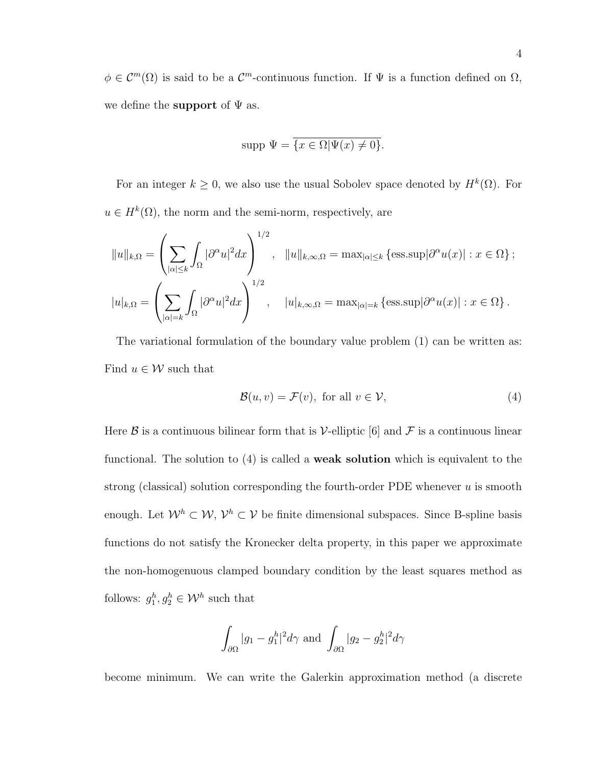$\phi \in C^m(\Omega)$  is said to be a  $C^m$ -continuous function. If  $\Psi$  is a function defined on  $\Omega$ , we define the **support** of  $\Psi$  as.

$$
supp \Psi = \overline{\{x \in \Omega | \Psi(x) \neq 0\}}.
$$

For an integer  $k \geq 0$ , we also use the usual Sobolev space denoted by  $H^k(\Omega)$ . For  $u \in H^k(\Omega)$ , the norm and the semi-norm, respectively, are

$$
||u||_{k,\Omega} = \left(\sum_{|\alpha| \le k} \int_{\Omega} |\partial^{\alpha} u|^2 dx\right)^{1/2}, \quad ||u||_{k,\infty,\Omega} = \max_{|\alpha| \le k} \left\{ \operatorname{ess.} \sup |\partial^{\alpha} u(x)| : x \in \Omega \right\};
$$
  

$$
|u|_{k,\Omega} = \left(\sum_{|\alpha|=k} \int_{\Omega} |\partial^{\alpha} u|^2 dx\right)^{1/2}, \quad |u|_{k,\infty,\Omega} = \max_{|\alpha|=k} \left\{ \operatorname{ess.} \sup |\partial^{\alpha} u(x)| : x \in \Omega \right\}.
$$

The variational formulation of the boundary value problem (1) can be written as: Find  $u \in \mathcal{W}$  such that

$$
\mathcal{B}(u, v) = \mathcal{F}(v), \text{ for all } v \in \mathcal{V}, \tag{4}
$$

Here  $\beta$  is a continuous bilinear form that is V-elliptic [6] and  $\mathcal F$  is a continuous linear functional. The solution to (4) is called a weak solution which is equivalent to the strong (classical) solution corresponding the fourth-order PDE whenever  $u$  is smooth enough. Let  $\mathcal{W}^h \subset \mathcal{W}, \mathcal{V}^h \subset \mathcal{V}$  be finite dimensional subspaces. Since B-spline basis functions do not satisfy the Kronecker delta property, in this paper we approximate the non-homogenuous clamped boundary condition by the least squares method as follows:  $g_1^h, g_2^h \in \mathcal{W}^h$  such that

$$
\int_{\partial\Omega} |g_1 - g_1^h|^2 d\gamma \text{ and } \int_{\partial\Omega} |g_2 - g_2^h|^2 d\gamma
$$

become minimum. We can write the Galerkin approximation method (a discrete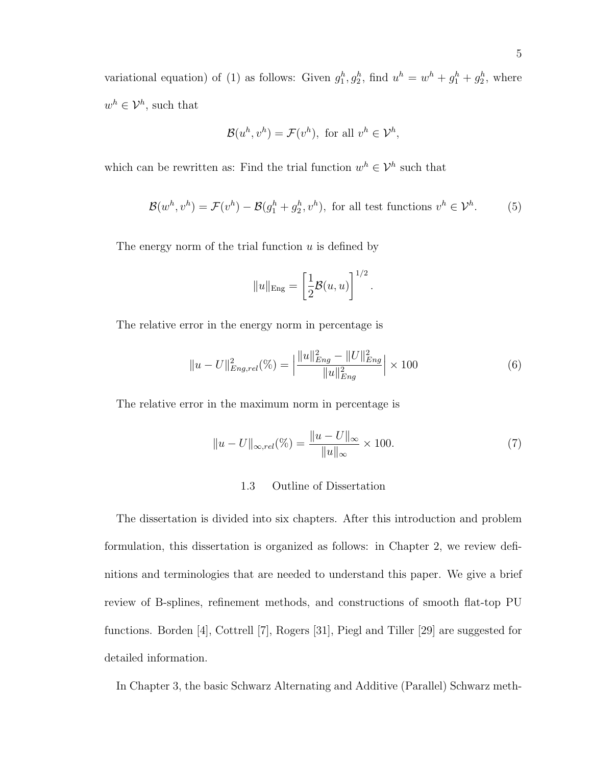variational equation) of (1) as follows: Given  $g_1^h, g_2^h$ , find  $u^h = w^h + g_1^h + g_2^h$ , where  $w^h \in \mathcal{V}^h$ , such that

$$
\mathcal{B}(u^h, v^h) = \mathcal{F}(v^h), \text{ for all } v^h \in \mathcal{V}^h,
$$

which can be rewritten as: Find the trial function  $w^h \in \mathcal{V}^h$  such that

$$
\mathcal{B}(w^h, v^h) = \mathcal{F}(v^h) - \mathcal{B}(g_1^h + g_2^h, v^h), \text{ for all test functions } v^h \in \mathcal{V}^h.
$$
 (5)

The energy norm of the trial function  $u$  is defined by

$$
||u||_{\text{Eng}} = \left[\frac{1}{2}\mathcal{B}(u, u)\right]^{1/2}.
$$

The relative error in the energy norm in percentage is

$$
||u - U||_{Eng, rel}^{2}(\%) = \left| \frac{||u||_{Eng}^{2} - ||U||_{Eng}^{2}}{||u||_{Eng}^{2}} \right| \times 100
$$
\n(6)

The relative error in the maximum norm in percentage is

$$
||u - U||_{\infty, rel}(\%) = \frac{||u - U||_{\infty}}{||u||_{\infty}} \times 100.
$$
 (7)

#### 1.3 Outline of Dissertation

The dissertation is divided into six chapters. After this introduction and problem formulation, this dissertation is organized as follows: in Chapter 2, we review definitions and terminologies that are needed to understand this paper. We give a brief review of B-splines, refinement methods, and constructions of smooth flat-top PU functions. Borden [4], Cottrell [7], Rogers [31], Piegl and Tiller [29] are suggested for detailed information.

In Chapter 3, the basic Schwarz Alternating and Additive (Parallel) Schwarz meth-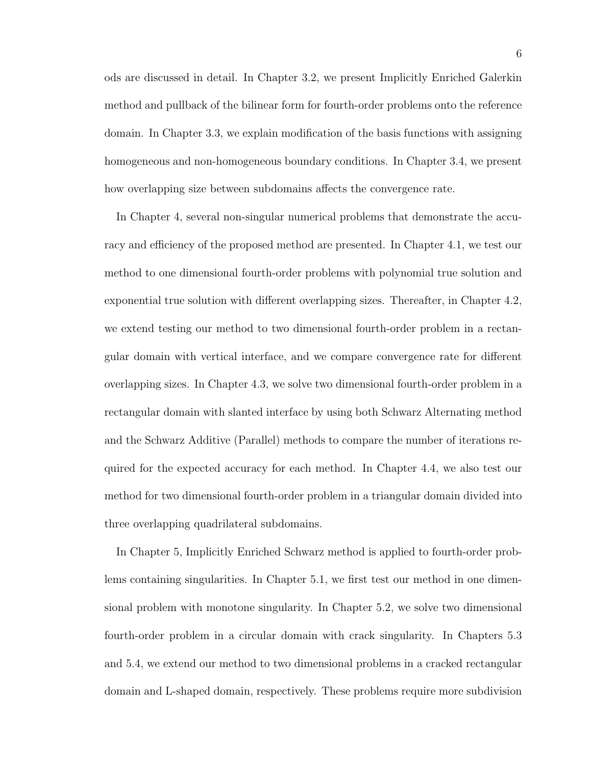ods are discussed in detail. In Chapter 3.2, we present Implicitly Enriched Galerkin method and pullback of the bilinear form for fourth-order problems onto the reference domain. In Chapter 3.3, we explain modification of the basis functions with assigning homogeneous and non-homogeneous boundary conditions. In Chapter 3.4, we present how overlapping size between subdomains affects the convergence rate.

In Chapter 4, several non-singular numerical problems that demonstrate the accuracy and efficiency of the proposed method are presented. In Chapter 4.1, we test our method to one dimensional fourth-order problems with polynomial true solution and exponential true solution with different overlapping sizes. Thereafter, in Chapter 4.2, we extend testing our method to two dimensional fourth-order problem in a rectangular domain with vertical interface, and we compare convergence rate for different overlapping sizes. In Chapter 4.3, we solve two dimensional fourth-order problem in a rectangular domain with slanted interface by using both Schwarz Alternating method and the Schwarz Additive (Parallel) methods to compare the number of iterations required for the expected accuracy for each method. In Chapter 4.4, we also test our method for two dimensional fourth-order problem in a triangular domain divided into three overlapping quadrilateral subdomains.

In Chapter 5, Implicitly Enriched Schwarz method is applied to fourth-order problems containing singularities. In Chapter 5.1, we first test our method in one dimensional problem with monotone singularity. In Chapter 5.2, we solve two dimensional fourth-order problem in a circular domain with crack singularity. In Chapters 5.3 and 5.4, we extend our method to two dimensional problems in a cracked rectangular domain and L-shaped domain, respectively. These problems require more subdivision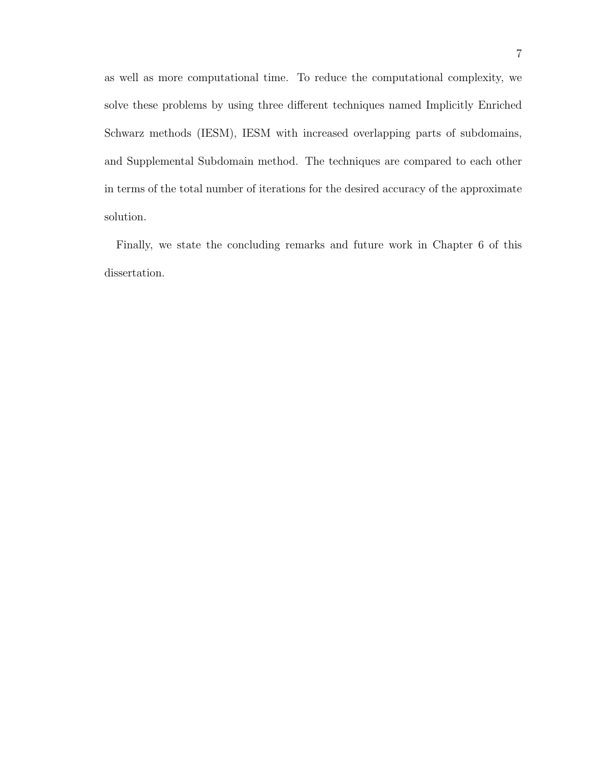as well as more computational time. To reduce the computational complexity, we solve these problems by using three different techniques named Implicitly Enriched Schwarz methods (IESM), IESM with increased overlapping parts of subdomains, and Supplemental Subdomain method. The techniques are compared to each other in terms of the total number of iterations for the desired accuracy of the approximate solution.

Finally, we state the concluding remarks and future work in Chapter 6 of this dissertation.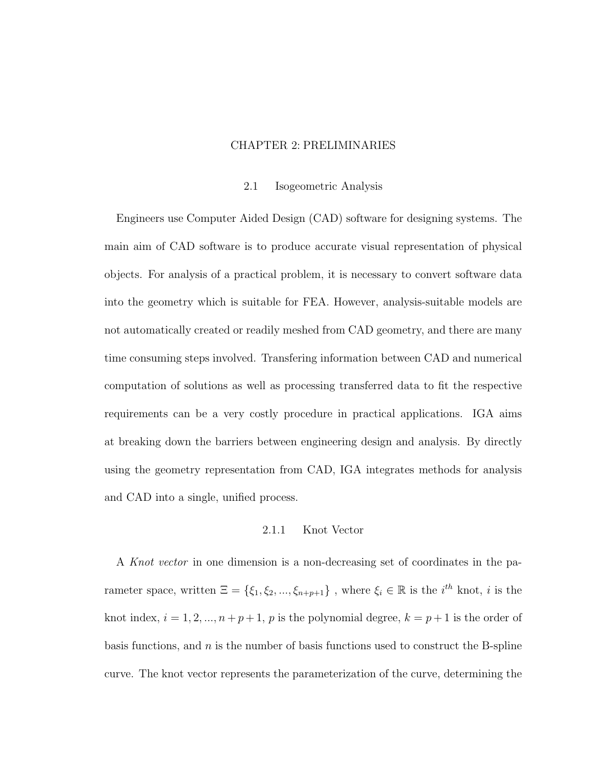## CHAPTER 2: PRELIMINARIES

#### 2.1 Isogeometric Analysis

Engineers use Computer Aided Design (CAD) software for designing systems. The main aim of CAD software is to produce accurate visual representation of physical objects. For analysis of a practical problem, it is necessary to convert software data into the geometry which is suitable for FEA. However, analysis-suitable models are not automatically created or readily meshed from CAD geometry, and there are many time consuming steps involved. Transfering information between CAD and numerical computation of solutions as well as processing transferred data to fit the respective requirements can be a very costly procedure in practical applications. IGA aims at breaking down the barriers between engineering design and analysis. By directly using the geometry representation from CAD, IGA integrates methods for analysis and CAD into a single, unified process.

#### 2.1.1 Knot Vector

A Knot vector in one dimension is a non-decreasing set of coordinates in the parameter space, written  $\Xi = \{\xi_1, \xi_2, ..., \xi_{n+p+1}\}\,$ , where  $\xi_i \in \mathbb{R}$  is the  $i^{th}$  knot, i is the knot index,  $i = 1, 2, ..., n + p + 1$ , p is the polynomial degree,  $k = p + 1$  is the order of basis functions, and  $n$  is the number of basis functions used to construct the B-spline curve. The knot vector represents the parameterization of the curve, determining the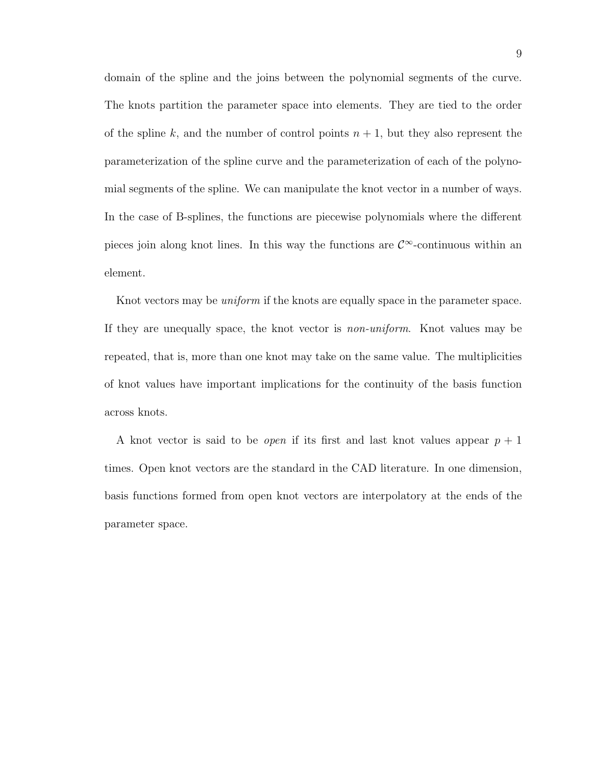domain of the spline and the joins between the polynomial segments of the curve. The knots partition the parameter space into elements. They are tied to the order of the spline k, and the number of control points  $n + 1$ , but they also represent the parameterization of the spline curve and the parameterization of each of the polynomial segments of the spline. We can manipulate the knot vector in a number of ways. In the case of B-splines, the functions are piecewise polynomials where the different pieces join along knot lines. In this way the functions are  $\mathcal{C}^{\infty}$ -continuous within an element.

Knot vectors may be *uniform* if the knots are equally space in the parameter space. If they are unequally space, the knot vector is non-uniform. Knot values may be repeated, that is, more than one knot may take on the same value. The multiplicities of knot values have important implications for the continuity of the basis function across knots.

A knot vector is said to be *open* if its first and last knot values appear  $p + 1$ times. Open knot vectors are the standard in the CAD literature. In one dimension, basis functions formed from open knot vectors are interpolatory at the ends of the parameter space.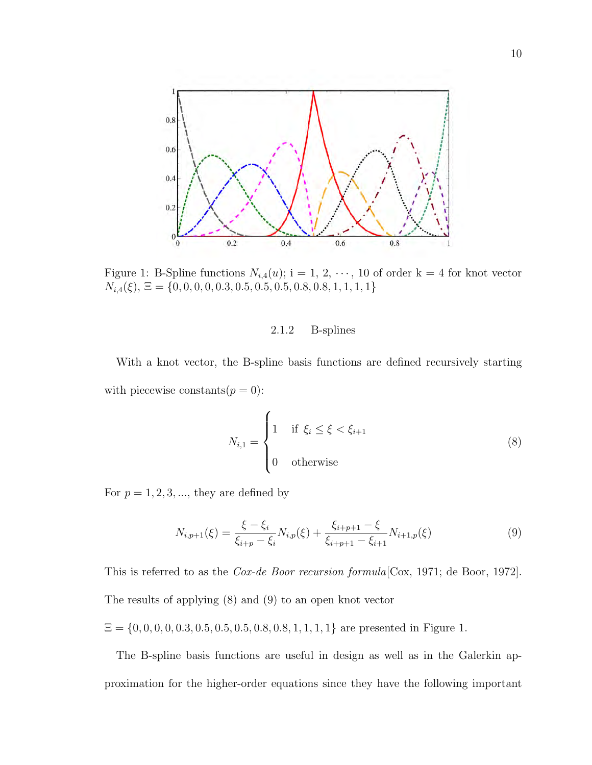

Figure 1: B-Spline functions  $N_{i,4}(u)$ ; i = 1, 2,  $\cdots$ , 10 of order k = 4 for knot vector  $N_{i,4}(\xi), \, \Xi = \{0, 0, 0, 0, 0.3, 0.5, 0.5, 0.5, 0.8, 0.8, 1, 1, 1, 1\}$ 

## 2.1.2 B-splines

With a knot vector, the B-spline basis functions are defined recursively starting with piecewise constants $(p = 0)$ :

$$
N_{i,1} = \begin{cases} 1 & \text{if } \xi_i \le \xi < \xi_{i+1} \\ 0 & \text{otherwise} \end{cases} \tag{8}
$$

For  $p = 1, 2, 3, \dots$ , they are defined by

$$
N_{i,p+1}(\xi) = \frac{\xi - \xi_i}{\xi_{i+p} - \xi_i} N_{i,p}(\xi) + \frac{\xi_{i+p+1} - \xi}{\xi_{i+p+1} - \xi_{i+1}} N_{i+1,p}(\xi)
$$
(9)

This is referred to as the *Cox-de Boor recursion formula* [Cox, 1971; de Boor, 1972]. The results of applying (8) and (9) to an open knot vector

 $\Xi = \{0, 0, 0, 0, 0.3, 0.5, 0.5, 0.5, 0.8, 0.8, 1, 1, 1, 1\}$  are presented in Figure 1.

The B-spline basis functions are useful in design as well as in the Galerkin approximation for the higher-order equations since they have the following important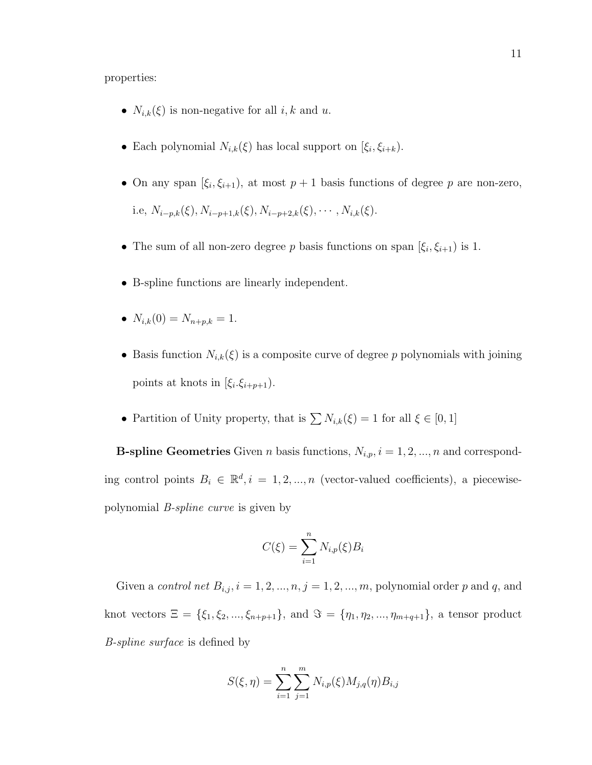properties:

- $N_{i,k}(\xi)$  is non-negative for all  $i, k$  and  $u$ .
- Each polynomial  $N_{i,k}(\xi)$  has local support on  $[\xi_i, \xi_{i+k})$ .
- On any span  $[\xi_i, \xi_{i+1})$ , at most  $p+1$  basis functions of degree p are non-zero, i.e,  $N_{i-p,k}(\xi), N_{i-p+1,k}(\xi), N_{i-p+2,k}(\xi), \cdots, N_{i,k}(\xi).$
- The sum of all non-zero degree p basis functions on span  $[\xi_i, \xi_{i+1}]$  is 1.
- B-spline functions are linearly independent.
- $N_{i,k}(0) = N_{n+p,k} = 1.$
- Basis function  $N_{i,k}(\xi)$  is a composite curve of degree p polynomials with joining points at knots in  $[\xi_i.\xi_{i+p+1})$ .
- Partition of Unity property, that is  $\sum N_{i,k}(\xi) = 1$  for all  $\xi \in [0, 1]$

**B-spline Geometries** Given *n* basis functions,  $N_{i,p}$ ,  $i = 1, 2, ..., n$  and corresponding control points  $B_i \in \mathbb{R}^d, i = 1, 2, ..., n$  (vector-valued coefficients), a piecewisepolynomial B-spline curve is given by

$$
C(\xi) = \sum_{i=1}^{n} N_{i,p}(\xi) B_i
$$

Given a *control net*  $B_{i,j}$ ,  $i = 1, 2, ..., n$ ,  $j = 1, 2, ..., m$ , polynomial order p and q, and knot vectors  $\Xi = {\xi_1, \xi_2, ..., \xi_{n+p+1}},$  and  $\Im = {\eta_1, \eta_2, ..., \eta_{m+q+1}},$  a tensor product B-spline surface is defined by

$$
S(\xi, \eta) = \sum_{i=1}^{n} \sum_{j=1}^{m} N_{i, p}(\xi) M_{j, q}(\eta) B_{i, j}
$$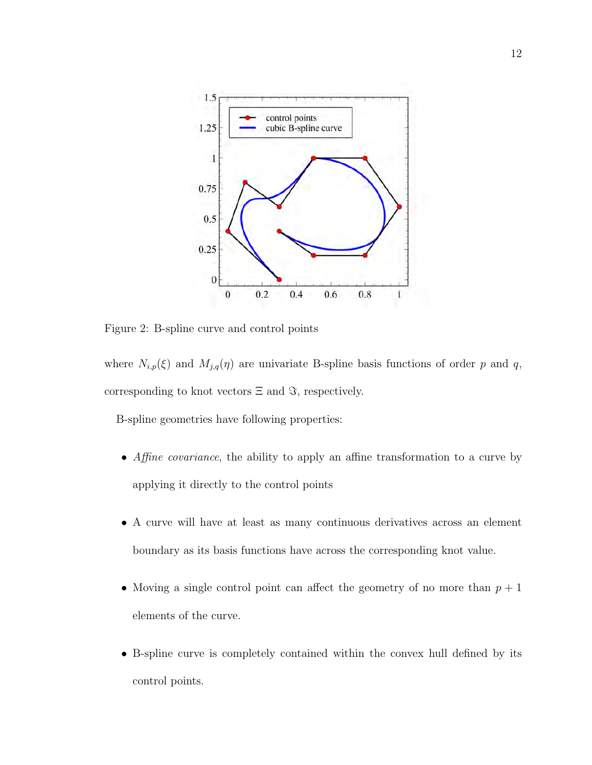

Figure 2: B-spline curve and control points

where  $N_{i,p}(\xi)$  and  $M_{j,q}(\eta)$  are univariate B-spline basis functions of order p and q, corresponding to knot vectors  $\Xi$  and  $\Im$ , respectively.

B-spline geometries have following properties:

- Affine covariance, the ability to apply an affine transformation to a curve by applying it directly to the control points
- A curve will have at least as many continuous derivatives across an element boundary as its basis functions have across the corresponding knot value.
- Moving a single control point can affect the geometry of no more than  $p + 1$ elements of the curve.
- B-spline curve is completely contained within the convex hull defined by its control points.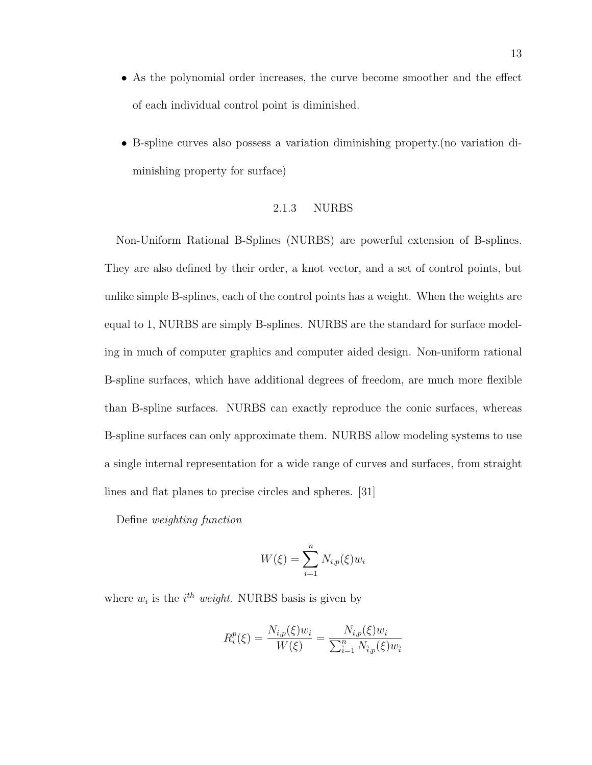- As the polynomial order increases, the curve become smoother and the effect of each individual control point is diminished.
- B-spline curves also possess a variation diminishing property.(no variation diminishing property for surface)

## 2.1.3 NURBS

Non-Uniform Rational B-Splines (NURBS) are powerful extension of B-splines. They are also defined by their order, a knot vector, and a set of control points, but unlike simple B-splines, each of the control points has a weight. When the weights are equal to 1, NURBS are simply B-splines. NURBS are the standard for surface modeling in much of computer graphics and computer aided design. Non-uniform rational B-spline surfaces, which have additional degrees of freedom, are much more flexible than B-spline surfaces. NURBS can exactly reproduce the conic surfaces, whereas B-spline surfaces can only approximate them. NURBS allow modeling systems to use a single internal representation for a wide range of curves and surfaces, from straight lines and flat planes to precise circles and spheres. [31]

Define weighting function

$$
W(\xi) = \sum_{i=1}^{n} N_{i,p}(\xi) w_i
$$

where  $w_i$  is the  $i^{th}$  weight. NURBS basis is given by

$$
R_i^p(\xi) = \frac{N_{i,p}(\xi)w_i}{W(\xi)} = \frac{N_{i,p}(\xi)w_i}{\sum_{i=1}^n N_{i,p}(\xi)w_i}
$$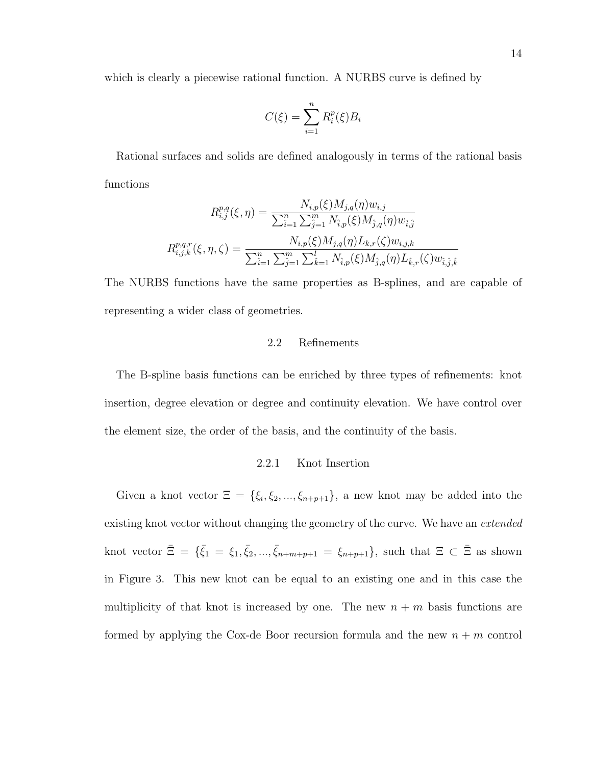which is clearly a piecewise rational function. A NURBS curve is defined by

$$
C(\xi) = \sum_{i=1}^{n} R_i^p(\xi) B_i
$$

Rational surfaces and solids are defined analogously in terms of the rational basis functions

$$
R_{i,j}^{p,q}(\xi,\eta) = \frac{N_{i,p}(\xi)M_{j,q}(\eta)w_{i,j}}{\sum_{i=1}^{n}\sum_{j=1}^{m}N_{i,p}(\xi)M_{j,q}(\eta)w_{i,j}}
$$

$$
R_{i,j,k}^{p,q,r}(\xi,\eta,\zeta) = \frac{N_{i,p}(\xi)M_{j,q}(\eta)L_{k,r}(\zeta)w_{i,j,k}}{\sum_{i=1}^{n}\sum_{j=1}^{m}\sum_{k=1}^{l}N_{i,p}(\xi)M_{j,q}(\eta)L_{\hat{k},r}(\zeta)w_{\hat{i},\hat{j},\hat{k}}}
$$

The NURBS functions have the same properties as B-splines, and are capable of representing a wider class of geometries.

## 2.2 Refinements

The B-spline basis functions can be enriched by three types of refinements: knot insertion, degree elevation or degree and continuity elevation. We have control over the element size, the order of the basis, and the continuity of the basis.

## 2.2.1 Knot Insertion

Given a knot vector  $\Xi = {\xi_i, \xi_2, ..., \xi_{n+p+1}}$ , a new knot may be added into the existing knot vector without changing the geometry of the curve. We have an *extended* knot vector  $\bar{\Xi} = {\bar{\xi}_1 = \xi_1, \bar{\xi}_2, ..., \bar{\xi}_{n+m+p+1} = \xi_{n+p+1}},$  such that  $\Xi \subset \bar{\Xi}$  as shown in Figure 3. This new knot can be equal to an existing one and in this case the multiplicity of that knot is increased by one. The new  $n + m$  basis functions are formed by applying the Cox-de Boor recursion formula and the new  $n + m$  control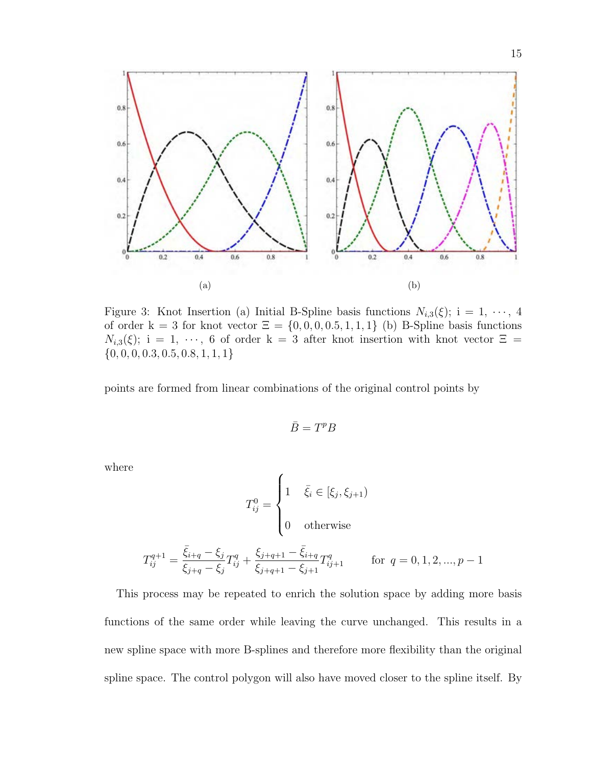

Figure 3: Knot Insertion (a) Initial B-Spline basis functions  $N_{i,3}(\xi)$ ; i = 1,  $\cdots$ , 4 of order k = 3 for knot vector  $\Xi = \{0, 0, 0, 0.5, 1, 1, 1\}$  (b) B-Spline basis functions  $N_{i,3}(\xi)$ ; i = 1,  $\cdots$ , 6 of order k = 3 after knot insertion with knot vector  $\Xi$  =  $\{0, 0, 0, 0.3, 0.5, 0.8, 1, 1, 1\}$ 

points are formed from linear combinations of the original control points by

$$
\bar{B}=T^pB
$$

where

$$
T_{ij}^{0} = \begin{cases} 1 & \bar{\xi}_{i} \in [\xi_{j}, \xi_{j+1}) \\ 0 & \text{otherwise} \end{cases}
$$
  

$$
T_{ij}^{q+1} = \frac{\bar{\xi}_{i+q} - \xi_{j}}{\xi_{j+q} - \xi_{j}} T_{ij}^{q} + \frac{\xi_{j+q+1} - \bar{\xi}_{i+q}}{\xi_{j+q+1} - \xi_{j+1}} T_{ij+1}^{q} \quad \text{for } q = 0, 1, 2, ..., p-1
$$

This process may be repeated to enrich the solution space by adding more basis functions of the same order while leaving the curve unchanged. This results in a new spline space with more B-splines and therefore more flexibility than the original spline space. The control polygon will also have moved closer to the spline itself. By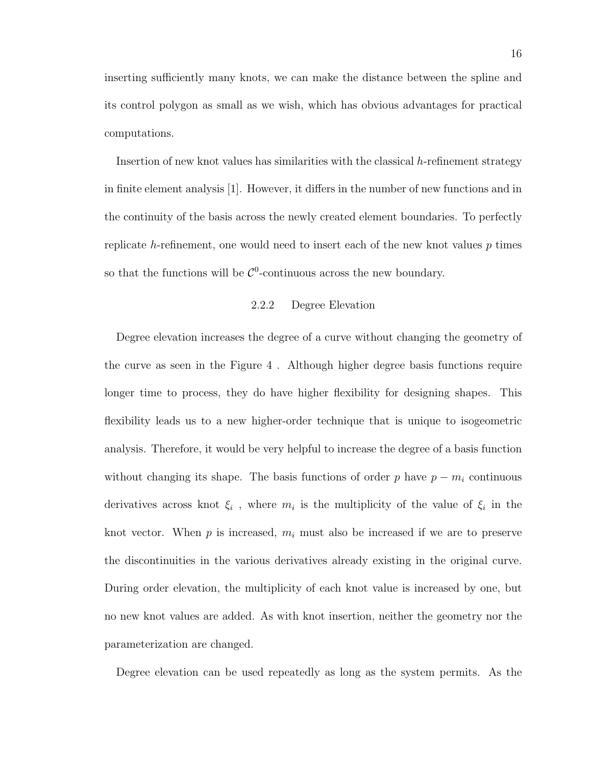inserting sufficiently many knots, we can make the distance between the spline and its control polygon as small as we wish, which has obvious advantages for practical computations.

Insertion of new knot values has similarities with the classical  $h$ -refinement strategy in finite element analysis [1]. However, it differs in the number of new functions and in the continuity of the basis across the newly created element boundaries. To perfectly replicate h-refinement, one would need to insert each of the new knot values  $p$  times so that the functions will be  $\mathcal{C}^0$ -continuous across the new boundary.

## 2.2.2 Degree Elevation

Degree elevation increases the degree of a curve without changing the geometry of the curve as seen in the Figure 4 . Although higher degree basis functions require longer time to process, they do have higher flexibility for designing shapes. This flexibility leads us to a new higher-order technique that is unique to isogeometric analysis. Therefore, it would be very helpful to increase the degree of a basis function without changing its shape. The basis functions of order p have  $p - m_i$  continuous derivatives across knot  $\xi_i$ , where  $m_i$  is the multiplicity of the value of  $\xi_i$  in the knot vector. When  $p$  is increased,  $m_i$  must also be increased if we are to preserve the discontinuities in the various derivatives already existing in the original curve. During order elevation, the multiplicity of each knot value is increased by one, but no new knot values are added. As with knot insertion, neither the geometry nor the parameterization are changed.

Degree elevation can be used repeatedly as long as the system permits. As the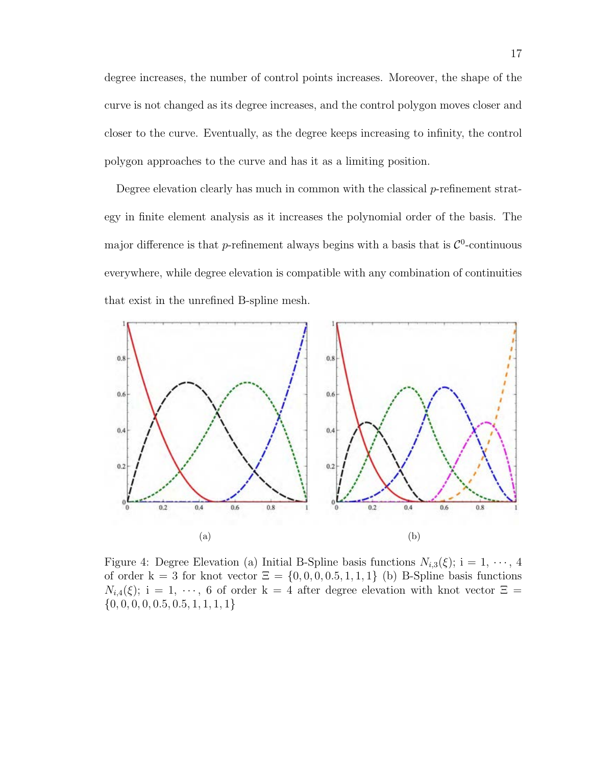degree increases, the number of control points increases. Moreover, the shape of the curve is not changed as its degree increases, and the control polygon moves closer and closer to the curve. Eventually, as the degree keeps increasing to infinity, the control polygon approaches to the curve and has it as a limiting position.

Degree elevation clearly has much in common with the classical p-refinement strategy in finite element analysis as it increases the polynomial order of the basis. The major difference is that *p*-refinement always begins with a basis that is  $\mathcal{C}^0$ -continuous everywhere, while degree elevation is compatible with any combination of continuities that exist in the unrefined B-spline mesh.



Figure 4: Degree Elevation (a) Initial B-Spline basis functions  $N_{i,3}(\xi)$ ; i = 1,  $\cdots$ , 4 of order k = 3 for knot vector  $\Xi = \{0, 0, 0, 0.5, 1, 1, 1\}$  (b) B-Spline basis functions  $N_{i,4}(\xi)$ ; i = 1,  $\cdots$ , 6 of order k = 4 after degree elevation with knot vector  $\Xi$  =  $\{0, 0, 0, 0, 0.5, 0.5, 1, 1, 1, 1\}$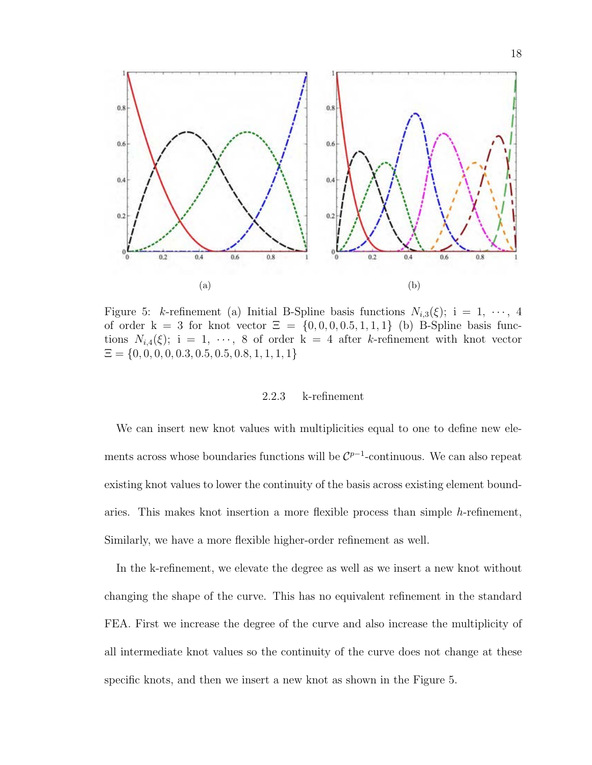

Figure 5: k-refinement (a) Initial B-Spline basis functions  $N_{i,3}(\xi)$ ; i = 1,  $\cdots$ , 4 of order  $k = 3$  for knot vector  $\Xi = \{0, 0, 0, 0.5, 1, 1, 1\}$  (b) B-Spline basis functions  $N_{i,4}(\xi)$ ; i = 1,  $\cdots$ , 8 of order k = 4 after k-refinement with knot vector  $\Xi = \{0, 0, 0, 0, 0.3, 0.5, 0.5, 0.8, 1, 1, 1, 1\}$ 

## 2.2.3 k-refinement

We can insert new knot values with multiplicities equal to one to define new elements across whose boundaries functions will be  $\mathcal{C}^{p-1}$ -continuous. We can also repeat existing knot values to lower the continuity of the basis across existing element boundaries. This makes knot insertion a more flexible process than simple h-refinement, Similarly, we have a more flexible higher-order refinement as well.

In the k-refinement, we elevate the degree as well as we insert a new knot without changing the shape of the curve. This has no equivalent refinement in the standard FEA. First we increase the degree of the curve and also increase the multiplicity of all intermediate knot values so the continuity of the curve does not change at these specific knots, and then we insert a new knot as shown in the Figure 5.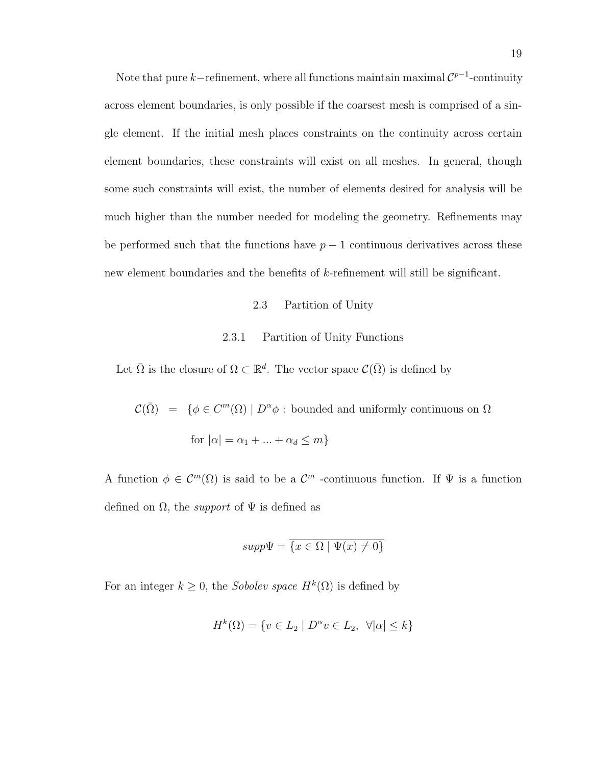Note that pure k–refinement, where all functions maintain maximal  $\mathcal{C}^{p-1}$ -continuity across element boundaries, is only possible if the coarsest mesh is comprised of a single element. If the initial mesh places constraints on the continuity across certain element boundaries, these constraints will exist on all meshes. In general, though some such constraints will exist, the number of elements desired for analysis will be much higher than the number needed for modeling the geometry. Refinements may be performed such that the functions have  $p-1$  continuous derivatives across these new element boundaries and the benefits of k-refinement will still be significant.

#### 2.3 Partition of Unity

#### 2.3.1 Partition of Unity Functions

Let  $\bar{\Omega}$  is the closure of  $\Omega \subset \mathbb{R}^d$ . The vector space  $\mathcal{C}(\bar{\Omega})$  is defined by

 $\mathcal{C}(\bar{\Omega}) = \{ \phi \in C^m(\Omega) \mid D^{\alpha} \phi : \text{bounded and uniformly continuous on } \Omega \}$ for  $|\alpha| = \alpha_1 + ... + \alpha_d \leq m$ 

A function  $\phi \in C^m(\Omega)$  is said to be a  $C^m$  -continuous function. If  $\Psi$  is a function defined on  $\Omega$ , the *support* of  $\Psi$  is defined as

$$
supp\Psi = \overline{\{x \in \Omega \mid \Psi(x) \neq 0\}}
$$

For an integer  $k \geq 0$ , the *Sobolev space*  $H^k(\Omega)$  is defined by

$$
H^k(\Omega) = \{ v \in L_2 \mid D^{\alpha}v \in L_2, \ \forall |\alpha| \le k \}
$$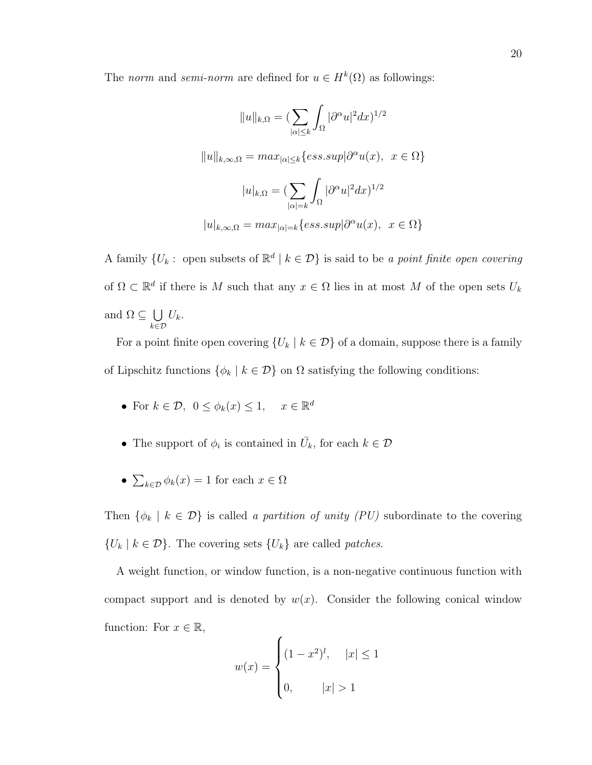The norm and semi-norm are defined for  $u \in H^k(\Omega)$  as followings:

$$
||u||_{k,\Omega} = \left(\sum_{|\alpha| \le k} \int_{\Omega} |\partial^{\alpha} u|^2 dx\right)^{1/2}
$$

$$
||u||_{k,\infty,\Omega} = \max_{|\alpha| \le k} \{ess. sup |\partial^{\alpha} u(x), \ x \in \Omega\}
$$

$$
|u|_{k,\Omega} = \left(\sum_{|\alpha|=k} \int_{\Omega} |\partial^{\alpha} u|^2 dx\right)^{1/2}
$$

$$
|u|_{k,\infty,\Omega} = \max_{|\alpha|=k} \{ess. sup |\partial^{\alpha} u(x), \ x \in \Omega\}
$$

A family  $\{U_k: \text{ open subsets of } \mathbb{R}^d \mid k \in \mathcal{D}\}\$ is said to be a point finite open covering of  $\Omega \subset \mathbb{R}^d$  if there is M such that any  $x \in \Omega$  lies in at most M of the open sets  $U_k$ and  $\Omega \subseteq \cup$ k∈D  $U_k$ .

For a point finite open covering  $\{U_k | k \in \mathcal{D}\}\$  of a domain, suppose there is a family of Lipschitz functions  $\{\phi_k \mid k \in \mathcal{D}\}$  on  $\Omega$  satisfying the following conditions:

- For  $k \in \mathcal{D}$ ,  $0 \leq \phi_k(x) \leq 1$ ,  $x \in \mathbb{R}^d$
- The support of  $\phi_i$  is contained in  $\bar{U}_k$ , for each  $k \in \mathcal{D}$
- $\sum_{k\in\mathcal{D}} \phi_k(x) = 1$  for each  $x \in \Omega$

Then  $\{\phi_k \mid k \in \mathcal{D}\}\$ is called a partition of unity (PU) subordinate to the covering  $\{U_k \mid k \in \mathcal{D}\}\.$  The covering sets  $\{U_k\}$  are called *patches*.

A weight function, or window function, is a non-negative continuous function with compact support and is denoted by  $w(x)$ . Consider the following conical window function: For  $x \in \mathbb{R}$ ,

$$
w(x) = \begin{cases} (1 - x^2)^l, & |x| \le 1 \\ 0, & |x| > 1 \end{cases}
$$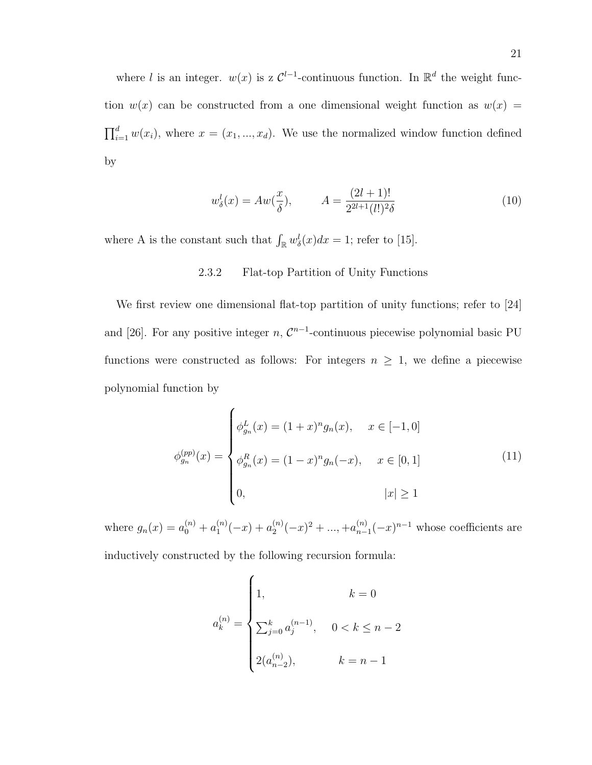where l is an integer.  $w(x)$  is z  $\mathcal{C}^{l-1}$ -continuous function. In  $\mathbb{R}^d$  the weight function  $w(x)$  can be constructed from a one dimensional weight function as  $w(x) =$  $\prod_{i=1}^d w(x_i)$ , where  $x = (x_1, ..., x_d)$ . We use the normalized window function defined by

$$
w_{\delta}^{l}(x) = Aw(\frac{x}{\delta}), \qquad A = \frac{(2l+1)!}{2^{2l+1}(l!)^2 \delta} \tag{10}
$$

where A is the constant such that  $\int_{\mathbb{R}} w_{\delta}^{l}(x)dx = 1$ ; refer to [15].

## 2.3.2 Flat-top Partition of Unity Functions

We first review one dimensional flat-top partition of unity functions; refer to [24] and [26]. For any positive integer n,  $\mathcal{C}^{n-1}$ -continuous piecewise polynomial basic PU functions were constructed as follows: For integers  $n \geq 1$ , we define a piecewise polynomial function by

$$
\phi_{g_n}^{(pp)}(x) = \begin{cases} \phi_{g_n}^L(x) = (1+x)^n g_n(x), & x \in [-1,0] \\ \phi_{g_n}^R(x) = (1-x)^n g_n(-x), & x \in [0,1] \\ 0, & |x| \ge 1 \end{cases}
$$
(11)

where  $g_n(x) = a_0^{(n)} + a_1^{(n)}$  $a_1^{(n)}(-x) + a_2^{(n)}$  $a_2^{(n)}(-x)^2 + \ldots + a_{n-}^{(n)}$  $_{n-1}^{(n)}(-x)^{n-1}$  whose coefficients are inductively constructed by the following recursion formula:

$$
a_k^{(n)} = \begin{cases} 1, & k = 0 \\ \\ \sum_{j=0}^k a_j^{(n-1)}, & 0 < k \le n-2 \\ \\ 2(a_{n-2}^{(n)}), & k = n-1 \end{cases}
$$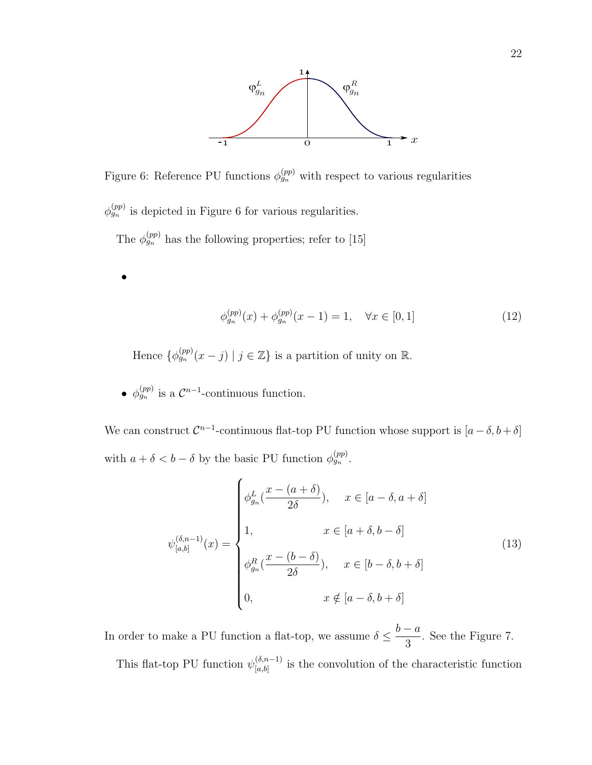

Figure 6: Reference PU functions  $\phi_{g_n}^{(pp)}$  with respect to various regularities

 $\phi_{g_n}^{(pp)}$  is depicted in Figure 6 for various regularities.

The  $\phi_{g_n}^{(pp)}$  has the following properties; refer to [15]

$$
\phi_{g_n}^{(pp)}(x) + \phi_{g_n}^{(pp)}(x-1) = 1, \quad \forall x \in [0,1]
$$
\n(12)

Hence  $\{\phi_{g_n}^{(pp)}(x-j) \mid j \in \mathbb{Z}\}\$ is a partition of unity on  $\mathbb{R}$ .

•  $\phi_{g_n}^{(pp)}$  is a  $\mathcal{C}^{n-1}$ -continuous function.

•

We can construct  $\mathcal{C}^{n-1}$ -continuous flat-top PU function whose support is  $[a-\delta, b+\delta]$ with  $a + \delta < b - \delta$  by the basic PU function  $\phi_{g_n}^{(pp)}$ .

$$
\psi_{[a,b]}^{(\delta,n-1)}(x) = \begin{cases}\n\phi_{g_n}^L(\frac{x - (a + \delta)}{2\delta}), & x \in [a - \delta, a + \delta] \\
1, & x \in [a + \delta, b - \delta] \\
\phi_{g_n}^R(\frac{x - (b - \delta)}{2\delta}), & x \in [b - \delta, b + \delta] \\
0, & x \notin [a - \delta, b + \delta]\n\end{cases}
$$
\n(13)

In order to make a PU function a flat-top, we assume  $\delta \leq$  $b - a$ 3 . See the Figure 7. This flat-top PU function  $\psi_{[a,b]}^{(\delta,n-1)}$  $\binom{[0,n-1]}{[a,b]}$  is the convolution of the characteristic function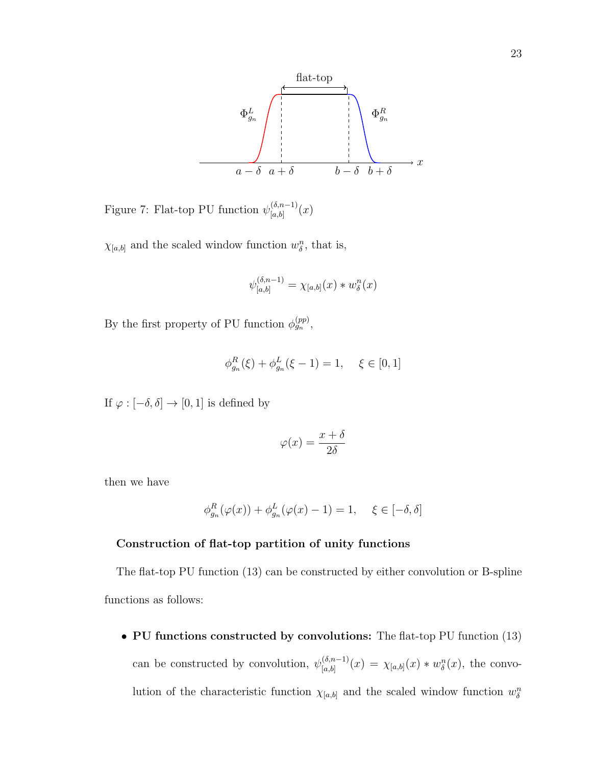

Figure 7: Flat-top PU function  $\psi_{[a,b]}^{(\delta,n-1)}$  $\binom{(0, n-1)}{[a, b]}(x)$ 

 $\chi_{[a,b]}$  and the scaled window function  $w_{\delta}^n$ , that is,

$$
\psi_{[a,b]}^{(\delta,n-1)} = \chi_{[a,b]}(x) * w_{\delta}^n(x)
$$

By the first property of PU function  $\phi_{g_n}^{(pp)}$ ,

$$
\phi_{g_n}^R(\xi) + \phi_{g_n}^L(\xi - 1) = 1, \quad \xi \in [0, 1]
$$

If  $\varphi:[-\delta,\delta]\to [0,1]$  is defined by

$$
\varphi(x) = \frac{x + \delta}{2\delta}
$$

then we have

$$
\phi_{g_n}^R(\varphi(x)) + \phi_{g_n}^L(\varphi(x) - 1) = 1, \quad \xi \in [-\delta, \delta]
$$

## Construction of flat-top partition of unity functions

The flat-top PU function (13) can be constructed by either convolution or B-spline functions as follows:

• PU functions constructed by convolutions: The flat-top PU function (13) can be constructed by convolution,  $\psi_{[a,b]}^{(\delta,n-1)}$  $\chi_{[a,b]}^{(\delta,n-1)}(x) = \chi_{[a,b]}(x) * w_{\delta}^n(x),$  the convolution of the characteristic function  $\chi_{[a,b]}$  and the scaled window function  $w_{\delta}^{n}$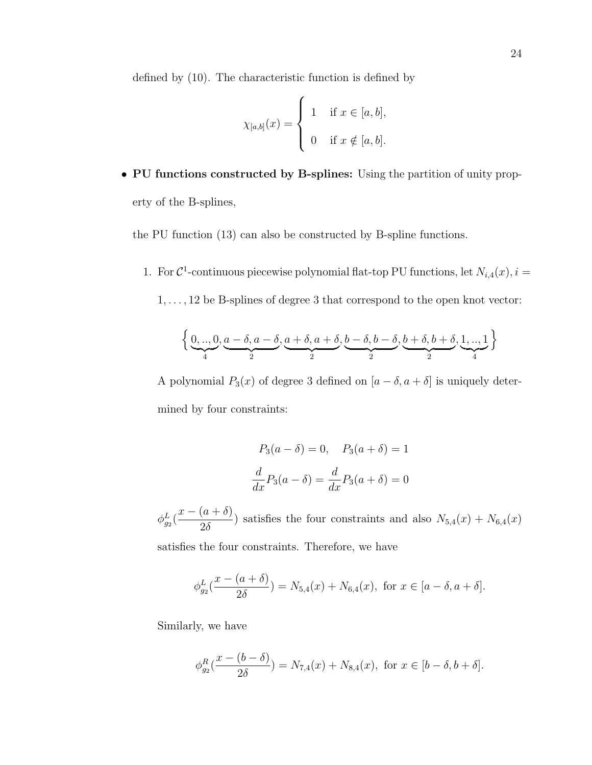defined by (10). The characteristic function is defined by

$$
\chi_{[a,b]}(x) = \begin{cases} 1 & \text{if } x \in [a,b], \\ 0 & \text{if } x \notin [a,b]. \end{cases}
$$

• PU functions constructed by B-splines: Using the partition of unity property of the B-splines,

the PU function (13) can also be constructed by B-spline functions.

1. For  $\mathcal{C}^1$ -continuous piecewise polynomial flat-top PU functions, let  $N_{i,4}(x)$ ,  $i =$ 

 $1,\ldots,12$  be B-splines of degree  $3$  that correspond to the open knot vector:

$$
\left\{\underbrace{0,..,0}_{4},\underbrace{a-\delta,a-\delta}_{2},\underbrace{a+\delta,a+\delta}_{2},\underbrace{b-\delta,b-\delta}_{2},\underbrace{b+\delta,b+\delta}_{2},\underbrace{1,..,1}_{4}\right\}
$$

A polynomial  $P_3(x)$  of degree 3 defined on  $[a - \delta, a + \delta]$  is uniquely determined by four constraints:

$$
P_3(a - \delta) = 0, \quad P_3(a + \delta) = 1
$$

$$
\frac{d}{dx}P_3(a - \delta) = \frac{d}{dx}P_3(a + \delta) = 0
$$

 $\phi^L_{g_2}$  (  $x - (a + \delta)$  $\frac{2}{2\delta}$ ) satisfies the four constraints and also  $N_{5,4}(x) + N_{6,4}(x)$ 

satisfies the four constraints. Therefore, we have

$$
\phi_{g_2}^L(\frac{x - (a + \delta)}{2\delta}) = N_{5,4}(x) + N_{6,4}(x), \text{ for } x \in [a - \delta, a + \delta].
$$

Similarly, we have

$$
\phi_{g_2}^R(\frac{x - (b - \delta)}{2\delta}) = N_{7,4}(x) + N_{8,4}(x), \text{ for } x \in [b - \delta, b + \delta].
$$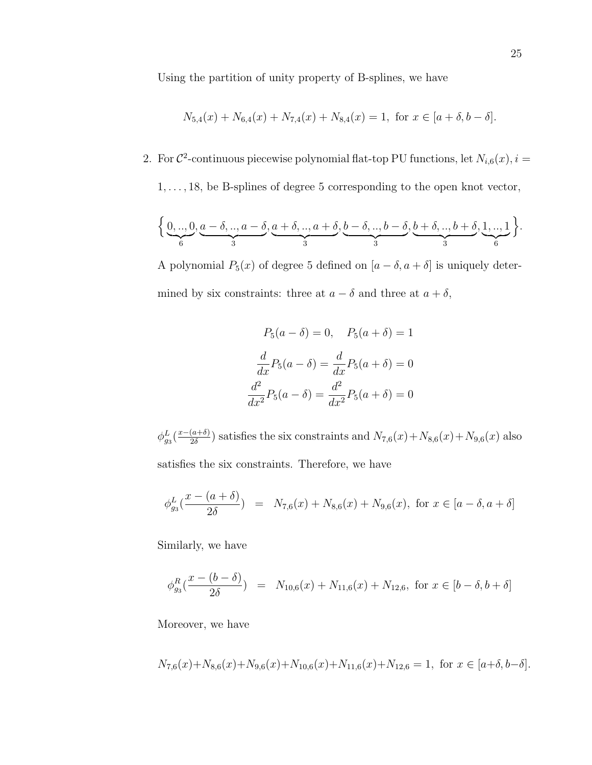Using the partition of unity property of B-splines, we have

$$
N_{5,4}(x) + N_{6,4}(x) + N_{7,4}(x) + N_{8,4}(x) = 1, \text{ for } x \in [a+\delta, b-\delta].
$$

2. For  $\mathcal{C}^2$ -continuous piecewise polynomial flat-top PU functions, let  $N_{i,6}(x)$ ,  $i =$ 

 $1, \ldots, 18$ , be B-splines of degree 5 corresponding to the open knot vector,

$$
\Big\{\underbrace{0,..,0}_{6},\underbrace{a-\delta,..,a-\delta}_{3},\underbrace{a+\delta,..,a+\delta}_{3},\underbrace{b-\delta,..,b-\delta}_{3},\underbrace{b+\delta,..,b+\delta}_{3},\underbrace{1,..,1}_{6}\Big\}.
$$

A polynomial  $P_5(x)$  of degree 5 defined on  $[a - \delta, a + \delta]$  is uniquely determined by six constraints: three at  $a - \delta$  and three at  $a + \delta$ ,

$$
P_5(a - \delta) = 0, \quad P_5(a + \delta) = 1
$$

$$
\frac{d}{dx}P_5(a - \delta) = \frac{d}{dx}P_5(a + \delta) = 0
$$

$$
\frac{d^2}{dx^2}P_5(a - \delta) = \frac{d^2}{dx^2}P_5(a + \delta) = 0
$$

 $\phi_{g_3}^L(\frac{x-(a+\delta)}{2\delta}$  $\frac{(a+6)}{2\delta}$ ) satisfies the six constraints and  $N_{7,6}(x) + N_{8,6}(x) + N_{9,6}(x)$  also satisfies the six constraints. Therefore, we have

$$
\phi_{g_3}^L(\frac{x - (a + \delta)}{2\delta}) = N_{7,6}(x) + N_{8,6}(x) + N_{9,6}(x), \text{ for } x \in [a - \delta, a + \delta]
$$

Similarly, we have

$$
\phi_{g_3}^R(\frac{x - (b - \delta)}{2\delta}) = N_{10,6}(x) + N_{11,6}(x) + N_{12,6}, \text{ for } x \in [b - \delta, b + \delta]
$$

Moreover, we have

$$
N_{7,6}(x) + N_{8,6}(x) + N_{9,6}(x) + N_{10,6}(x) + N_{11,6}(x) + N_{12,6} = 1, \text{ for } x \in [a+\delta, b-\delta].
$$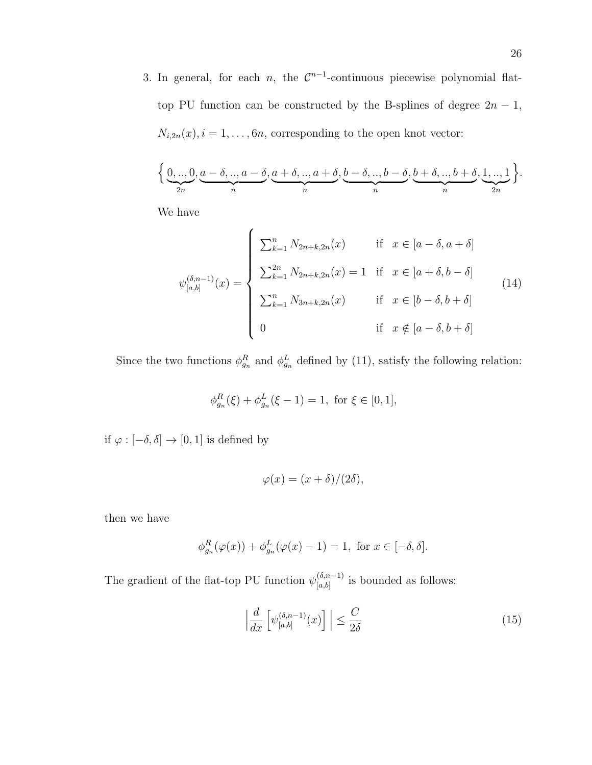3. In general, for each *n*, the  $\mathcal{C}^{n-1}$ -continuous piecewise polynomial flattop PU function can be constructed by the B-splines of degree  $2n - 1$ ,  $N_{i,2n}(x)$ ,  $i = 1, \ldots, 6n$ , corresponding to the open knot vector:

$$
\left\{\underbrace{0,..,0}_{2n}, \underbrace{a-\delta,..,a-\delta}_{n}, \underbrace{a+\delta,..,a+\delta}_{n}, \underbrace{b-\delta,..,b-\delta}_{n}, \underbrace{b+\delta,..,b+\delta}_{n}, \underbrace{1,..,1}_{2n}\right\}.
$$

We have

$$
\psi_{[a,b]}^{(\delta,n-1)}(x) = \begin{cases}\n\sum_{k=1}^{n} N_{2n+k,2n}(x) & \text{if } x \in [a-\delta,a+\delta] \\
\sum_{k=1}^{2n} N_{2n+k,2n}(x) = 1 & \text{if } x \in [a+\delta,b-\delta] \\
\sum_{k=1}^{n} N_{3n+k,2n}(x) & \text{if } x \in [b-\delta,b+\delta] \\
0 & \text{if } x \notin [a-\delta,b+\delta]\n\end{cases}
$$
\n(14)

Since the two functions  $\phi_{g_n}^R$  and  $\phi_{g_n}^L$  defined by (11), satisfy the following relation:

$$
\phi_{g_n}^R(\xi) + \phi_{g_n}^L(\xi - 1) = 1, \text{ for } \xi \in [0, 1],
$$

if  $\varphi:[-\delta,\delta]\to [0,1]$  is defined by

$$
\varphi(x) = (x + \delta)/(2\delta),
$$

then we have

$$
\phi_{g_n}^R(\varphi(x)) + \phi_{g_n}^L(\varphi(x) - 1) = 1, \text{ for } x \in [-\delta, \delta].
$$

The gradient of the flat-top PU function  $\psi_{[a,b]}^{(\delta,n-1)}$  $\binom{(0,n-1)}{[a,b]}$  is bounded as follows:

$$
\left| \frac{d}{dx} \left[ \psi_{[a,b]}^{(\delta, n-1)}(x) \right] \right| \le \frac{C}{2\delta} \tag{15}
$$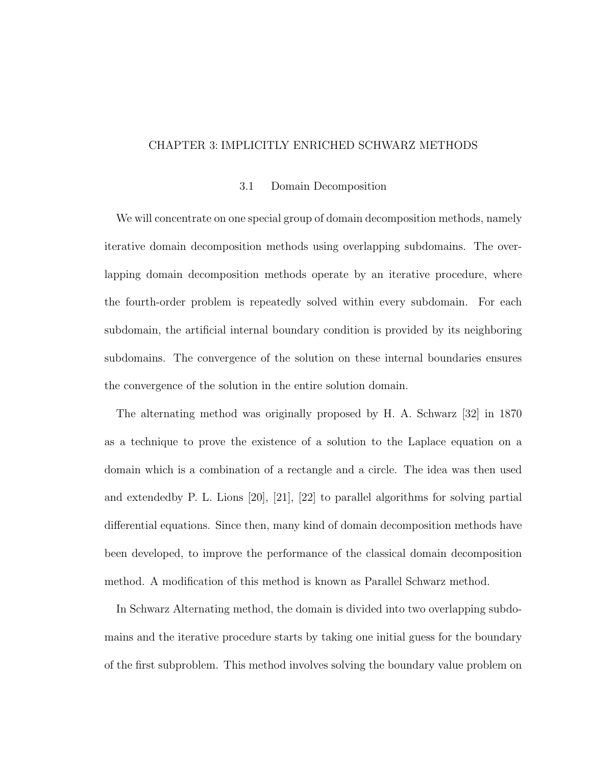#### CHAPTER 3: IMPLICITLY ENRICHED SCHWARZ METHODS

#### 3.1 Domain Decomposition

We will concentrate on one special group of domain decomposition methods, namely iterative domain decomposition methods using overlapping subdomains. The overlapping domain decomposition methods operate by an iterative procedure, where the fourth-order problem is repeatedly solved within every subdomain. For each subdomain, the artificial internal boundary condition is provided by its neighboring subdomains. The convergence of the solution on these internal boundaries ensures the convergence of the solution in the entire solution domain.

The alternating method was originally proposed by H. A. Schwarz [32] in 1870 as a technique to prove the existence of a solution to the Laplace equation on a domain which is a combination of a rectangle and a circle. The idea was then used and extendedby P. L. Lions [20], [21], [22] to parallel algorithms for solving partial differential equations. Since then, many kind of domain decomposition methods have been developed, to improve the performance of the classical domain decomposition method. A modification of this method is known as Parallel Schwarz method.

In Schwarz Alternating method, the domain is divided into two overlapping subdomains and the iterative procedure starts by taking one initial guess for the boundary of the first subproblem. This method involves solving the boundary value problem on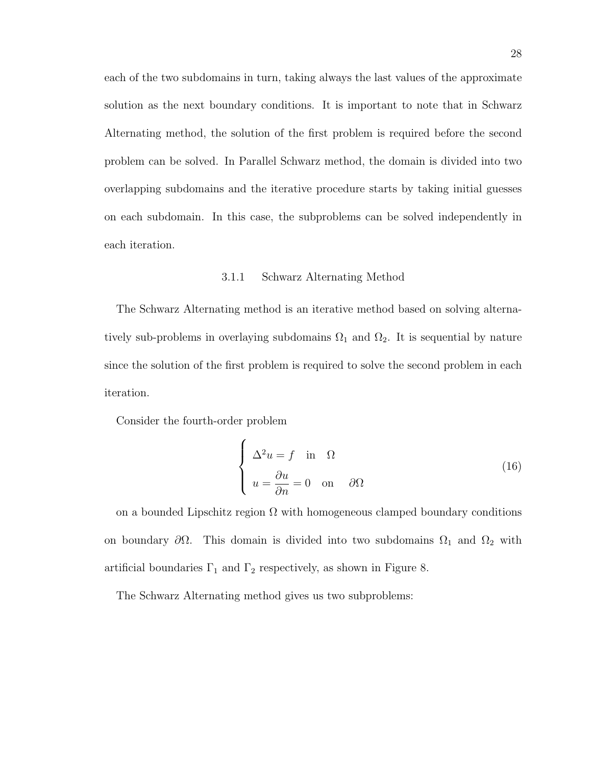each of the two subdomains in turn, taking always the last values of the approximate solution as the next boundary conditions. It is important to note that in Schwarz Alternating method, the solution of the first problem is required before the second problem can be solved. In Parallel Schwarz method, the domain is divided into two overlapping subdomains and the iterative procedure starts by taking initial guesses on each subdomain. In this case, the subproblems can be solved independently in each iteration.

#### 3.1.1 Schwarz Alternating Method

The Schwarz Alternating method is an iterative method based on solving alternatively sub-problems in overlaying subdomains  $\Omega_1$  and  $\Omega_2$ . It is sequential by nature since the solution of the first problem is required to solve the second problem in each iteration.

Consider the fourth-order problem

$$
\begin{cases}\n\Delta^2 u = f \quad \text{in} \quad \Omega \\
u = \frac{\partial u}{\partial n} = 0 \quad \text{on} \quad \partial \Omega\n\end{cases}
$$
\n(16)

on a bounded Lipschitz region  $\Omega$  with homogeneous clamped boundary conditions on boundary  $\partial\Omega$ . This domain is divided into two subdomains  $\Omega_1$  and  $\Omega_2$  with artificial boundaries  $\Gamma_1$  and  $\Gamma_2$  respectively, as shown in Figure 8.

The Schwarz Alternating method gives us two subproblems: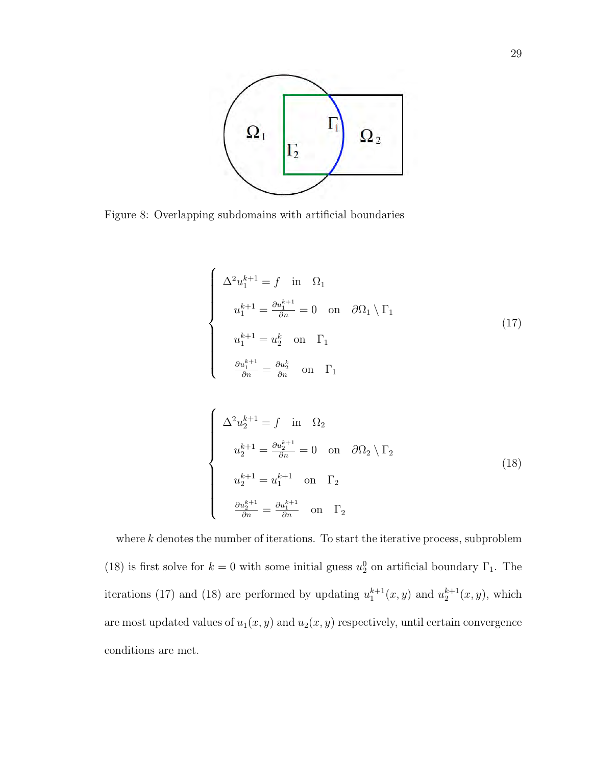

Figure 8: Overlapping subdomains with artificial boundaries

$$
\begin{cases}\n\Delta^2 u_1^{k+1} = f \quad \text{in} \quad \Omega_1 \\
u_1^{k+1} = \frac{\partial u_1^{k+1}}{\partial n} = 0 \quad \text{on} \quad \partial \Omega_1 \setminus \Gamma_1 \\
u_1^{k+1} = u_2^k \quad \text{on} \quad \Gamma_1 \\
\frac{\partial u_1^{k+1}}{\partial n} = \frac{\partial u_2^k}{\partial n} \quad \text{on} \quad \Gamma_1\n\end{cases} (17)
$$

$$
\begin{cases}\n\Delta^2 u_2^{k+1} = f \quad \text{in} \quad \Omega_2 \\
u_2^{k+1} = \frac{\partial u_2^{k+1}}{\partial n} = 0 \quad \text{on} \quad \partial \Omega_2 \setminus \Gamma_2 \\
u_2^{k+1} = u_1^{k+1} \quad \text{on} \quad \Gamma_2 \\
\frac{\partial u_2^{k+1}}{\partial n} = \frac{\partial u_1^{k+1}}{\partial n} \quad \text{on} \quad \Gamma_2\n\end{cases} (18)
$$

where  $k$  denotes the number of iterations. To start the iterative process, subproblem (18) is first solve for  $k = 0$  with some initial guess  $u_2^0$  on artificial boundary  $\Gamma_1$ . The iterations (17) and (18) are performed by updating  $u_1^{k+1}(x, y)$  and  $u_2^{k+1}(x, y)$ , which are most updated values of  $u_1(x, y)$  and  $u_2(x, y)$  respectively, until certain convergence conditions are met.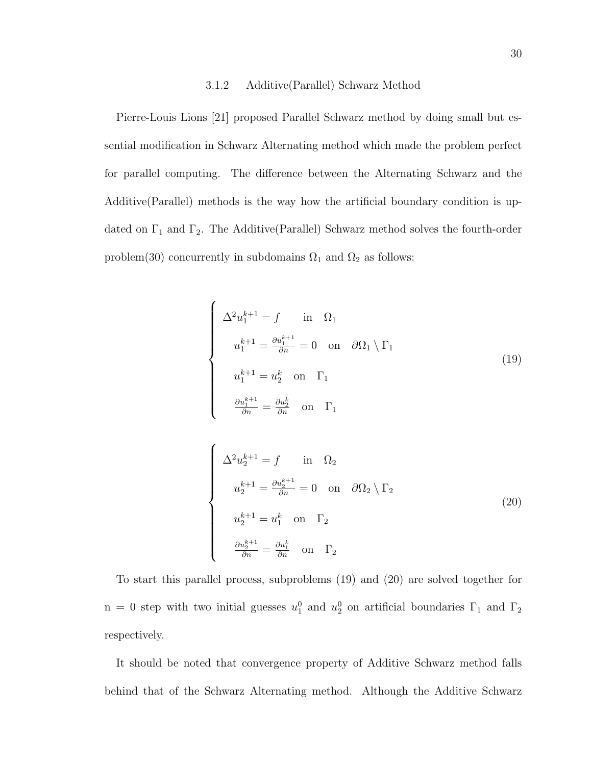#### 3.1.2 Additive(Parallel) Schwarz Method

Pierre-Louis Lions [21] proposed Parallel Schwarz method by doing small but essential modification in Schwarz Alternating method which made the problem perfect for parallel computing. The difference between the Alternating Schwarz and the Additive(Parallel) methods is the way how the artificial boundary condition is updated on  $\Gamma_1$  and  $\Gamma_2$ . The Additive(Parallel) Schwarz method solves the fourth-order problem(30) concurrently in subdomains  $\Omega_1$  and  $\Omega_2$  as follows:

$$
\begin{cases}\n\Delta^2 u_1^{k+1} = f & \text{in } \Omega_1 \\
u_1^{k+1} = \frac{\partial u_1^{k+1}}{\partial n} = 0 & \text{on } \partial \Omega_1 \setminus \Gamma_1 \\
u_1^{k+1} = u_2^k & \text{on } \Gamma_1 \\
\frac{\partial u_1^{k+1}}{\partial n} = \frac{\partial u_2^k}{\partial n} & \text{on } \Gamma_1\n\end{cases}
$$
\n(19)

$$
\begin{cases}\n\Delta^2 u_2^{k+1} = f & \text{in } \Omega_2 \\
u_2^{k+1} = \frac{\partial u_2^{k+1}}{\partial n} = 0 & \text{on } \partial \Omega_2 \setminus \Gamma_2\n\end{cases}
$$
\n
$$
u_2^{k+1} = u_1^k \text{ on } \Gamma_2
$$
\n
$$
\frac{\partial u_2^{k+1}}{\partial n} = \frac{\partial u_1^k}{\partial n} \text{ on } \Gamma_2
$$
\n(20)

To start this parallel process, subproblems (19) and (20) are solved together for n = 0 step with two initial guesses  $u_1^0$  and  $u_2^0$  on artificial boundaries  $\Gamma_1$  and  $\Gamma_2$ respectively.

It should be noted that convergence property of Additive Schwarz method falls behind that of the Schwarz Alternating method. Although the Additive Schwarz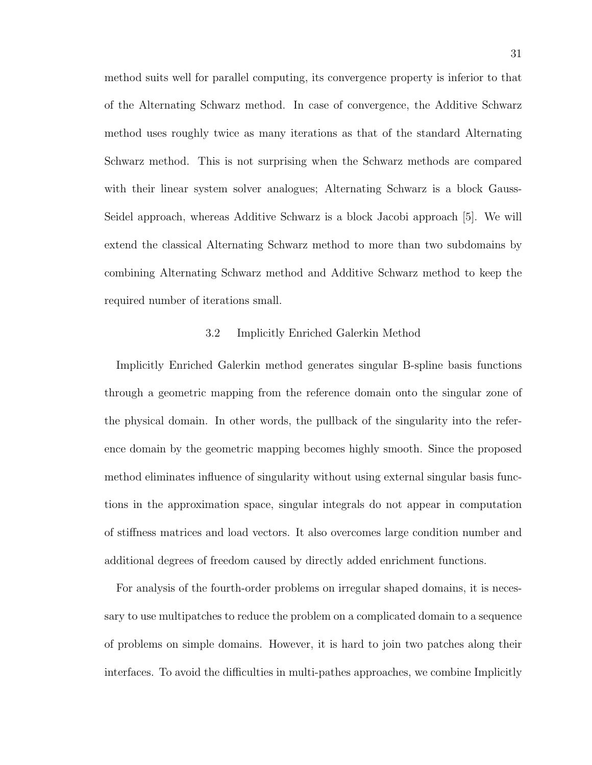method suits well for parallel computing, its convergence property is inferior to that of the Alternating Schwarz method. In case of convergence, the Additive Schwarz method uses roughly twice as many iterations as that of the standard Alternating Schwarz method. This is not surprising when the Schwarz methods are compared with their linear system solver analogues; Alternating Schwarz is a block Gauss-Seidel approach, whereas Additive Schwarz is a block Jacobi approach [5]. We will extend the classical Alternating Schwarz method to more than two subdomains by combining Alternating Schwarz method and Additive Schwarz method to keep the required number of iterations small.

#### 3.2 Implicitly Enriched Galerkin Method

Implicitly Enriched Galerkin method generates singular B-spline basis functions through a geometric mapping from the reference domain onto the singular zone of the physical domain. In other words, the pullback of the singularity into the reference domain by the geometric mapping becomes highly smooth. Since the proposed method eliminates influence of singularity without using external singular basis functions in the approximation space, singular integrals do not appear in computation of stiffness matrices and load vectors. It also overcomes large condition number and additional degrees of freedom caused by directly added enrichment functions.

For analysis of the fourth-order problems on irregular shaped domains, it is necessary to use multipatches to reduce the problem on a complicated domain to a sequence of problems on simple domains. However, it is hard to join two patches along their interfaces. To avoid the difficulties in multi-pathes approaches, we combine Implicitly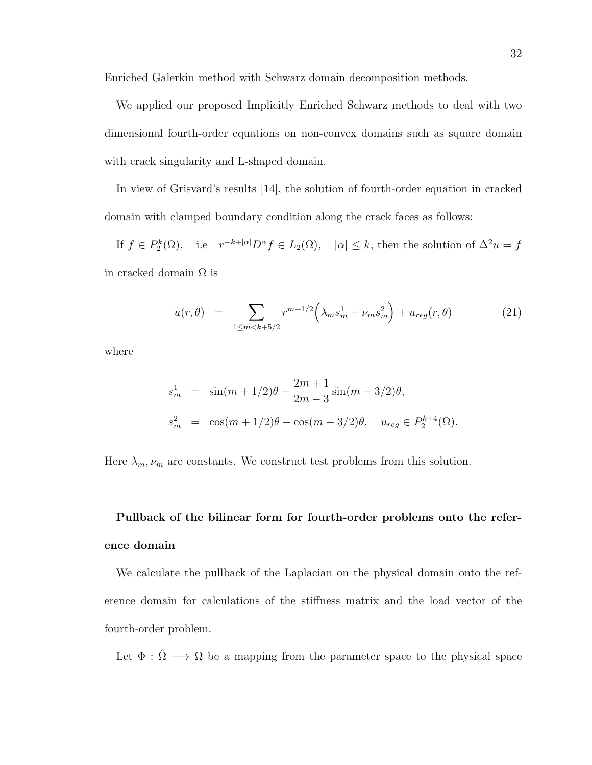Enriched Galerkin method with Schwarz domain decomposition methods.

We applied our proposed Implicitly Enriched Schwarz methods to deal with two dimensional fourth-order equations on non-convex domains such as square domain with crack singularity and L-shaped domain.

In view of Grisvard's results [14], the solution of fourth-order equation in cracked domain with clamped boundary condition along the crack faces as follows:

If  $f \in P_2^k(\Omega)$ , i.e  $r^{-k+|\alpha|}D^{\alpha} f \in L_2(\Omega)$ ,  $|\alpha| \leq k$ , then the solution of  $\Delta^2 u = f$ in cracked domain  $\Omega$  is

$$
u(r,\theta) = \sum_{1 \le m < k+5/2} r^{m+1/2} \left( \lambda_m s_m^1 + \nu_m s_m^2 \right) + u_{reg}(r,\theta) \tag{21}
$$

where

$$
s_m^1 = \sin(m+1/2)\theta - \frac{2m+1}{2m-3}\sin(m-3/2)\theta,
$$
  
\n
$$
s_m^2 = \cos(m+1/2)\theta - \cos(m-3/2)\theta, \quad u_{reg} \in P_2^{k+4}(\Omega).
$$

Here  $\lambda_m, \nu_m$  are constants. We construct test problems from this solution.

# Pullback of the bilinear form for fourth-order problems onto the reference domain

We calculate the pullback of the Laplacian on the physical domain onto the reference domain for calculations of the stiffness matrix and the load vector of the fourth-order problem.

Let  $\Phi : \hat{\Omega} \longrightarrow \Omega$  be a mapping from the parameter space to the physical space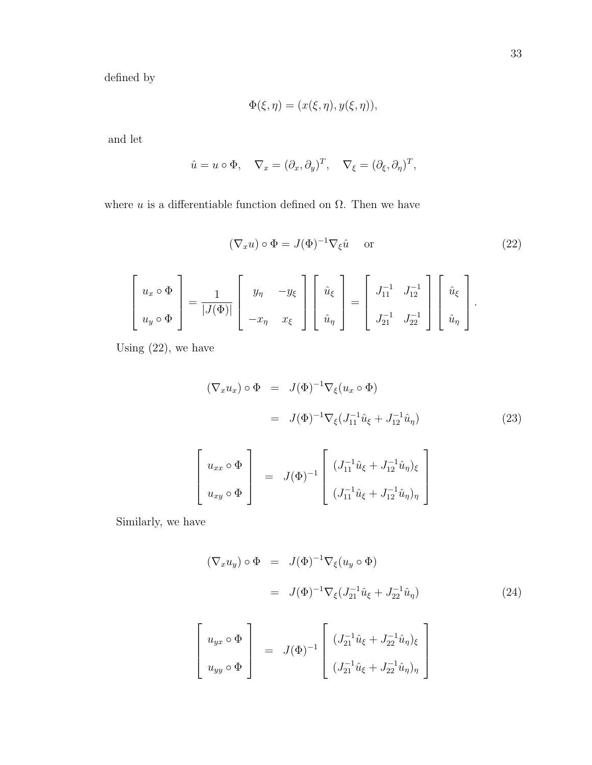defined by

$$
\Phi(\xi, \eta) = (x(\xi, \eta), y(\xi, \eta)),
$$

and let

$$
\hat{u} = u \circ \Phi, \quad \nabla_x = (\partial_x, \partial_y)^T, \quad \nabla_{\xi} = (\partial_{\xi}, \partial_{\eta})^T,
$$

where u is a differentiable function defined on  $\Omega$ . Then we have

$$
(\nabla_x u) \circ \Phi = J(\Phi)^{-1} \nabla_{\xi} \hat{u} \quad \text{or}
$$
\n
$$
\begin{bmatrix}\nu_x \circ \Phi \\
u_y \circ \Phi\n\end{bmatrix} = \frac{1}{|J(\Phi)|} \begin{bmatrix}\ny_{\eta} & -y_{\xi} \\
-x_{\eta} & x_{\xi}\n\end{bmatrix} \begin{bmatrix}\n\hat{u}_{\xi} \\
\hat{u}_{\eta}\n\end{bmatrix} = \begin{bmatrix}\nJ_{11}^{-1} & J_{12}^{-1} \\
J_{21}^{-1} & J_{22}^{-1}\n\end{bmatrix} \begin{bmatrix}\n\hat{u}_{\xi} \\
\hat{u}_{\eta}\n\end{bmatrix}.
$$
\n(22)

Using (22), we have

$$
(\nabla_x u_x) \circ \Phi = J(\Phi)^{-1} \nabla_{\xi} (u_x \circ \Phi)
$$
  

$$
= J(\Phi)^{-1} \nabla_{\xi} (J_{11}^{-1} \hat{u}_{\xi} + J_{12}^{-1} \hat{u}_{\eta})
$$
(23)

$$
\begin{bmatrix}\nu_{xx} \circ \Phi \\
u_{xy} \circ \Phi\n\end{bmatrix} = J(\Phi)^{-1} \begin{bmatrix}\n(J_{11}^{-1}\hat{u}_{\xi} + J_{12}^{-1}\hat{u}_{\eta})_{\xi} \\
(J_{11}^{-1}\hat{u}_{\xi} + J_{12}^{-1}\hat{u}_{\eta})_{\eta}\n\end{bmatrix}
$$

Similarly, we have

$$
(\nabla_x u_y) \circ \Phi = J(\Phi)^{-1} \nabla_{\xi} (u_y \circ \Phi)
$$
  

$$
= J(\Phi)^{-1} \nabla_{\xi} (J_{21}^{-1} \hat{u}_{\xi} + J_{22}^{-1} \hat{u}_{\eta})
$$
(24)

$$
\begin{bmatrix}\nu_{yx} \circ \Phi \\
u_{yy} \circ \Phi\n\end{bmatrix} = J(\Phi)^{-1} \begin{bmatrix}\n(J_{21}^{-1}\hat{u}_{\xi} + J_{22}^{-1}\hat{u}_{\eta})_{\xi} \\
(J_{21}^{-1}\hat{u}_{\xi} + J_{22}^{-1}\hat{u}_{\eta})_{\eta}\n\end{bmatrix}
$$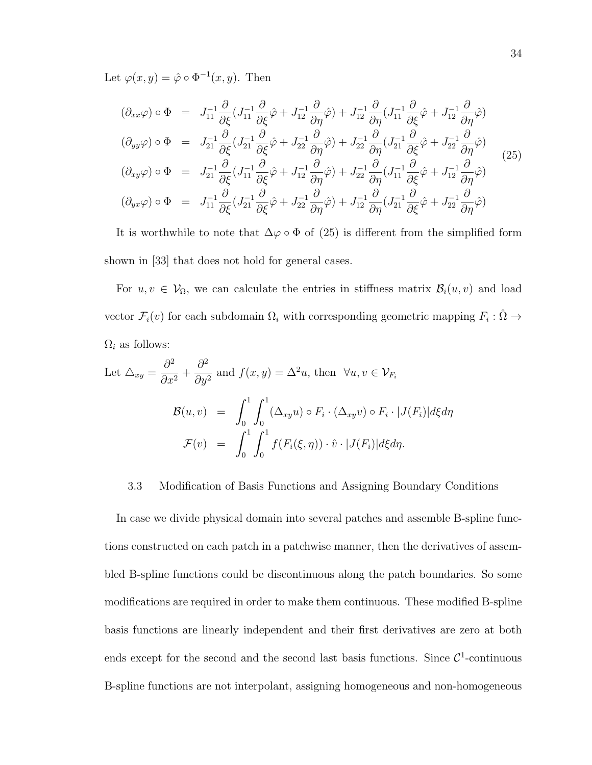Let  $\varphi(x, y) = \hat{\varphi} \circ \Phi^{-1}(x, y)$ . Then

$$
(\partial_{xx}\varphi) \circ \Phi = J_{11}^{-1} \frac{\partial}{\partial \xi} (J_{11}^{-1} \frac{\partial}{\partial \xi} \hat{\varphi} + J_{12}^{-1} \frac{\partial}{\partial \eta} \hat{\varphi}) + J_{12}^{-1} \frac{\partial}{\partial \eta} (J_{11}^{-1} \frac{\partial}{\partial \xi} \hat{\varphi} + J_{12}^{-1} \frac{\partial}{\partial \eta} \hat{\varphi})
$$
  
\n
$$
(\partial_{yy}\varphi) \circ \Phi = J_{21}^{-1} \frac{\partial}{\partial \xi} (J_{21}^{-1} \frac{\partial}{\partial \xi} \hat{\varphi} + J_{22}^{-1} \frac{\partial}{\partial \eta} \hat{\varphi}) + J_{22}^{-1} \frac{\partial}{\partial \eta} (J_{21}^{-1} \frac{\partial}{\partial \xi} \hat{\varphi} + J_{22}^{-1} \frac{\partial}{\partial \eta} \hat{\varphi})
$$
  
\n
$$
(\partial_{xy}\varphi) \circ \Phi = J_{21}^{-1} \frac{\partial}{\partial \xi} (J_{11}^{-1} \frac{\partial}{\partial \xi} \hat{\varphi} + J_{12}^{-1} \frac{\partial}{\partial \eta} \hat{\varphi}) + J_{22}^{-1} \frac{\partial}{\partial \eta} (J_{11}^{-1} \frac{\partial}{\partial \xi} \hat{\varphi} + J_{12}^{-1} \frac{\partial}{\partial \eta} \hat{\varphi})
$$
  
\n
$$
(\partial_{yx}\varphi) \circ \Phi = J_{11}^{-1} \frac{\partial}{\partial \xi} (J_{21}^{-1} \frac{\partial}{\partial \xi} \hat{\varphi} + J_{22}^{-1} \frac{\partial}{\partial \eta} \hat{\varphi}) + J_{12}^{-1} \frac{\partial}{\partial \eta} (J_{21}^{-1} \frac{\partial}{\partial \xi} \hat{\varphi} + J_{22}^{-1} \frac{\partial}{\partial \eta} \hat{\varphi})
$$
  
\n
$$
(J_{21}^{-1} \frac{\partial}{\partial \xi} (\varphi + J_{22}^{-1} \frac{\partial}{\partial \eta} \hat{\varphi}) + J_{12}^{-1} \frac{\partial}{\partial \eta} (J_{21}^{-1} \frac{\partial}{\partial \xi} \hat{\varphi} + J_{22}^{-1} \frac{\partial}{\partial \eta} \hat
$$

It is worthwhile to note that  $\Delta\varphi \circ \Phi$  of (25) is different from the simplified form shown in [33] that does not hold for general cases.

For  $u, v \in V_{\Omega}$ , we can calculate the entries in stiffness matrix  $\mathcal{B}_i(u, v)$  and load vector  $\mathcal{F}_i(v)$  for each subdomain  $\Omega_i$  with corresponding geometric mapping  $F_i : \hat{\Omega} \to$  $\Omega_i$  as follows:

Let 
$$
\Delta_{xy} = \frac{\partial^2}{\partial x^2} + \frac{\partial^2}{\partial y^2}
$$
 and  $f(x, y) = \Delta^2 u$ , then  $\forall u, v \in \mathcal{V}_{F_i}$   
\n
$$
\mathcal{B}(u, v) = \int_0^1 \int_0^1 (\Delta_{xy} u) \circ F_i \cdot (\Delta_{xy} v) \circ F_i \cdot |J(F_i)| d\xi d\eta
$$
\n
$$
\mathcal{F}(v) = \int_0^1 \int_0^1 f(F_i(\xi, \eta)) \cdot \hat{v} \cdot |J(F_i)| d\xi d\eta.
$$

#### 3.3 Modification of Basis Functions and Assigning Boundary Conditions

In case we divide physical domain into several patches and assemble B-spline functions constructed on each patch in a patchwise manner, then the derivatives of assembled B-spline functions could be discontinuous along the patch boundaries. So some modifications are required in order to make them continuous. These modified B-spline basis functions are linearly independent and their first derivatives are zero at both ends except for the second and the second last basis functions. Since  $\mathcal{C}^1$ -continuous B-spline functions are not interpolant, assigning homogeneous and non-homogeneous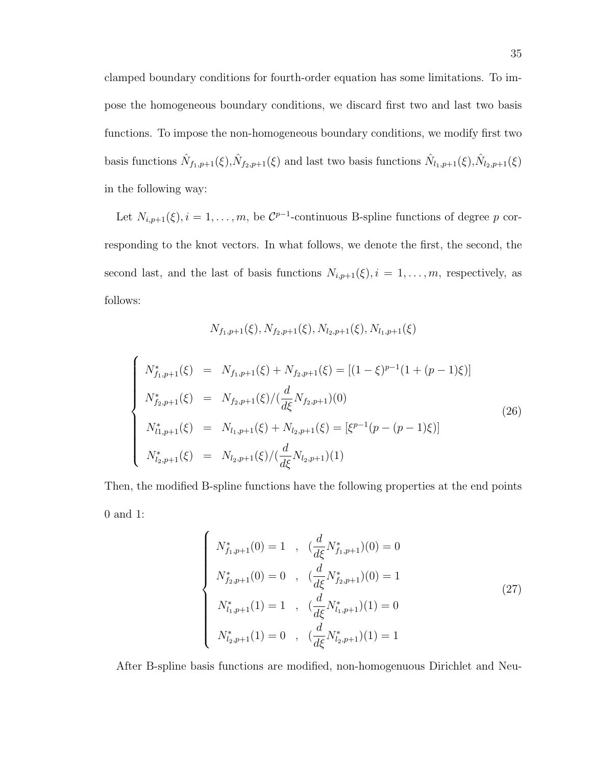clamped boundary conditions for fourth-order equation has some limitations. To impose the homogeneous boundary conditions, we discard first two and last two basis functions. To impose the non-homogeneous boundary conditions, we modify first two basis functions  $\hat{N}_{f_1,p+1}(\xi), \hat{N}_{f_2,p+1}(\xi)$  and last two basis functions  $\hat{N}_{l_1,p+1}(\xi), \hat{N}_{l_2,p+1}(\xi)$ in the following way:

Let  $N_{i,p+1}(\xi)$ ,  $i = 1, \ldots, m$ , be  $\mathcal{C}^{p-1}$ -continuous B-spline functions of degree p corresponding to the knot vectors. In what follows, we denote the first, the second, the second last, and the last of basis functions  $N_{i,p+1}(\xi)$ ,  $i = 1, \ldots, m$ , respectively, as follows:

$$
N_{f_1,p+1}(\xi), N_{f_2,p+1}(\xi), N_{l_2,p+1}(\xi), N_{l_1,p+1}(\xi)
$$

$$
\begin{cases}\nN_{f_1,p+1}^*(\xi) = N_{f_1,p+1}(\xi) + N_{f_2,p+1}(\xi) = [(1-\xi)^{p-1}(1+(p-1)\xi)] \\
N_{f_2,p+1}^*(\xi) = N_{f_2,p+1}(\xi) / (\frac{d}{d\xi}N_{f_2,p+1})(0) \\
N_{l_1,p+1}^*(\xi) = N_{l_1,p+1}(\xi) + N_{l_2,p+1}(\xi) = [\xi^{p-1}(p-(p-1)\xi)] \\
N_{l_2,p+1}^*(\xi) = N_{l_2,p+1}(\xi) / (\frac{d}{d\xi}N_{l_2,p+1})(1)\n\end{cases}
$$
\n(26)

Then, the modified B-spline functions have the following properties at the end points 0 and 1:

$$
\begin{cases}\nN_{f_1,p+1}^*(0) = 1, & (\frac{d}{d\xi} N_{f_1,p+1}^*)(0) = 0 \\
N_{f_2,p+1}^*(0) = 0, & (\frac{d}{d\xi} N_{f_2,p+1}^*)(0) = 1 \\
N_{l_1,p+1}^*(1) = 1, & (\frac{d}{d\xi} N_{l_1,p+1}^*)(1) = 0 \\
N_{l_2,p+1}^*(1) = 0, & (\frac{d}{d\xi} N_{l_2,p+1}^*)(1) = 1\n\end{cases}
$$
\n(27)

After B-spline basis functions are modified, non-homogenuous Dirichlet and Neu-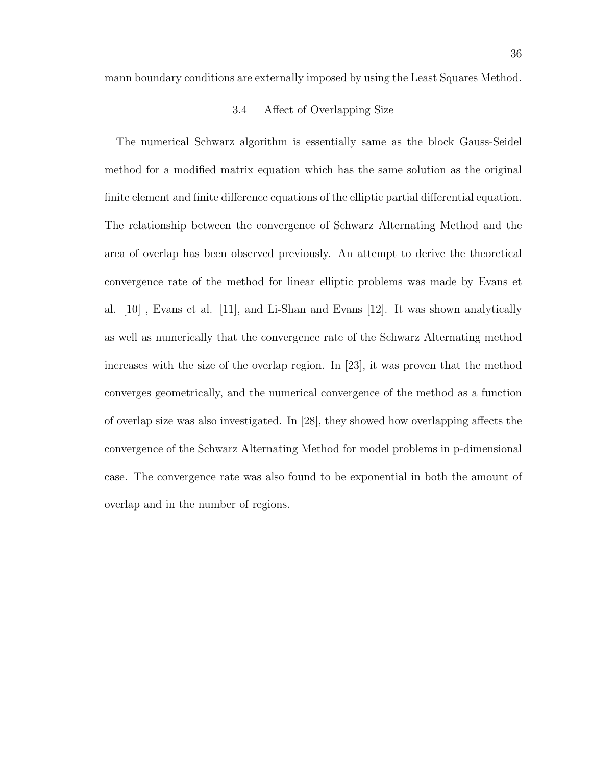mann boundary conditions are externally imposed by using the Least Squares Method.

#### 3.4 Affect of Overlapping Size

The numerical Schwarz algorithm is essentially same as the block Gauss-Seidel method for a modified matrix equation which has the same solution as the original finite element and finite difference equations of the elliptic partial differential equation. The relationship between the convergence of Schwarz Alternating Method and the area of overlap has been observed previously. An attempt to derive the theoretical convergence rate of the method for linear elliptic problems was made by Evans et al. [10] , Evans et al. [11], and Li-Shan and Evans [12]. It was shown analytically as well as numerically that the convergence rate of the Schwarz Alternating method increases with the size of the overlap region. In [23], it was proven that the method converges geometrically, and the numerical convergence of the method as a function of overlap size was also investigated. In [28], they showed how overlapping affects the convergence of the Schwarz Alternating Method for model problems in p-dimensional case. The convergence rate was also found to be exponential in both the amount of overlap and in the number of regions.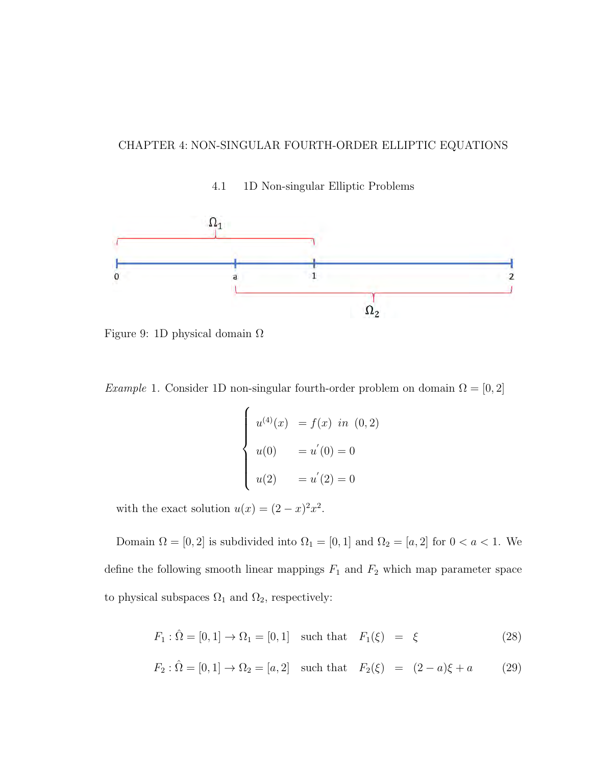## CHAPTER 4: NON-SINGULAR FOURTH-ORDER ELLIPTIC EQUATIONS

4.1 1D Non-singular Elliptic Problems



Figure 9: 1D physical domain  $\Omega$ 

Example 1. Consider 1D non-singular fourth-order problem on domain  $\Omega = [0, 2]$ 

$$
\begin{cases}\nu^{(4)}(x) &= f(x) \text{ in } (0,2) \\
u(0) &= u'(0) = 0 \\
u(2) &= u'(2) = 0\n\end{cases}
$$

with the exact solution  $u(x) = (2 - x)^2 x^2$ .

Domain  $\Omega = [0, 2]$  is subdivided into  $\Omega_1 = [0, 1]$  and  $\Omega_2 = [a, 2]$  for  $0 < a < 1$ . We define the following smooth linear mappings  $F_1$  and  $F_2$  which map parameter space to physical subspaces  $\Omega_1$  and  $\Omega_2$ , respectively:

$$
F_1: \hat{\Omega} = [0, 1] \to \Omega_1 = [0, 1] \text{ such that } F_1(\xi) = \xi \tag{28}
$$

$$
F_2: \hat{\Omega} = [0, 1] \to \Omega_2 = [a, 2] \text{ such that } F_2(\xi) = (2 - a)\xi + a \quad (29)
$$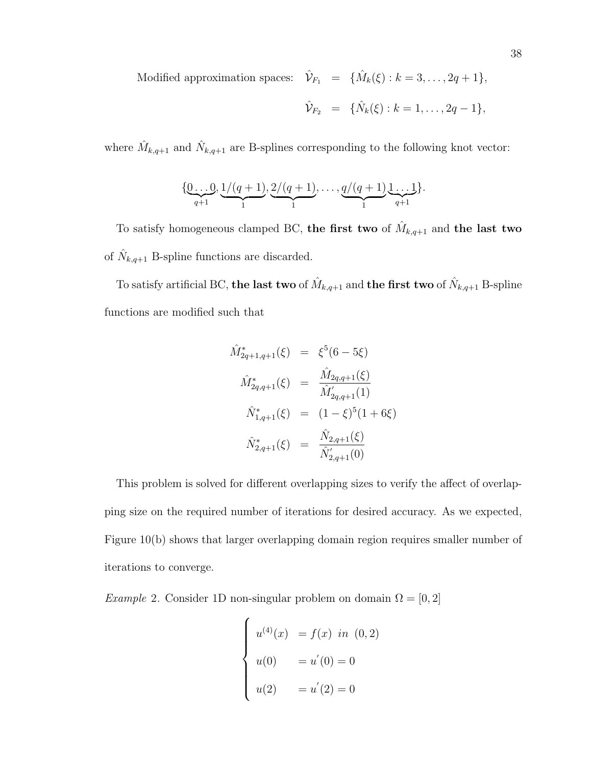Modified approximation spaces:  $\hat{\mathcal{V}}_{F_1} = {\hat{M}_k(\xi) : k = 3, ..., 2q+1},$ 

$$
\hat{\mathcal{V}}_{F_2} = \{\hat{N}_k(\xi) : k = 1, \ldots, 2q - 1\},\
$$

where  $\hat{M}_{k,q+1}$  and  $\hat{N}_{k,q+1}$  are B-splines corresponding to the following knot vector:

$$
\{\underbrace{0\ldots 0}_{q+1}, \underbrace{1/(q+1)}_{1}, \underbrace{2/(q+1)}_{1}, \ldots, \underbrace{q/(q+1)}_{1}, \underbrace{1\ldots 1}_{q+1}\}.
$$

To satisfy homogeneous clamped BC, the first two of  $\hat{M}_{k,q+1}$  and the last two of  $\hat{N}_{k,q+1}$  B-spline functions are discarded.

To satisfy artificial BC, the last two of  $\hat{M}_{k,q+1}$  and the first two of  $\hat{N}_{k,q+1}$  B-spline functions are modified such that

$$
\hat{M}_{2q+1,q+1}^{*}(\xi) = \xi^{5}(6-5\xi)
$$
\n
$$
\hat{M}_{2q,q+1}^{*}(\xi) = \frac{\hat{M}_{2q,q+1}(\xi)}{\hat{M}_{2q,q+1}'(1)}
$$
\n
$$
\hat{N}_{1,q+1}^{*}(\xi) = (1-\xi)^{5}(1+6\xi)
$$
\n
$$
\hat{N}_{2,q+1}^{*}(\xi) = \frac{\hat{N}_{2,q+1}(\xi)}{\hat{N}_{2,q+1}'(0)}
$$

This problem is solved for different overlapping sizes to verify the affect of overlapping size on the required number of iterations for desired accuracy. As we expected, Figure 10(b) shows that larger overlapping domain region requires smaller number of iterations to converge.

Example 2. Consider 1D non-singular problem on domain  $\Omega = [0, 2]$ 

$$
\begin{cases}\nu^{(4)}(x) &= f(x) \text{ in } (0,2) \\
u(0) &= u'(0) = 0 \\
u(2) &= u'(2) = 0\n\end{cases}
$$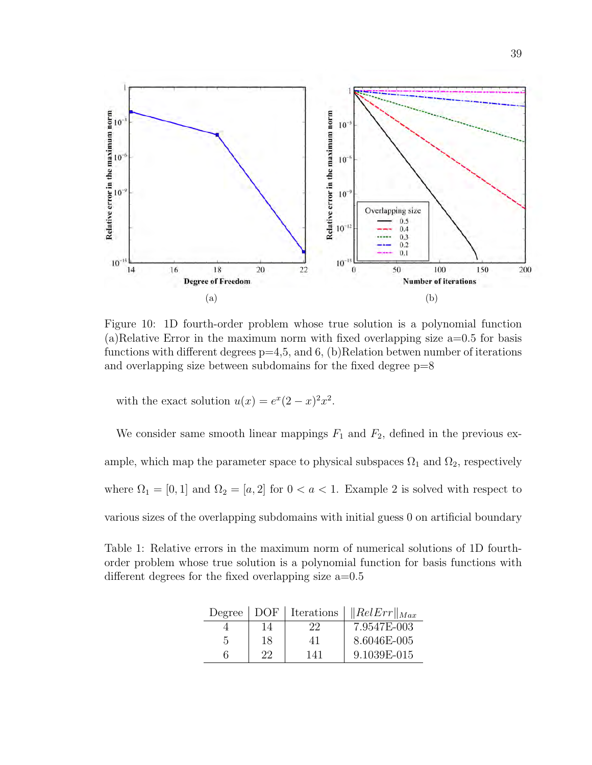

Figure 10: 1D fourth-order problem whose true solution is a polynomial function (a)Relative Error in the maximum norm with fixed overlapping size a=0.5 for basis functions with different degrees  $p=4,5$ , and 6, (b)Relation betwen number of iterations and overlapping size between subdomains for the fixed degree p=8

with the exact solution  $u(x) = e^x(2-x)^2x^2$ .

We consider same smooth linear mappings  $F_1$  and  $F_2$ , defined in the previous example, which map the parameter space to physical subspaces  $\Omega_1$  and  $\Omega_2$ , respectively where  $\Omega_1 = [0, 1]$  and  $\Omega_2 = [a, 2]$  for  $0 < a < 1$ . Example 2 is solved with respect to various sizes of the overlapping subdomains with initial guess 0 on artificial boundary

Table 1: Relative errors in the maximum norm of numerical solutions of 1D fourthorder problem whose true solution is a polynomial function for basis functions with different degrees for the fixed overlapping size  $a=0.5$ 

|   | Degree   DOF | Iterations | $\ RelErr\ _{Max}$ |
|---|--------------|------------|--------------------|
|   | 14           | 22         | 7.9547E-003        |
| 5 | 18           | 41         | 8.6046E-005        |
|   | 99           | 141        | 9.1039E-015        |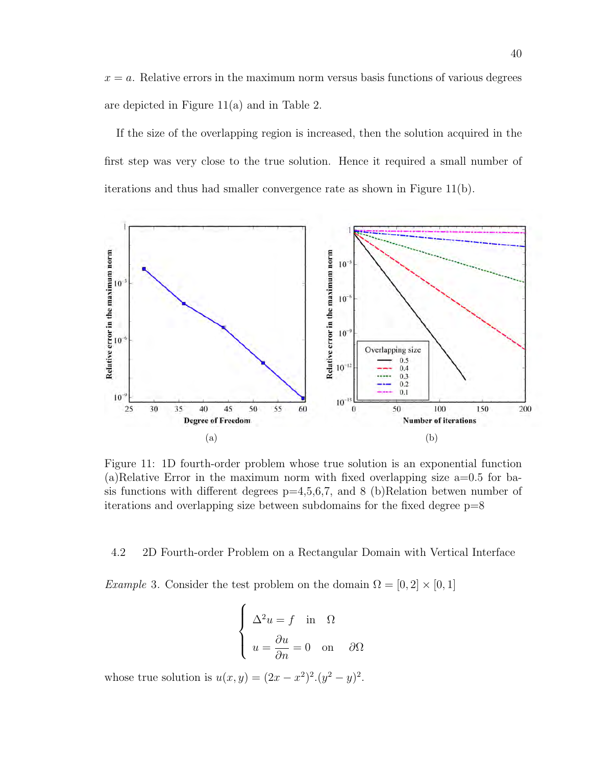$x = a$ . Relative errors in the maximum norm versus basis functions of various degrees are depicted in Figure 11(a) and in Table 2.

If the size of the overlapping region is increased, then the solution acquired in the first step was very close to the true solution. Hence it required a small number of iterations and thus had smaller convergence rate as shown in Figure 11(b).



Figure 11: 1D fourth-order problem whose true solution is an exponential function  $(a)$ Relative Error in the maximum norm with fixed overlapping size a=0.5 for basis functions with different degrees  $p=4,5,6,7$ , and 8 (b)Relation betwen number of iterations and overlapping size between subdomains for the fixed degree  $p=8$ 

#### 4.2 2D Fourth-order Problem on a Rectangular Domain with Vertical Interface

*Example* 3. Consider the test problem on the domain  $\Omega = [0, 2] \times [0, 1]$ 

$$
\begin{cases}\n\Delta^2 u = f \text{ in } \Omega \\
u = \frac{\partial u}{\partial n} = 0 \text{ on } \partial \Omega\n\end{cases}
$$

whose true solution is  $u(x, y) = (2x - x^2)^2 (y^2 - y)^2$ .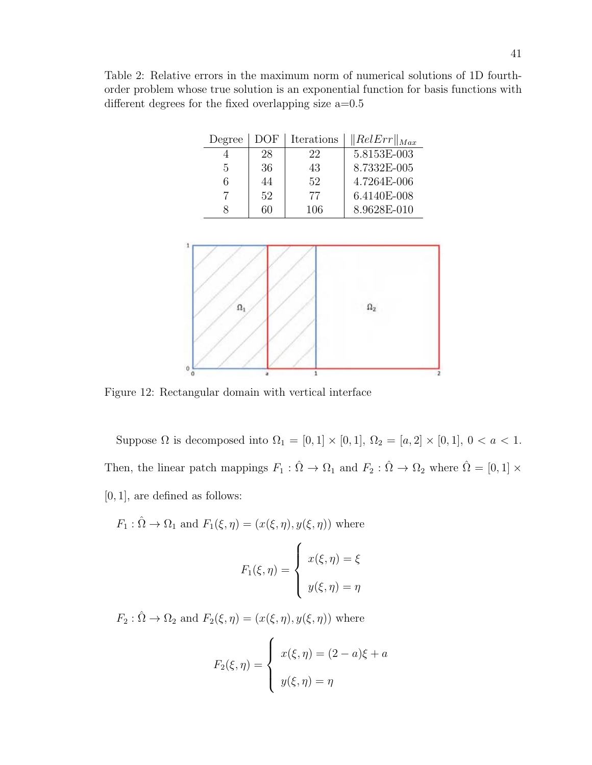Table 2: Relative errors in the maximum norm of numerical solutions of 1D fourthorder problem whose true solution is an exponential function for basis functions with different degrees for the fixed overlapping size  $a=0.5$ 

| Degree | DOF | Iterations | $\ RelErr\ _{Max}$ |
|--------|-----|------------|--------------------|
|        | 28  | 22         | $5.8153E-003$      |
| 5      | 36  | 43         | 8.7332E-005        |
| 6      | 44  | 52         | 4.7264E-006        |
|        | 52  | 77         | 6.4140E-008        |
|        |     | 106        | 8.9628E-010        |



Figure 12: Rectangular domain with vertical interface

Suppose  $\Omega$  is decomposed into  $\Omega_1 = [0, 1] \times [0, 1]$ ,  $\Omega_2 = [a, 2] \times [0, 1]$ ,  $0 < a < 1$ . Then, the linear patch mappings  $F_1 : \hat{\Omega} \to \Omega_1$  and  $F_2 : \hat{\Omega} \to \Omega_2$  where  $\hat{\Omega} = [0, 1] \times$ [0, 1], are defined as follows:

 $F_1 : \hat{\Omega} \to \Omega_1$  and  $F_1(\xi, \eta) = (x(\xi, \eta), y(\xi, \eta))$  where

$$
F_1(\xi, \eta) = \begin{cases} x(\xi, \eta) = \xi \\ y(\xi, \eta) = \eta \end{cases}
$$

 $F_2 : \hat{\Omega} \to \Omega_2$  and  $F_2(\xi, \eta) = (x(\xi, \eta), y(\xi, \eta))$  where

$$
F_2(\xi, \eta) = \begin{cases} x(\xi, \eta) = (2 - a)\xi + a \\ y(\xi, \eta) = \eta \end{cases}
$$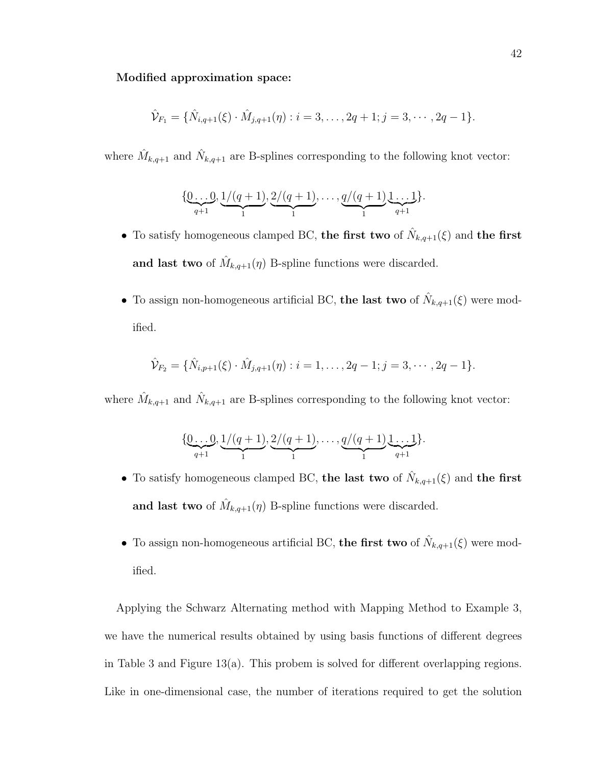#### Modified approximation space:

$$
\hat{\mathcal{V}}_{F_1} = \{ \hat{N}_{i,q+1}(\xi) \cdot \hat{M}_{j,q+1}(\eta) : i = 3, \dots, 2q+1; j = 3, \dots, 2q-1 \}.
$$

where  $\hat{M}_{k,q+1}$  and  $\hat{N}_{k,q+1}$  are B-splines corresponding to the following knot vector:

$$
\{\underbrace{0\ldots 0}_{q+1},\underbrace{1/(q+1)}_{1},\underbrace{2/(q+1)}_{1},\ldots,\underbrace{q/(q+1)}_{1}\underbrace{1\ldots 1}_{q+1}\}.
$$

- To satisfy homogeneous clamped BC, the first two of  $\hat{N}_{k,q+1}(\xi)$  and the first and last two of  $\hat{M}_{k,q+1}(\eta)$  B-spline functions were discarded.
- To assign non-homogeneous artificial BC, the last two of  $\hat{N}_{k,q+1}(\xi)$  were modified.

$$
\hat{\mathcal{V}}_{F_2} = \{ \hat{N}_{i,p+1}(\xi) \cdot \hat{M}_{j,q+1}(\eta) : i = 1, \dots, 2q-1; j = 3, \dots, 2q-1 \}.
$$

where  $\hat{M}_{k,q+1}$  and  $\hat{N}_{k,q+1}$  are B-splines corresponding to the following knot vector:

$$
\{\underbrace{0\ldots 0}_{q+1}, \underbrace{1/(q+1)}_{1}, \underbrace{2/(q+1)}_{1}, \ldots, \underbrace{q/(q+1)}_{1}, \underbrace{1\ldots 1}_{q+1}\}.
$$

- To satisfy homogeneous clamped BC, the last two of  $\hat{N}_{k,q+1}(\xi)$  and the first and last two of  $\hat{M}_{k,q+1}(\eta)$  B-spline functions were discarded.
- To assign non-homogeneous artificial BC, the first two of  $\hat{N}_{k,q+1}(\xi)$  were modified.

Applying the Schwarz Alternating method with Mapping Method to Example 3, we have the numerical results obtained by using basis functions of different degrees in Table 3 and Figure 13(a). This probem is solved for different overlapping regions. Like in one-dimensional case, the number of iterations required to get the solution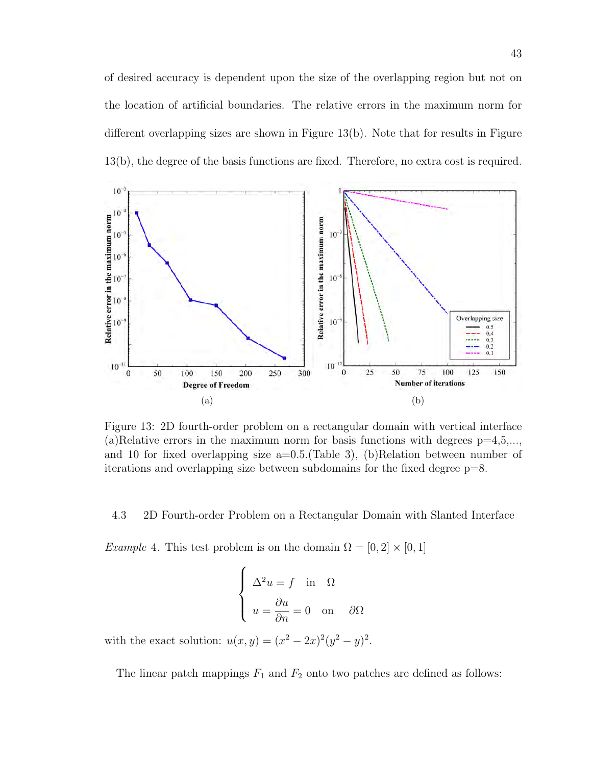of desired accuracy is dependent upon the size of the overlapping region but not on the location of artificial boundaries. The relative errors in the maximum norm for different overlapping sizes are shown in Figure 13(b). Note that for results in Figure 13(b), the degree of the basis functions are fixed. Therefore, no extra cost is required.



Figure 13: 2D fourth-order problem on a rectangular domain with vertical interface (a)Relative errors in the maximum norm for basis functions with degrees  $p=4,5,...$ , and 10 for fixed overlapping size  $a=0.5$ . (Table 3), (b)Relation between number of iterations and overlapping size between subdomains for the fixed degree p=8.

4.3 2D Fourth-order Problem on a Rectangular Domain with Slanted Interface

*Example* 4. This test problem is on the domain  $\Omega = [0, 2] \times [0, 1]$ 

$$
\begin{cases}\n\Delta^2 u = f \text{ in } \Omega \\
u = \frac{\partial u}{\partial n} = 0 \text{ on } \partial \Omega\n\end{cases}
$$

with the exact solution:  $u(x, y) = (x^2 - 2x)^2(y^2 - y)^2$ .

The linear patch mappings  $F_1$  and  $F_2$  onto two patches are defined as follows: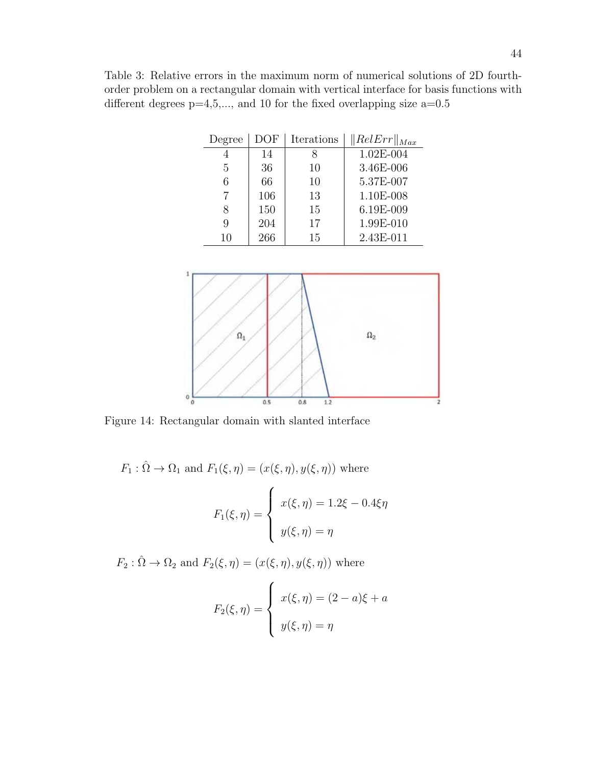Table 3: Relative errors in the maximum norm of numerical solutions of 2D fourthorder problem on a rectangular domain with vertical interface for basis functions with different degrees  $p=4,5,...$ , and 10 for the fixed overlapping size  $a=0.5$ 

| Degree | DOF | Iterations | $\ RelErr\ _{Max}$ |
|--------|-----|------------|--------------------|
|        | 14  |            | 1.02E-004          |
| 5      | 36  | 10         | 3.46E-006          |
| 6      | 66  | 10         | 5.37E-007          |
|        | 106 | 13         | 1.10E-008          |
|        | 150 | 15         | 6.19E-009          |
| 9      | 204 | 17         | 1.99E-010          |
| 10     | 266 | 15         | 2.43E-011          |



Figure 14: Rectangular domain with slanted interface

 $F_1 : \hat{\Omega} \to \Omega_1$  and  $F_1(\xi, \eta) = (x(\xi, \eta), y(\xi, \eta))$  where  $F_1(\xi,\eta) =$  $\sqrt{ }$  $\int$  $\overline{\mathcal{L}}$  $x(\xi, \eta) = 1.2\xi - 0.4\xi\eta$  $y(\xi, \eta) = \eta$ 

 $F_2 : \hat{\Omega} \to \Omega_2$  and  $F_2(\xi, \eta) = (x(\xi, \eta), y(\xi, \eta))$  where

$$
F_2(\xi, \eta) = \begin{cases} x(\xi, \eta) = (2 - a)\xi + a \\ y(\xi, \eta) = \eta \end{cases}
$$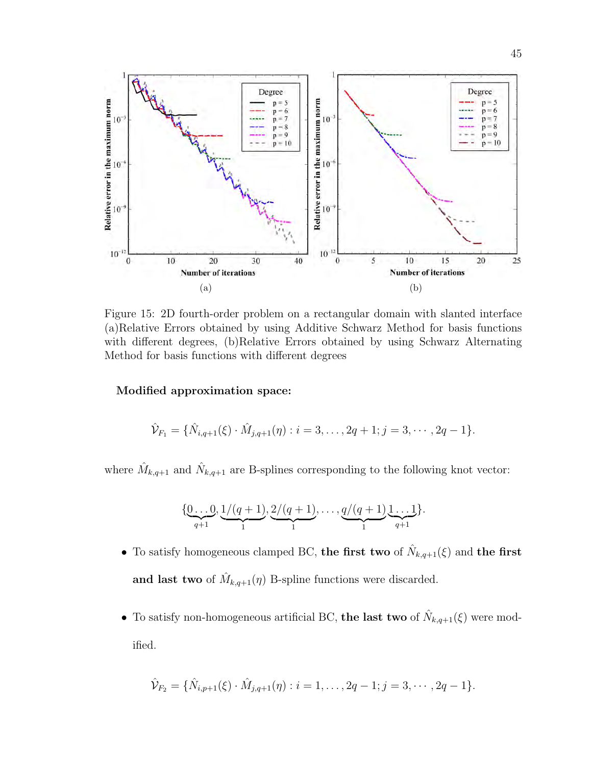

Figure 15: 2D fourth-order problem on a rectangular domain with slanted interface (a)Relative Errors obtained by using Additive Schwarz Method for basis functions with different degrees, (b)Relative Errors obtained by using Schwarz Alternating Method for basis functions with different degrees

#### Modified approximation space:

$$
\hat{\mathcal{V}}_{F_1} = \{ \hat{N}_{i,q+1}(\xi) \cdot \hat{M}_{j,q+1}(\eta) : i = 3, \dots, 2q+1; j = 3, \dots, 2q-1 \}.
$$

where  $\hat{M}_{k,q+1}$  and  $\hat{N}_{k,q+1}$  are B-splines corresponding to the following knot vector:

$$
\{\underbrace{0\ldots 0}_{q+1}, \underbrace{1/(q+1)}_{1}, \underbrace{2/(q+1)}_{1}, \ldots, \underbrace{q/(q+1)}_{1}, \underbrace{1\ldots 1}_{q+1}\}.
$$

- To satisfy homogeneous clamped BC, the first two of  $\hat{N}_{k,q+1}(\xi)$  and the first and last two of  $\hat{M}_{k,q+1}(\eta)$  B-spline functions were discarded.
- To satisfy non-homogeneous artificial BC, the last two of  $\hat{N}_{k,q+1}(\xi)$  were modified.

$$
\hat{\mathcal{V}}_{F_2} = \{ \hat{N}_{i,p+1}(\xi) \cdot \hat{M}_{j,q+1}(\eta) : i = 1, \ldots, 2q-1; j = 3, \cdots, 2q-1 \}.
$$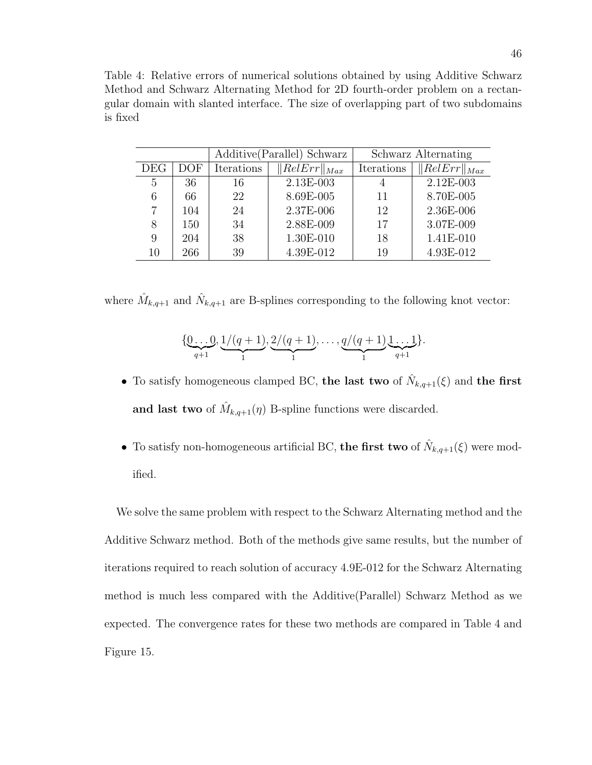Table 4: Relative errors of numerical solutions obtained by using Additive Schwarz Method and Schwarz Alternating Method for 2D fourth-order problem on a rectangular domain with slanted interface. The size of overlapping part of two subdomains is fixed

|     |     |            | Additive (Parallel) Schwarz   | Schwarz Alternating |                   |
|-----|-----|------------|-------------------------------|---------------------|-------------------|
| DEG | DOF | Iterations | $\overline{  }RelErr  _{Max}$ | Iterations          | $ RelErr _{Max} $ |
| 5   | 36  | 16         | 2.13E-003                     | 4                   | 2.12E-003         |
| 6   | 66  | 22         | 8.69E-005                     | 11                  | 8.70E-005         |
|     | 104 | 24         | 2.37E-006                     | 12                  | 2.36E-006         |
| 8   | 150 | 34         | 2.88E-009                     | 17                  | 3.07E-009         |
| 9   | 204 | 38         | 1.30E-010                     | 18                  | 1.41E-010         |
| 10  | 266 | 39         | 4.39E-012                     | 19                  | 4.93E-012         |

where  $\hat{M}_{k,q+1}$  and  $\hat{N}_{k,q+1}$  are B-splines corresponding to the following knot vector:

$$
\{\underbrace{0\ldots 0}_{q+1}, \underbrace{1/(q+1)}_{1}, \underbrace{2/(q+1)}_{1}, \ldots, \underbrace{q/(q+1)}_{1}, \underbrace{1\ldots 1}_{q+1}\}.
$$

- To satisfy homogeneous clamped BC, the last two of  $\hat{N}_{k,q+1}(\xi)$  and the first and last two of  $\hat{M}_{k,q+1}(\eta)$  B-spline functions were discarded.
- To satisfy non-homogeneous artificial BC, the first two of  $\hat{N}_{k,q+1}(\xi)$  were modified.

We solve the same problem with respect to the Schwarz Alternating method and the Additive Schwarz method. Both of the methods give same results, but the number of iterations required to reach solution of accuracy 4.9E-012 for the Schwarz Alternating method is much less compared with the Additive(Parallel) Schwarz Method as we expected. The convergence rates for these two methods are compared in Table 4 and Figure 15.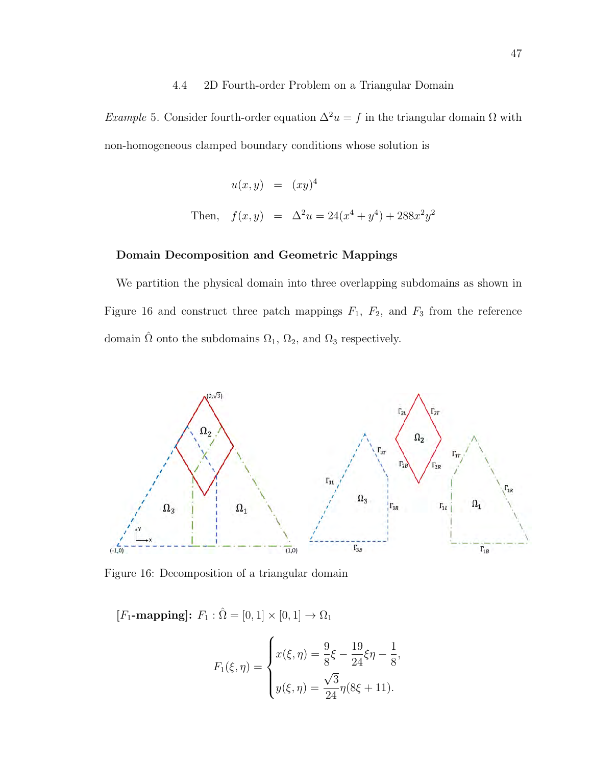#### 4.4 2D Fourth-order Problem on a Triangular Domain

Example 5. Consider fourth-order equation  $\Delta^2 u = f$  in the triangular domain  $\Omega$  with non-homogeneous clamped boundary conditions whose solution is

$$
u(x, y) = (xy)^4
$$
  
Then,  $f(x, y) = \Delta^2 u = 24(x^4 + y^4) + 288x^2y^2$ 

#### Domain Decomposition and Geometric Mappings

We partition the physical domain into three overlapping subdomains as shown in Figure 16 and construct three patch mappings  $F_1$ ,  $F_2$ , and  $F_3$  from the reference domain  $\hat{\Omega}$  onto the subdomains  $\Omega_1$ ,  $\Omega_2$ , and  $\Omega_3$  respectively.



Figure 16: Decomposition of a triangular domain

[ $F_1$ -mapping]:  $F_1 : \hat{\Omega} = [0, 1] \times [0, 1] \rightarrow \Omega_1$ 

$$
F_1(\xi, \eta) = \begin{cases} x(\xi, \eta) = \frac{9}{8}\xi - \frac{19}{24}\xi\eta - \frac{1}{8}, \\ y(\xi, \eta) = \frac{\sqrt{3}}{24}\eta(8\xi + 11). \end{cases}
$$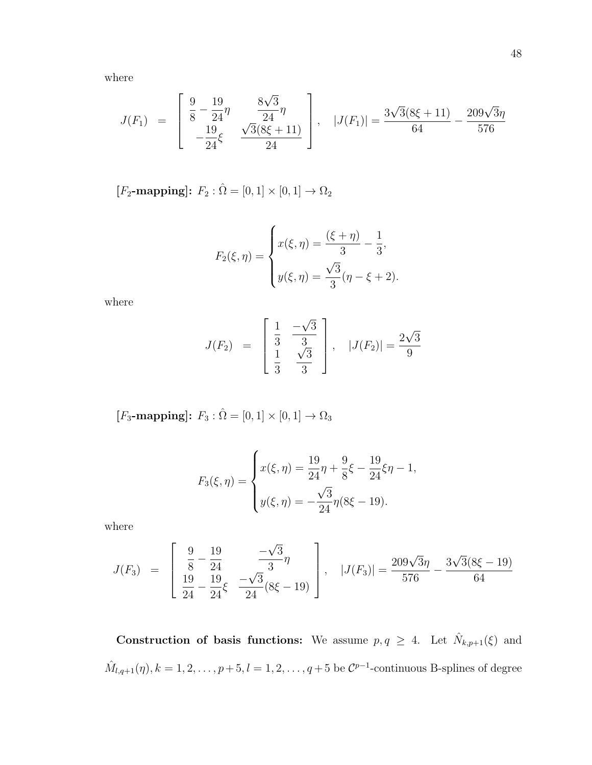where

$$
J(F_1) = \begin{bmatrix} \frac{9}{8} - \frac{19}{24} \eta & \frac{8\sqrt{3}}{24} \eta \\ -\frac{19}{24} \xi & \frac{\sqrt{3}(8\xi + 11)}{24} \end{bmatrix}, \quad |J(F_1)| = \frac{3\sqrt{3}(8\xi + 11)}{64} - \frac{209\sqrt{3}\eta}{576}
$$

 $\textcolor{black}{\left[F_2\textbf{-mapping}\right]}\colon\thinspace F_2:\hat{\Omega}=[0,1]\times[0,1]\to\Omega_2$ 

$$
F_2(\xi, \eta) = \begin{cases} x(\xi, \eta) = \frac{(\xi + \eta)}{3} - \frac{1}{3}, \\ y(\xi, \eta) = \frac{\sqrt{3}}{3}(\eta - \xi + 2). \end{cases}
$$

where

$$
J(F_2) = \begin{bmatrix} \frac{1}{3} & \frac{-\sqrt{3}}{3} \\ \frac{1}{3} & \frac{\sqrt{3}}{3} \end{bmatrix}, \quad |J(F_2)| = \frac{2\sqrt{3}}{9}
$$

 $[F_3\text{-mapping}]\colon\thinspace F_3:\hat\Omega=[0,1]\times[0,1]\to\Omega_3$ 

$$
F_3(\xi, \eta) = \begin{cases} x(\xi, \eta) = \frac{19}{24}\eta + \frac{9}{8}\xi - \frac{19}{24}\xi\eta - 1, \\ y(\xi, \eta) = -\frac{\sqrt{3}}{24}\eta(8\xi - 19). \end{cases}
$$

where

$$
J(F_3) = \begin{bmatrix} \frac{9}{8} - \frac{19}{24} & -\frac{\sqrt{3}}{3} \eta \\ \frac{19}{24} - \frac{19}{24} \xi & \frac{-\sqrt{3}}{24} (8\xi - 19) \end{bmatrix}, \quad |J(F_3)| = \frac{209\sqrt{3}\eta}{576} - \frac{3\sqrt{3}(8\xi - 19)}{64}
$$

Construction of basis functions: We assume  $p, q \geq 4$ . Let  $\hat{N}_{k,p+1}(\xi)$  and  $\hat{M}_{l,q+1}(\eta), k = 1, 2, \ldots, p+5, l = 1, 2, \ldots, q+5$  be  $\mathcal{C}^{p-1}$ -continuous B-splines of degree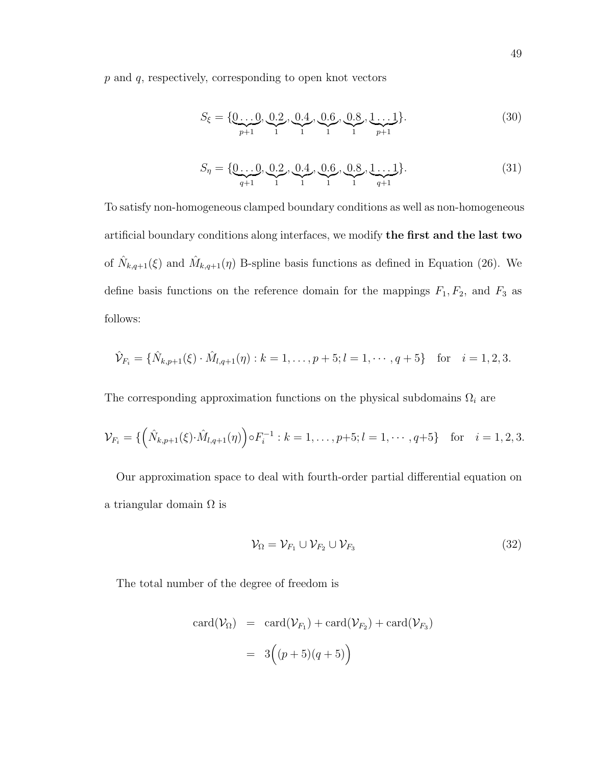p and q, respectively, corresponding to open knot vectors

$$
S_{\xi} = \{ \underbrace{0...0}_{p+1}, \underbrace{0.2}_{1}, \underbrace{0.4}_{1}, \underbrace{0.6}_{1}, \underbrace{0.8}_{1}, \underbrace{1...1}_{p+1} \}. \tag{30}
$$

$$
S_{\eta} = \{ \underbrace{0 \dots 0}_{q+1}, \underbrace{0.2}_{1}, \underbrace{0.4}_{1}, \underbrace{0.6}_{1}, \underbrace{0.8}_{1}, \underbrace{1 \dots 1}_{q+1} \}. \tag{31}
$$

To satisfy non-homogeneous clamped boundary conditions as well as non-homogeneous artificial boundary conditions along interfaces, we modify the first and the last two of  $\hat{N}_{k,q+1}(\xi)$  and  $\hat{M}_{k,q+1}(\eta)$  B-spline basis functions as defined in Equation (26). We define basis functions on the reference domain for the mappings  $F_1, F_2$ , and  $F_3$  as follows:

$$
\hat{\mathcal{V}}_{F_i} = \{ \hat{N}_{k,p+1}(\xi) \cdot \hat{M}_{l,q+1}(\eta) : k = 1, \dots, p+5; l = 1, \dots, q+5 \} \text{ for } i = 1, 2, 3.
$$

The corresponding approximation functions on the physical subdomains  $\Omega_i$  are

$$
\mathcal{V}_{F_i} = \{ \left( \hat{N}_{k,p+1}(\xi) \cdot \hat{M}_{l,q+1}(\eta) \right) \circ F_i^{-1} : k = 1, \dots, p+5; l = 1, \dots, q+5 \} \text{ for } i = 1, 2, 3.
$$

Our approximation space to deal with fourth-order partial differential equation on a triangular domain  $\Omega$  is

$$
\mathcal{V}_{\Omega} = \mathcal{V}_{F_1} \cup \mathcal{V}_{F_2} \cup \mathcal{V}_{F_3} \tag{32}
$$

The total number of the degree of freedom is

$$
card(\mathcal{V}_{\Omega}) = card(\mathcal{V}_{F_1}) + card(\mathcal{V}_{F_2}) + card(\mathcal{V}_{F_3})
$$

$$
= 3((p+5)(q+5))
$$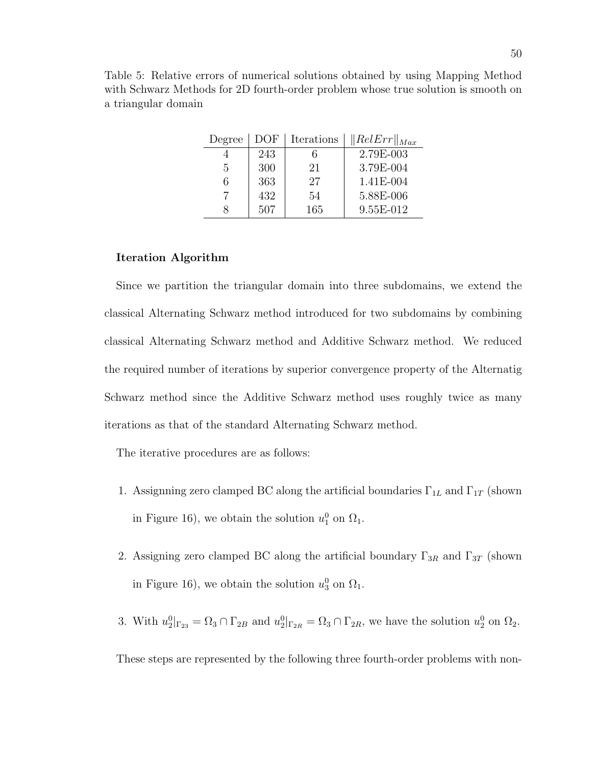| Degree | DOF | Iterations | $\ RelErr\ _{Max}$ |
|--------|-----|------------|--------------------|
|        | 243 |            | 2.79E-003          |
| 5      | 300 | 21         | 3.79E-004          |
| 6      | 363 | 27         | 1.41E-004          |
|        | 432 | 54         | 5.88E-006          |
| 8      | 507 | 165        | 9.55E-012          |

#### Iteration Algorithm

Since we partition the triangular domain into three subdomains, we extend the classical Alternating Schwarz method introduced for two subdomains by combining classical Alternating Schwarz method and Additive Schwarz method. We reduced the required number of iterations by superior convergence property of the Alternatig Schwarz method since the Additive Schwarz method uses roughly twice as many iterations as that of the standard Alternating Schwarz method.

The iterative procedures are as follows:

- 1. Assignning zero clamped BC along the artificial boundaries  $\Gamma_{1L}$  and  $\Gamma_{1T}$  (shown in Figure 16), we obtain the solution  $u_1^0$  on  $\Omega_1$ .
- 2. Assigning zero clamped BC along the artificial boundary  $\Gamma_{3R}$  and  $\Gamma_{3T}$  (shown in Figure 16), we obtain the solution  $u_3^0$  on  $\Omega_1$ .
- 3. With  $u_2^0|_{\Gamma_{23}} = \Omega_3 \cap \Gamma_{2B}$  and  $u_2^0|_{\Gamma_{2R}} = \Omega_3 \cap \Gamma_{2R}$ , we have the solution  $u_2^0$  on  $\Omega_2$ .

These steps are represented by the following three fourth-order problems with non-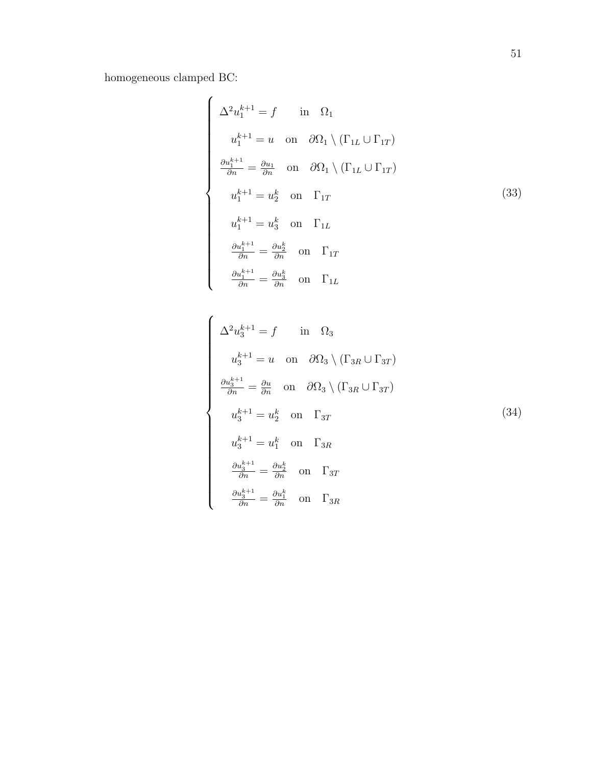homogeneous clamped BC:

 $\begin{picture}(180,10) \put(0,0){\line(1,0){10}} \put(10,0){\line(1,0){10}} \put(10,0){\line(1,0){10}} \put(10,0){\line(1,0){10}} \put(10,0){\line(1,0){10}} \put(10,0){\line(1,0){10}} \put(10,0){\line(1,0){10}} \put(10,0){\line(1,0){10}} \put(10,0){\line(1,0){10}} \put(10,0){\line(1,0){10}} \put(10,0){\line(1,0){10}} \put(10,0){\line($ 

$$
\begin{cases}\n\Delta^2 u_1^{k+1} = f & \text{in } \Omega_1 \\
u_1^{k+1} = u & \text{on } \partial \Omega_1 \setminus (\Gamma_{1L} \cup \Gamma_{1T}) \\
\frac{\partial u_1^{k+1}}{\partial n} = \frac{\partial u_1}{\partial n} & \text{on } \partial \Omega_1 \setminus (\Gamma_{1L} \cup \Gamma_{1T}) \\
u_1^{k+1} = u_2^k & \text{on } \Gamma_{1T} \\
u_1^{k+1} = u_3^k & \text{on } \Gamma_{1L} \\
\frac{\partial u_1^{k+1}}{\partial n} = \frac{\partial u_2^k}{\partial n} & \text{on } \Gamma_{1T} \\
\frac{\partial u_1^{k+1}}{\partial n} = \frac{\partial u_3^k}{\partial n} & \text{on } \Gamma_{1L}\n\end{cases}
$$
\n(33)

$$
\Delta^2 u_3^{k+1} = f \quad \text{in} \quad \Omega_3
$$
  
\n
$$
u_3^{k+1} = u \quad \text{on} \quad \partial \Omega_3 \setminus (\Gamma_{3R} \cup \Gamma_{3T})
$$
  
\n
$$
\frac{\partial u_3^{k+1}}{\partial n} = \frac{\partial u}{\partial n} \quad \text{on} \quad \partial \Omega_3 \setminus (\Gamma_{3R} \cup \Gamma_{3T})
$$
  
\n
$$
u_3^{k+1} = u_2^k \quad \text{on} \quad \Gamma_{3T}
$$
  
\n
$$
u_3^{k+1} = u_1^k \quad \text{on} \quad \Gamma_{3R}
$$
  
\n
$$
\frac{\partial u_3^{k+1}}{\partial n} = \frac{\partial u_2^k}{\partial n} \quad \text{on} \quad \Gamma_{3T}
$$
  
\n
$$
\frac{\partial u_3^{k+1}}{\partial n} = \frac{\partial u_1^k}{\partial n} \quad \text{on} \quad \Gamma_{3R}
$$
  
\n(34)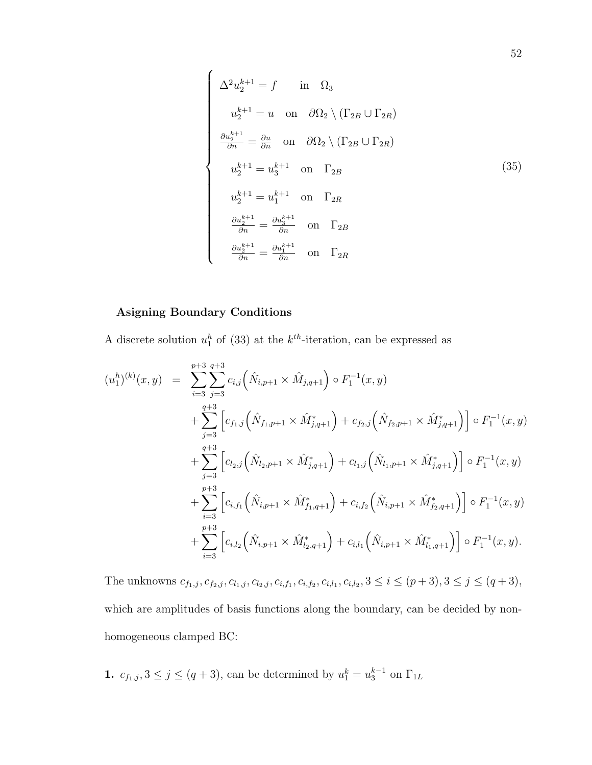$$
\begin{cases}\n\Delta^2 u_2^{k+1} = f & \text{in } \Omega_3 \\
u_2^{k+1} = u & \text{on } \partial\Omega_2 \setminus (\Gamma_{2B} \cup \Gamma_{2R}) \\
\frac{\partial u_2^{k+1}}{\partial n} = \frac{\partial u}{\partial n} & \text{on } \partial\Omega_2 \setminus (\Gamma_{2B} \cup \Gamma_{2R}) \\
u_2^{k+1} = u_3^{k+1} & \text{on } \Gamma_{2B} \\
u_2^{k+1} = u_1^{k+1} & \text{on } \Gamma_{2R} \\
\frac{\partial u_2^{k+1}}{\partial n} = \frac{\partial u_3^{k+1}}{\partial n} & \text{on } \Gamma_{2B} \\
\frac{\partial u_2^{k+1}}{\partial n} = \frac{\partial u_1^{k+1}}{\partial n} & \text{on } \Gamma_{2R}\n\end{cases}
$$
\n(35)

### Asigning Boundary Conditions

A discrete solution  $u_1^h$  of (33) at the  $k^{th}$ -iteration, can be expressed as

$$
(u_1^{h})^{(k)}(x,y) = \sum_{i=3}^{p+3} \sum_{j=3}^{q+3} c_{i,j} (\hat{N}_{i,p+1} \times \hat{M}_{j,q+1}) \circ F_1^{-1}(x,y)
$$
  
+ 
$$
\sum_{j=3}^{q+3} \left[ c_{f_1,j} (\hat{N}_{f_1,p+1} \times \hat{M}_{j,q+1}^*) + c_{f_2,j} (\hat{N}_{f_2,p+1} \times \hat{M}_{j,q+1}^*) \right] \circ F_1^{-1}(x,y)
$$
  
+ 
$$
\sum_{j=3}^{q+3} \left[ c_{l_2,j} (\hat{N}_{l_2,p+1} \times \hat{M}_{j,q+1}^*) + c_{l_1,j} (\hat{N}_{l_1,p+1} \times \hat{M}_{j,q+1}^*) \right] \circ F_1^{-1}(x,y)
$$
  
+ 
$$
\sum_{i=3}^{p+3} \left[ c_{i,f_1} (\hat{N}_{i,p+1} \times \hat{M}_{f_1,q+1}^*) + c_{i,f_2} (\hat{N}_{i,p+1} \times \hat{M}_{f_2,q+1}^*) \right] \circ F_1^{-1}(x,y)
$$
  
+ 
$$
\sum_{i=3}^{p+3} \left[ c_{i,l_2} (\hat{N}_{i,p+1} \times \hat{M}_{l_2,q+1}^*) + c_{i,l_1} (\hat{N}_{i,p+1} \times \hat{M}_{l_1,q+1}^*) \right] \circ F_1^{-1}(x,y).
$$

The unknowns  $c_{f_1,j}, c_{f_2,j}, c_{l_1,j}, c_{l_2,j}, c_{i,f_1}, c_{i,f_2}, c_{i,l_1}, c_{i,l_2}, 3 \le i \le (p+3), 3 \le j \le (q+3),$ which are amplitudes of basis functions along the boundary, can be decided by nonhomogeneous clamped BC:

**1.** 
$$
c_{f_1,j}, 3 \le j \le (q+3)
$$
, can be determined by  $u_1^k = u_3^{k-1}$  on  $\Gamma_{1L}$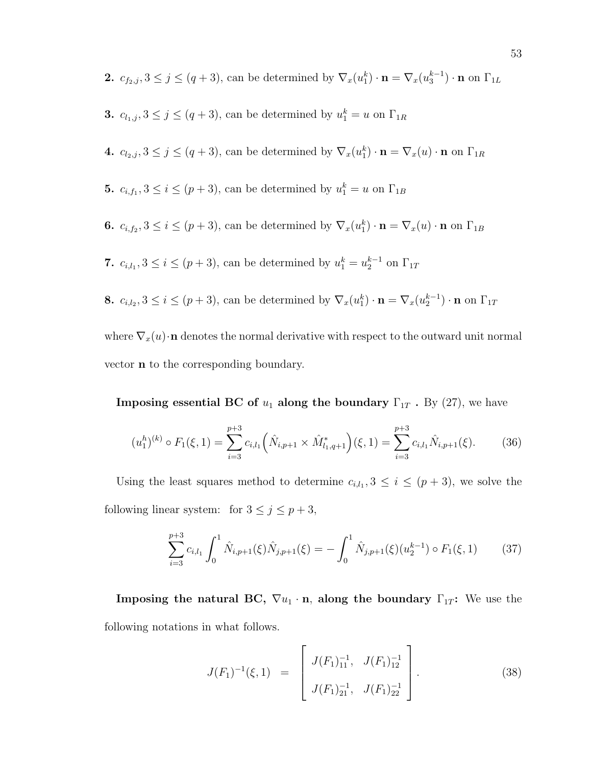**2.** 
$$
c_{f_2,j}, 3 \le j \le (q+3)
$$
, can be determined by  $\nabla_x(u_1^k) \cdot \mathbf{n} = \nabla_x(u_3^{k-1}) \cdot \mathbf{n}$  on  $\Gamma_{1L}$ 

\n- **3.** 
$$
c_{l_1,j}, 3 \leq j \leq (q+3)
$$
, can be determined by  $u_1^k = u$  on  $\Gamma_{1R}$
\n- **4.**  $c_{l_2,j}, 3 \leq j \leq (q+3)$ , can be determined by  $\nabla_x(u_1^k) \cdot \mathbf{n} = \nabla_x(u) \cdot \mathbf{n}$  on  $\Gamma_{1R}$
\n- **5.**  $c_{i,f_1}, 3 \leq i \leq (p+3)$ , can be determined by  $u_1^k = u$  on  $\Gamma_{1B}$
\n- **6.**  $c_{i,f_2}, 3 \leq i \leq (p+3)$ , can be determined by  $\nabla_x(u_1^k) \cdot \mathbf{n} = \nabla_x(u) \cdot \mathbf{n}$  on  $\Gamma_{1B}$
\n- **7.**  $c_{i,l_1}, 3 \leq i \leq (p+3)$ , can be determined by  $u_1^k = u_2^{k-1}$  on  $\Gamma_{1T}$
\n- **8.**  $c_{i,l_2}, 3 \leq i \leq (p+3)$ , can be determined by  $\nabla_x(u_1^k) \cdot \mathbf{n} = \nabla_x(u_2^{k-1}) \cdot \mathbf{n}$  on  $\Gamma_{1T}$  where  $\nabla_x(u) \cdot \mathbf{n}$  denotes the normal derivative with respect to the outward unit normal vector **n** to the corresponding boundary.
\n

**Imposing essential BC of**  $u_1$  **along the boundary**  $\Gamma_{1T}$ **.** By (27), we have

$$
(u_1^h)^{(k)} \circ F_1(\xi, 1) = \sum_{i=3}^{p+3} c_{i,l_1} \left( \hat{N}_{i,p+1} \times \hat{M}_{l_1,q+1}^* \right) (\xi, 1) = \sum_{i=3}^{p+3} c_{i,l_1} \hat{N}_{i,p+1}(\xi).
$$
 (36)

Using the least squares method to determine  $c_{i,l_1}$ ,  $3 \leq i \leq (p+3)$ , we solve the following linear system: for  $3\leq j\leq p+3,$ 

$$
\sum_{i=3}^{p+3} c_{i,l_1} \int_0^1 \hat{N}_{i,p+1}(\xi) \hat{N}_{j,p+1}(\xi) = -\int_0^1 \hat{N}_{j,p+1}(\xi) (u_2^{k-1}) \circ F_1(\xi, 1) \tag{37}
$$

Imposing the natural BC,  $\nabla u_1 \cdot \mathbf{n}$ , along the boundary  $\Gamma_{1T}$ : We use the following notations in what follows.

$$
J(F_1)^{-1}(\xi,1) = \begin{bmatrix} J(F_1)^{-1}_{11}, & J(F_1)^{-1}_{12} \\ J(F_1)^{-1}_{21}, & J(F_1)^{-1}_{22} \end{bmatrix}.
$$
 (38)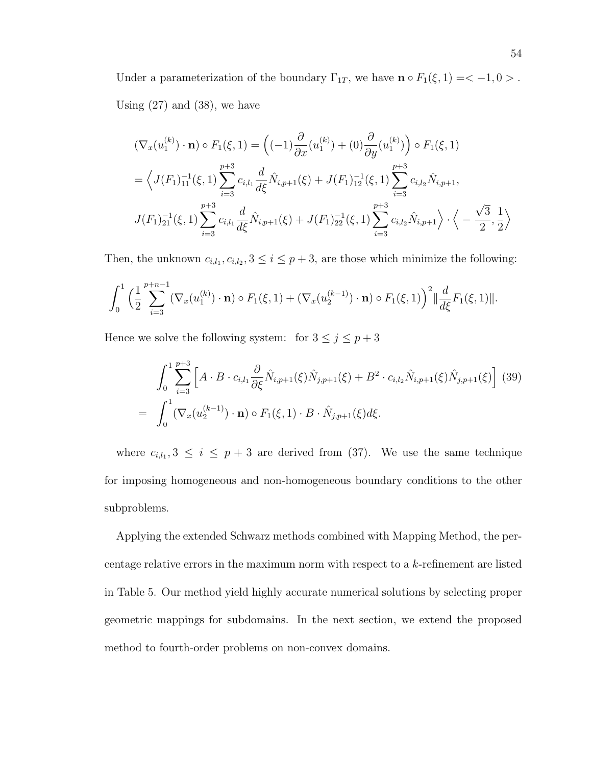Under a parameterization of the boundary  $\Gamma_{1T}$ , we have  $\mathbf{n} \circ F_1(\xi, 1) = \langle -1, 0 \rangle$ . Using  $(27)$  and  $(38)$ , we have

$$
(\nabla_x(u_1^{(k)}) \cdot \mathbf{n}) \circ F_1(\xi, 1) = \left( (-1) \frac{\partial}{\partial x} (u_1^{(k)}) + (0) \frac{\partial}{\partial y} (u_1^{(k)}) \right) \circ F_1(\xi, 1)
$$
  
\n
$$
= \left\langle J(F_1)_{11}^{-1}(\xi, 1) \sum_{i=3}^{p+3} c_{i,l_1} \frac{d}{d\xi} \hat{N}_{i,p+1}(\xi) + J(F_1)_{12}^{-1}(\xi, 1) \sum_{i=3}^{p+3} c_{i,l_2} \hat{N}_{i,p+1},
$$
  
\n
$$
J(F_1)_{21}^{-1}(\xi, 1) \sum_{i=3}^{p+3} c_{i,l_1} \frac{d}{d\xi} \hat{N}_{i,p+1}(\xi) + J(F_1)_{22}^{-1}(\xi, 1) \sum_{i=3}^{p+3} c_{i,l_2} \hat{N}_{i,p+1} \right\rangle \cdot \left\langle -\frac{\sqrt{3}}{2}, \frac{1}{2} \right\rangle
$$

Then, the unknown  $c_{i,l_1}, c_{i,l_2}, 3 \leq i \leq p+3$ , are those which minimize the following:

$$
\int_0^1 \Big(\frac{1}{2}\sum_{i=3}^{p+n-1} (\nabla_x(u_1^{(k)}) \cdot \mathbf{n}) \circ F_1(\xi,1) + (\nabla_x(u_2^{(k-1)}) \cdot \mathbf{n}) \circ F_1(\xi,1)\Big)^2 \|\frac{d}{d\xi}F_1(\xi,1)\|.
$$

Hence we solve the following system: for  $3 \le j \le p+3$ 

$$
\int_0^1 \sum_{i=3}^{p+3} \left[ A \cdot B \cdot c_{i,l_1} \frac{\partial}{\partial \xi} \hat{N}_{i,p+1}(\xi) \hat{N}_{j,p+1}(\xi) + B^2 \cdot c_{i,l_2} \hat{N}_{i,p+1}(\xi) \hat{N}_{j,p+1}(\xi) \right] (39)
$$
  
= 
$$
\int_0^1 (\nabla_x (u_2^{(k-1)}) \cdot \mathbf{n}) \circ F_1(\xi, 1) \cdot B \cdot \hat{N}_{j,p+1}(\xi) d\xi.
$$

where  $c_{i,l_1}, 3 \leq i \leq p+3$  are derived from (37). We use the same technique for imposing homogeneous and non-homogeneous boundary conditions to the other subproblems.

Applying the extended Schwarz methods combined with Mapping Method, the percentage relative errors in the maximum norm with respect to a k-refinement are listed in Table 5. Our method yield highly accurate numerical solutions by selecting proper geometric mappings for subdomains. In the next section, we extend the proposed method to fourth-order problems on non-convex domains.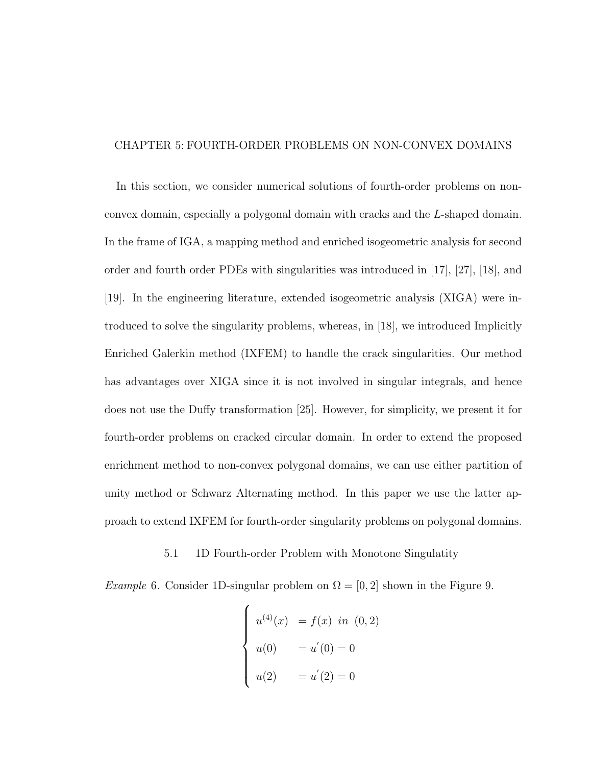#### CHAPTER 5: FOURTH-ORDER PROBLEMS ON NON-CONVEX DOMAINS

In this section, we consider numerical solutions of fourth-order problems on nonconvex domain, especially a polygonal domain with cracks and the L-shaped domain. In the frame of IGA, a mapping method and enriched isogeometric analysis for second order and fourth order PDEs with singularities was introduced in [17], [27], [18], and [19]. In the engineering literature, extended isogeometric analysis (XIGA) were introduced to solve the singularity problems, whereas, in [18], we introduced Implicitly Enriched Galerkin method (IXFEM) to handle the crack singularities. Our method has advantages over XIGA since it is not involved in singular integrals, and hence does not use the Duffy transformation [25]. However, for simplicity, we present it for fourth-order problems on cracked circular domain. In order to extend the proposed enrichment method to non-convex polygonal domains, we can use either partition of unity method or Schwarz Alternating method. In this paper we use the latter approach to extend IXFEM for fourth-order singularity problems on polygonal domains.

#### 5.1 1D Fourth-order Problem with Monotone Singulatity

Example 6. Consider 1D-singular problem on  $\Omega = [0, 2]$  shown in the Figure 9.

$$
\begin{cases}\nu^{(4)}(x) &= f(x) \text{ in } (0,2) \\
u(0) &= u'(0) = 0 \\
u(2) &= u'(2) = 0\n\end{cases}
$$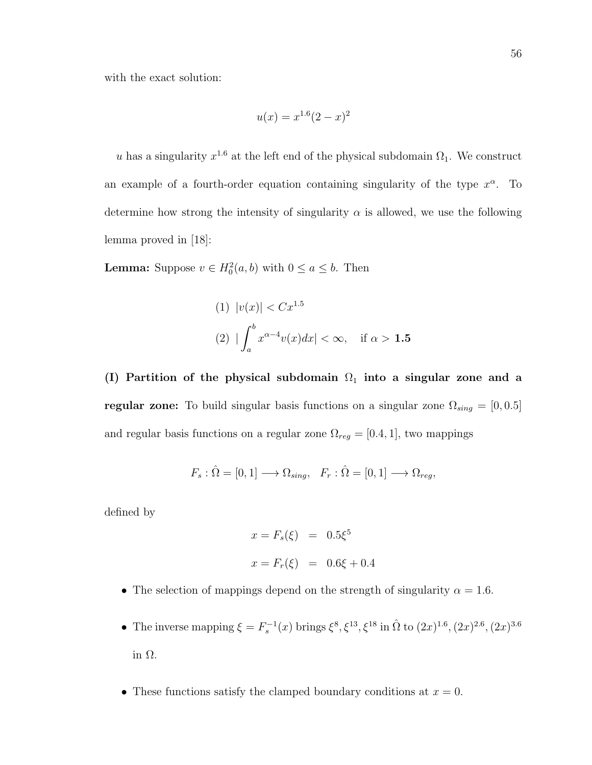with the exact solution:

$$
u(x) = x^{1.6}(2 - x)^2
$$

u has a singularity  $x^{1.6}$  at the left end of the physical subdomain  $\Omega_1$ . We construct an example of a fourth-order equation containing singularity of the type  $x^{\alpha}$ . To determine how strong the intensity of singularity  $\alpha$  is allowed, we use the following lemma proved in [18]:

**Lemma:** Suppose  $v \in H_0^2(a, b)$  with  $0 \le a \le b$ . Then

(1) 
$$
|v(x)| < Cx^{1.5}
$$
  
(2)  $|\int_a^b x^{\alpha-4}v(x)dx| < \infty$ , if  $\alpha > 1.5$ 

(I) Partition of the physical subdomain  $\Omega_1$  into a singular zone and a regular zone: To build singular basis functions on a singular zone  $\Omega_{sing} = [0, 0.5]$ and regular basis functions on a regular zone  $\Omega_{reg} = [0.4, 1]$ , two mappings

$$
F_s: \hat{\Omega} = [0, 1] \longrightarrow \Omega_{sing}, \quad F_r: \hat{\Omega} = [0, 1] \longrightarrow \Omega_{reg},
$$

defined by

$$
x = F_s(\xi) = 0.5\xi^5
$$
  

$$
x = F_r(\xi) = 0.6\xi + 0.4
$$

- The selection of mappings depend on the strength of singularity  $\alpha = 1.6$ .
- The inverse mapping  $\xi = F_s^{-1}(x)$  brings  $\xi^8, \xi^{13}, \xi^{18}$  in  $\hat{\Omega}$  to  $(2x)^{1.6}, (2x)^{2.6}, (2x)^{3.6}$ in Ω.
- These functions satisfy the clamped boundary conditions at  $x = 0$ .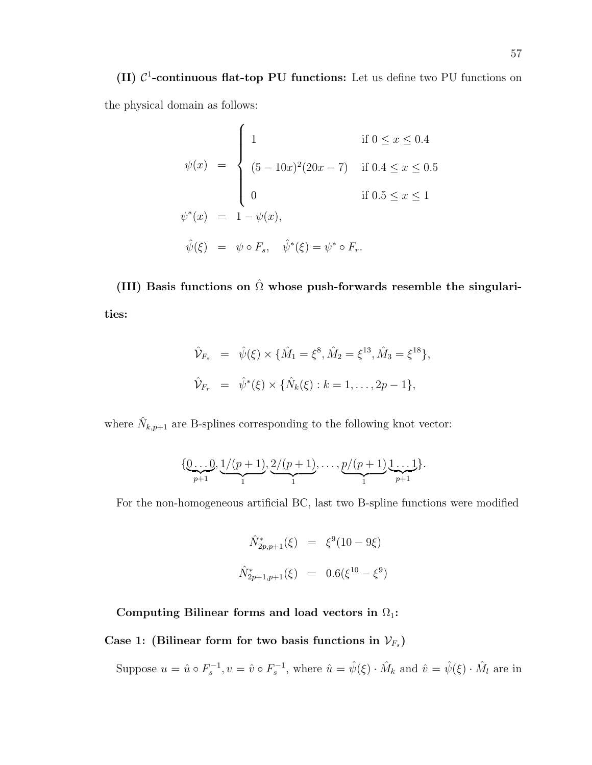(II)  $C^1$ -continuous flat-top PU functions: Let us define two PU functions on the physical domain as follows:

$$
\psi(x) = \begin{cases}\n1 & \text{if } 0 \le x \le 0.4 \\
(5 - 10x)^2 (20x - 7) & \text{if } 0.4 \le x \le 0.5 \\
0 & \text{if } 0.5 \le x \le 1 \\
\psi^*(x) = 1 - \psi(x), \\
\hat{\psi}(\xi) = \psi \circ F_s, \quad \hat{\psi}^*(\xi) = \psi^* \circ F_r.\n\end{cases}
$$

(III) Basis functions on  $\hat{\Omega}$  whose push-forwards resemble the singularities:

$$
\hat{\mathcal{V}}_{F_s} = \hat{\psi}(\xi) \times \{\hat{M}_1 = \xi^8, \hat{M}_2 = \xi^{13}, \hat{M}_3 = \xi^{18}\},
$$
  

$$
\hat{\mathcal{V}}_{F_r} = \hat{\psi}^*(\xi) \times \{\hat{N}_k(\xi) : k = 1, ..., 2p - 1\},
$$

where  $\hat{N}_{k,p+1}$  are B-splines corresponding to the following knot vector:

$$
\{\underbrace{0\ldots 0}_{p+1},\underbrace{1/(p+1)}_{1},\underbrace{2/(p+1)}_{1},\ldots,\underbrace{p/(p+1)}_{1}\underbrace{1\ldots 1}_{p+1}\}.
$$

For the non-homogeneous artificial BC, last two B-spline functions were modified

$$
\hat{N}_{2p,p+1}^*(\xi) = \xi^9(10 - 9\xi)
$$
  

$$
\hat{N}_{2p+1,p+1}^*(\xi) = 0.6(\xi^{10} - \xi^9)
$$

Computing Bilinear forms and load vectors in  $\Omega_1$ :

Case 1: (Bilinear form for two basis functions in  $\mathcal{V}_{F_s}$ )

Suppose  $u = \hat{u} \circ F_s^{-1}$ ,  $v = \hat{v} \circ F_s^{-1}$ , where  $\hat{u} = \hat{\psi}(\xi) \cdot \hat{M}_k$  and  $\hat{v} = \hat{\psi}(\xi) \cdot \hat{M}_l$  are in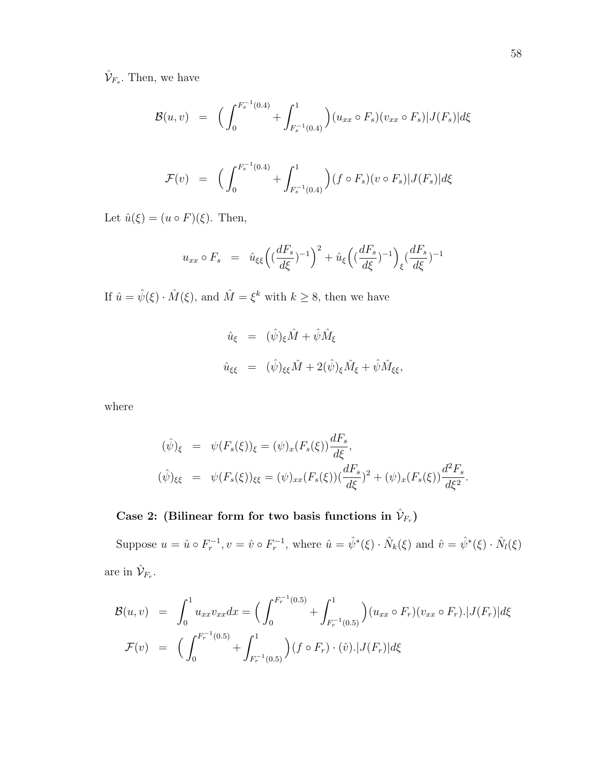$\hat{\mathcal{V}}_{F_s}$ . Then, we have

$$
\mathcal{B}(u,v) = \left( \int_0^{F_s^{-1}(0.4)} + \int_{F_s^{-1}(0.4)}^1 \right) (u_{xx} \circ F_s)(v_{xx} \circ F_s)|J(F_s)|d\xi
$$
  

$$
\mathcal{F}(v) = \left( \int_0^{F_s^{-1}(0.4)} + \int_{F_s^{-1}(0.4)}^1 \right) (f \circ F_s)(v \circ F_s)|J(F_s)|d\xi
$$

Let  $\hat{u}(\xi) = (u \circ F)(\xi)$ . Then,

$$
u_{xx} \circ F_s = \hat{u}_{\xi\xi} \left( \left( \frac{dF_s}{d\xi} \right)^{-1} \right)^2 + \hat{u}_{\xi} \left( \left( \frac{dF_s}{d\xi} \right)^{-1} \right)_{\xi} \left( \frac{dF_s}{d\xi} \right)^{-1}
$$

If  $\hat{u} = \hat{\psi}(\xi) \cdot \hat{M}(\xi)$ , and  $\hat{M} = \xi^k$  with  $k \geq 8$ , then we have

$$
\hat{u}_{\xi} = (\hat{\psi})_{\xi} \hat{M} + \hat{\psi} \hat{M}_{\xi}
$$
  

$$
\hat{u}_{\xi\xi} = (\hat{\psi})_{\xi\xi} \hat{M} + 2(\hat{\psi})_{\xi} \hat{M}_{\xi} + \hat{\psi} \hat{M}_{\xi\xi},
$$

where

$$
(\hat{\psi})_{\xi} = \psi(F_s(\xi))_{\xi} = (\psi)_x(F_s(\xi))\frac{dF_s}{d\xi},
$$
  

$$
(\hat{\psi})_{\xi\xi} = \psi(F_s(\xi))_{\xi\xi} = (\psi)_{xx}(F_s(\xi))\frac{dF_s}{d\xi} + (\psi)_x(F_s(\xi))\frac{d^2F_s}{d\xi^2}.
$$

# Case 2: (Bilinear form for two basis functions in  $\hat{\mathcal{V}}_{F_r}$ )

Suppose  $u = \hat{u} \circ F_r^{-1}$ ,  $v = \hat{v} \circ F_r^{-1}$ , where  $\hat{u} = \hat{\psi}^*(\xi) \cdot \hat{N}_k(\xi)$  and  $\hat{v} = \hat{\psi}^*(\xi) \cdot \hat{N}_l(\xi)$ are in  $\hat{\mathcal{V}}_{F_r}$ .

$$
\mathcal{B}(u,v) = \int_0^1 u_{xx}v_{xx}dx = \Big(\int_0^{F_r^{-1}(0.5)} + \int_{F_r^{-1}(0.5)}^1\Big)(u_{xx} \circ F_r)(v_{xx} \circ F_r).|J(F_r)|d\xi
$$
  

$$
\mathcal{F}(v) = \Big(\int_0^{F_r^{-1}(0.5)} + \int_{F_r^{-1}(0.5)}^1\Big)(f \circ F_r) \cdot (\hat{v}).|J(F_r)|d\xi
$$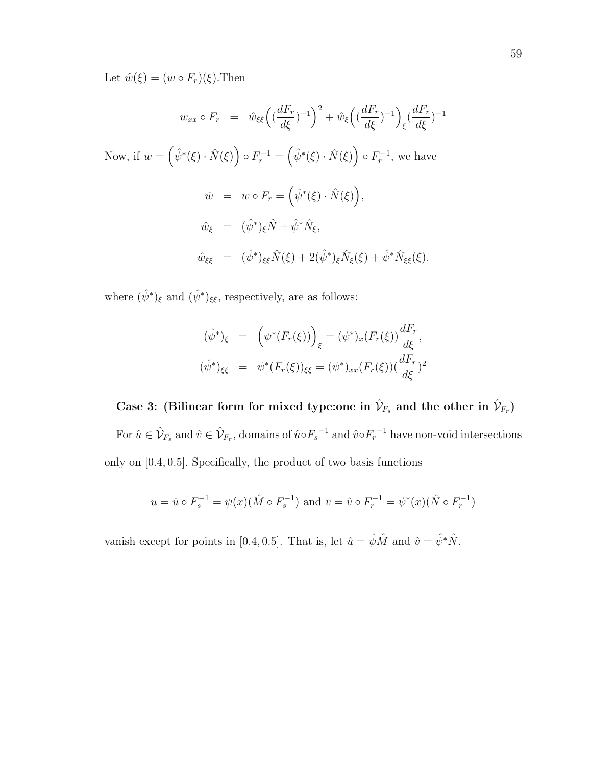Let  $\hat{w}(\xi) = (w \circ F_r)(\xi)$ . Then

$$
w_{xx} \circ F_r = \hat{w}_{\xi\xi} \left( (\frac{dF_r}{d\xi})^{-1} \right)^2 + \hat{w}_{\xi} \left( (\frac{dF_r}{d\xi})^{-1} \right)_{\xi} (\frac{dF_r}{d\xi})^{-1}
$$
  
Now, if  $w = (\hat{\psi}^*(\xi) \cdot \hat{N}(\xi)) \circ F_r^{-1} = (\hat{\psi}^*(\xi) \cdot \hat{N}(\xi)) \circ F_r^{-1}$ , we have  

$$
\hat{w} = w \circ F_r = (\hat{\psi}^*(\xi) \cdot \hat{N}(\xi)),
$$

$$
\hat{w}_{\xi} = (\hat{\psi}^*)_{\xi} \hat{N} + \hat{\psi}^* \hat{N}_{\xi},
$$

$$
\hat{w}_{\xi\xi} = (\hat{\psi}^*)_{\xi\xi} \hat{N}(\xi) + 2(\hat{\psi}^*)_{\xi} \hat{N}_{\xi}(\xi) + \hat{\psi}^* \hat{N}_{\xi\xi}(\xi).
$$

where  $(\hat{\psi}^*)_{\xi}$  and  $(\hat{\psi}^*)_{\xi\xi}$ , respectively, are as follows:

$$
(\hat{\psi}^*)_{\xi} = \left(\psi^*(F_r(\xi))\right)_{\xi} = (\psi^*)_x(F_r(\xi))\frac{dF_r}{d\xi},
$$
  

$$
(\hat{\psi}^*)_{\xi\xi} = \psi^*(F_r(\xi))_{\xi\xi} = (\psi^*)_{xx}(F_r(\xi))\frac{dF_r}{d\xi})^2
$$

Case 3: (Bilinear form for mixed type: one in  $\hat{\mathcal{V}}_{F_s}$  and the other in  $\hat{\mathcal{V}}_{F_r}$ ) For  $\hat{u} \in \hat{\mathcal{V}}_{F_s}$  and  $\hat{v} \in \hat{\mathcal{V}}_{F_r}$ , domains of  $\hat{u} \circ F_s^{-1}$  and  $\hat{v} \circ F_r^{-1}$  have non-void intersections only on [0.4, 0.5]. Specifically, the product of two basis functions

$$
u = \hat{u} \circ F_s^{-1} = \psi(x) (\hat{M} \circ F_s^{-1})
$$
 and  $v = \hat{v} \circ F_r^{-1} = \psi^*(x) (\hat{N} \circ F_r^{-1})$ 

vanish except for points in [0.4, 0.5]. That is, let  $\hat{u} = \hat{\psi}\hat{M}$  and  $\hat{v} = \hat{\psi}*\hat{N}$ .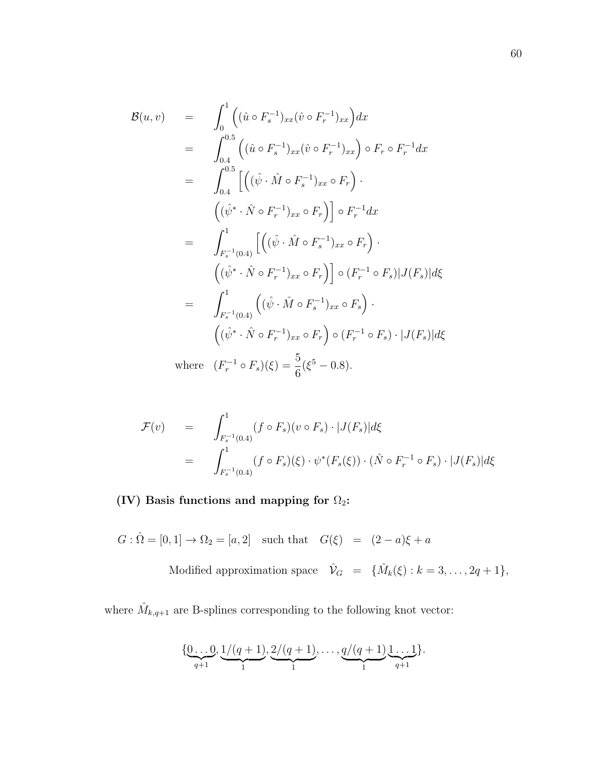$$
\mathcal{B}(u, v) = \int_{0}^{1} ((\hat{u} \circ F_{s}^{-1})_{xx} (\hat{v} \circ F_{r}^{-1})_{xx}) dx
$$
  
\n
$$
= \int_{0.4}^{0.5} ((\hat{u} \circ F_{s}^{-1})_{xx} (\hat{v} \circ F_{r}^{-1})_{xx}) \circ F_{r} \circ F_{r}^{-1} dx
$$
  
\n
$$
= \int_{0.4}^{0.5} [((\hat{\psi} \cdot \hat{M} \circ F_{s}^{-1})_{xx} \circ F_{r}) \cdot
$$
  
\n
$$
= \int_{F_{s}^{-1}(0.4)}^{1} [((\hat{\psi} \cdot \hat{M} \circ F_{r}^{-1})_{xx} \circ F_{r})] \circ F_{r}^{-1} dx
$$
  
\n
$$
= \int_{F_{s}^{-1}(0.4)}^{1} [((\hat{\psi} \cdot \hat{M} \circ F_{s}^{-1})_{xx} \circ F_{r}) \cdot
$$
  
\n
$$
= \int_{F_{s}^{-1}(0.4)}^{1} ((\hat{\psi} \cdot \hat{M} \circ F_{s}^{-1})_{xx} \circ F_{s}) \cdot
$$
  
\n
$$
= \int_{F_{s}^{-1}(0.4)}^{1} ((\hat{\psi} \cdot \hat{M} \circ F_{s}^{-1})_{xx} \circ F_{s}) \cdot
$$
  
\n
$$
= \int_{(\hat{\psi}^{*} \cdot \hat{N} \circ F_{r}^{-1})_{xx} \circ F_{r}} \circ (F_{r}^{-1} \circ F_{s}) \cdot |J(F_{s})| d\xi
$$
  
\n
$$
= \int_{F_{s}^{-1}(0.4)}^{1} ( \hat{\psi} \cdot \hat{M} \circ F_{r}^{-1})_{xx} \circ F_{r}) \circ (F_{r}^{-1} \circ F_{s}) \cdot |J(F_{s})| d\xi
$$

where  $(F_r^{-1} \circ F_s)(\xi) = \frac{5}{6}$  $(\xi^5 - 0.8).$ 

$$
\mathcal{F}(v) = \int_{F_s^{-1}(0.4)}^1 (f \circ F_s)(v \circ F_s) \cdot |J(F_s)| d\xi
$$
  
= 
$$
\int_{F_s^{-1}(0.4)}^1 (f \circ F_s)(\xi) \cdot \psi^*(F_s(\xi)) \cdot (\hat{N} \circ F_r^{-1} \circ F_s) \cdot |J(F_s)| d\xi
$$

# (IV) Basis functions and mapping for  $\Omega_2$ :

 $G : \hat{\Omega} = [0, 1] \to \Omega_2 = [a, 2]$  such that  $G(\xi) = (2 - a)\xi + a$ 

Modified approximation space  $\hat{\mathcal{V}}_G = \{\hat{M}_k(\xi) : k = 3, \ldots, 2q + 1\},\$ 

where  $\hat{M}_{k,q+1}$  are B-splines corresponding to the following knot vector:

$$
\{\underbrace{0\ldots 0}_{q+1}, \underbrace{1/(q+1)}_{1}, \underbrace{2/(q+1)}_{1}, \ldots, \underbrace{q/(q+1)}_{1}, \underbrace{1\ldots 1}_{q+1}\}.
$$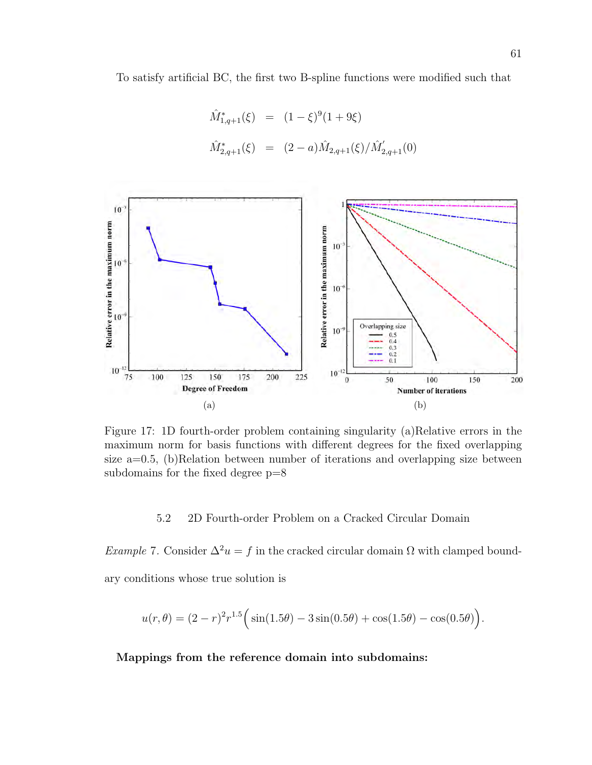To satisfy artificial BC, the first two B-spline functions were modified such that

$$
\hat{M}_{1,q+1}^*(\xi) = (1-\xi)^9 (1+9\xi)
$$
  

$$
\hat{M}_{2,q+1}^*(\xi) = (2-a)\hat{M}_{2,q+1}(\xi)/\hat{M}_{2,q+1}'(0)
$$



Figure 17: 1D fourth-order problem containing singularity (a)Relative errors in the maximum norm for basis functions with different degrees for the fixed overlapping size a=0.5, (b)Relation between number of iterations and overlapping size between subdomains for the fixed degree p=8

5.2 2D Fourth-order Problem on a Cracked Circular Domain

Example 7. Consider  $\Delta^2 u = f$  in the cracked circular domain  $\Omega$  with clamped boundary conditions whose true solution is

$$
u(r,\theta) = (2-r)^2 r^{1.5} \Big( \sin(1.5\theta) - 3\sin(0.5\theta) + \cos(1.5\theta) - \cos(0.5\theta) \Big).
$$

Mappings from the reference domain into subdomains: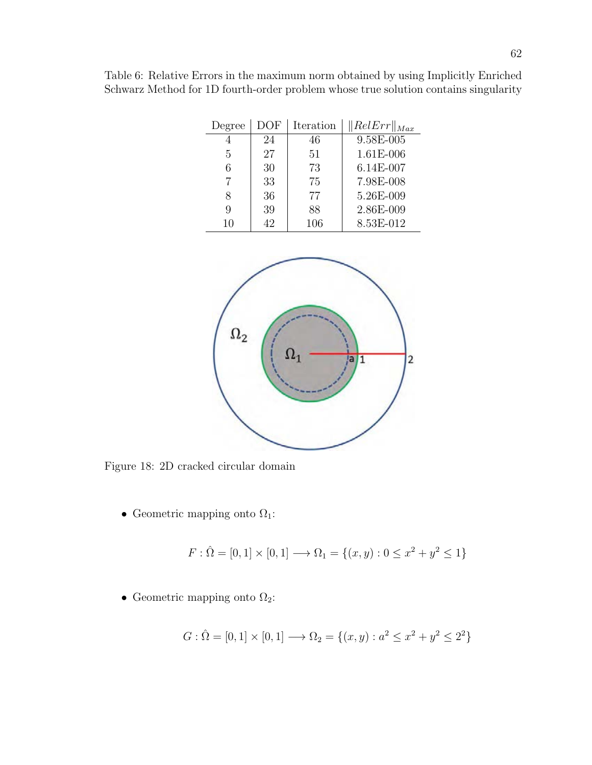|   |    |     | Degree   DOF   Iteration   $\ RelErr\ _{Max}$ |
|---|----|-----|-----------------------------------------------|
|   |    | 46  | 9.58E-005                                     |
| 5 | 97 | 5 I | $1.61E - 006$                                 |

6 30 73 6.14E-007 7 33 75 7.98E-008 8 36 77 5.26E-009 9 | 39 | 88 | 2.86E-009 10 42 106 8.53E-012

Table 6: Relative Errors in the maximum norm obtained by using Implicitly Enriched Schwarz Method for 1D fourth-order problem whose true solution contains singularity



Figure 18: 2D cracked circular domain

• Geometric mapping onto  $\Omega_1$ :

$$
F: \hat{\Omega} = [0, 1] \times [0, 1] \longrightarrow \Omega_1 = \{(x, y) : 0 \le x^2 + y^2 \le 1\}
$$

• Geometric mapping onto  $\Omega_2$ :

$$
G: \hat{\Omega} = [0, 1] \times [0, 1] \longrightarrow \Omega_2 = \{(x, y) : a^2 \le x^2 + y^2 \le 2^2\}
$$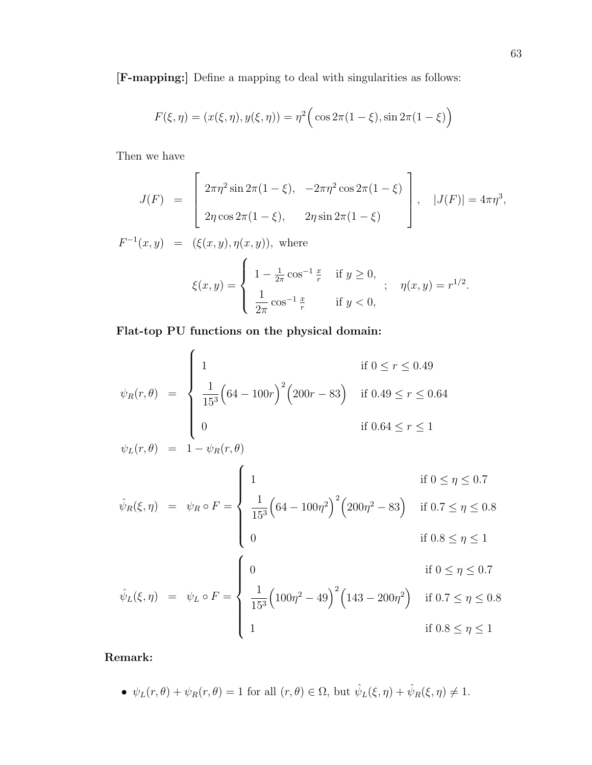[F-mapping:] Define a mapping to deal with singularities as follows:

$$
F(\xi, \eta) = (x(\xi, \eta), y(\xi, \eta)) = \eta^{2} \Big( \cos 2\pi (1 - \xi), \sin 2\pi (1 - \xi) \Big)
$$

Then we have

$$
J(F) = \begin{bmatrix} 2\pi \eta^2 \sin 2\pi (1 - \xi), & -2\pi \eta^2 \cos 2\pi (1 - \xi) \\ 2\eta \cos 2\pi (1 - \xi), & 2\eta \sin 2\pi (1 - \xi) \end{bmatrix}, \quad |J(F)| = 4\pi \eta^3,
$$
  

$$
F^{-1}(x, y) = (\xi(x, y), \eta(x, y)), \text{ where}
$$

$$
\xi(x,y) = \begin{cases} 1 - \frac{1}{2\pi} \cos^{-1} \frac{x}{r} & \text{if } y \ge 0, \\ \frac{1}{2\pi} \cos^{-1} \frac{x}{r} & \text{if } y < 0, \end{cases}; \quad \eta(x,y) = r^{1/2}.
$$

Flat-top PU functions on the physical domain:

$$
\psi_R(r,\theta) = \begin{cases}\n1 & \text{if } 0 \le r \le 0.49 \\
\frac{1}{15^3} \left(64 - 100r\right)^2 \left(200r - 83\right) & \text{if } 0.49 \le r \le 0.64 \\
0 & \text{if } 0.64 \le r \le 1\n\end{cases}
$$

$$
\hat{\psi}_R(\xi, \eta) = \psi_R \circ F = \begin{cases}\n1 & \text{if } 0 \le \eta \le 0.7 \\
\frac{1}{15^3} \left(64 - 100\eta^2\right)^2 \left(200\eta^2 - 83\right) & \text{if } 0.7 \le \eta \le 0.8 \\
0 & \text{if } 0.8 \le \eta \le 1\n\end{cases}
$$

$$
\hat{\psi}_L(\xi, \eta) = \psi_L \circ F = \begin{cases}\n0 & \text{if } 0 \le \eta \le 0.7 \\
\frac{1}{15^3} \left( 100\eta^2 - 49 \right)^2 \left( 143 - 200\eta^2 \right) & \text{if } 0.7 \le \eta \le 0.8 \\
1 & \text{if } 0.8 \le \eta \le 1\n\end{cases}
$$

Remark:

•  $\psi_L(r,\theta) + \psi_R(r,\theta) = 1$  for all  $(r,\theta) \in \Omega$ , but  $\hat{\psi}_L(\xi,\eta) + \hat{\psi}_R(\xi,\eta) \neq 1$ .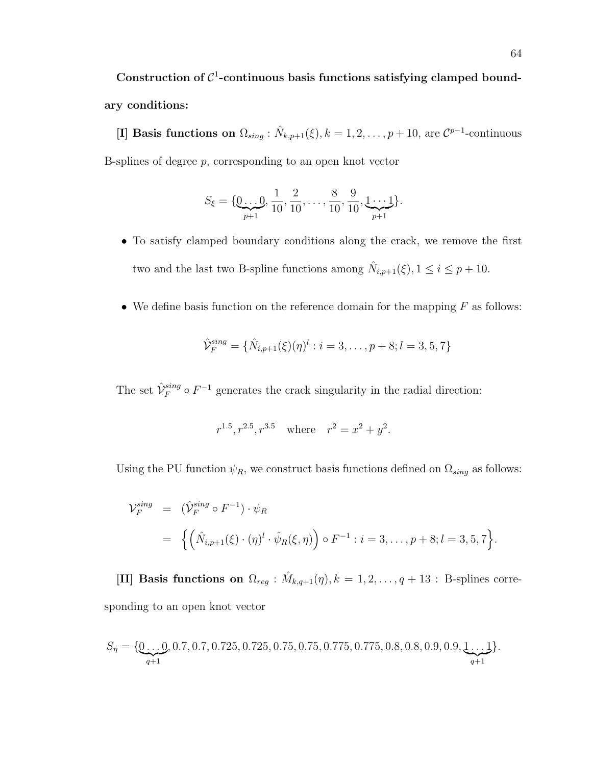Construction of  $C^1$ -continuous basis functions satisfying clamped boundary conditions:

[I] Basis functions on  $\Omega_{sing}$ :  $\hat{N}_{k,p+1}(\xi)$ ,  $k = 1, 2, ..., p+10$ , are  $\mathcal{C}^{p-1}$ -continuous B-splines of degree  $p$ , corresponding to an open knot vector

$$
S_{\xi} = \{ \underbrace{0 \dots 0}_{p+1}, \frac{1}{10}, \frac{2}{10}, \dots, \frac{8}{10}, \frac{9}{10}, \underbrace{1 \dots 1}_{p+1} \}.
$$

- To satisfy clamped boundary conditions along the crack, we remove the first two and the last two B-spline functions among  $\hat{N}_{i,p+1}(\xi), 1 \leq i \leq p+10$ .
- We define basis function on the reference domain for the mapping  $F$  as follows:

$$
\hat{\mathcal{V}}_F^{sing} = \{ \hat{N}_{i,p+1}(\xi)(\eta)^l : i = 3, \dots, p+8; l = 3, 5, 7 \}
$$

The set  $\hat{\mathcal{V}}_F^{sing} \circ F^{-1}$  generates the crack singularity in the radial direction:

$$
r^{1.5}, r^{2.5}, r^{3.5}
$$
 where  $r^2 = x^2 + y^2$ .

Using the PU function  $\psi_R$ , we construct basis functions defined on  $\Omega_{sing}$  as follows:

$$
\mathcal{V}_F^{sing} = (\hat{\mathcal{V}}_F^{sing} \circ F^{-1}) \cdot \psi_R
$$
  
=  $\{ (\hat{N}_{i,p+1}(\xi) \cdot (\eta)^l \cdot \hat{\psi}_R(\xi, \eta)) \circ F^{-1} : i = 3, ..., p+8; l = 3, 5, 7 \}.$ 

[II] Basis functions on  $\Omega_{reg} : \hat{M}_{k,q+1}(\eta), k = 1, 2, \ldots, q+13$ : B-splines corresponding to an open knot vector

$$
S_{\eta} = \{ \underbrace{0 \dots 0}_{q+1}, 0.7, 0.7, 0.725, 0.725, 0.75, 0.75, 0.775, 0.775, 0.8, 0.8, 0.9, 0.9, \underbrace{1 \dots 1}_{q+1} \}.
$$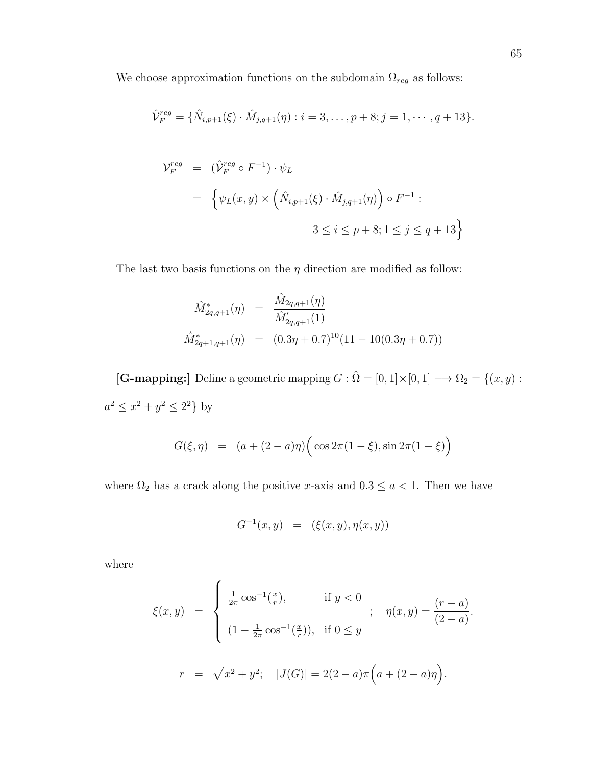We choose approximation functions on the subdomain  $\Omega_{reg}$  as follows:

$$
\hat{V}_F^{reg} = \{ \hat{N}_{i,p+1}(\xi) \cdot \hat{M}_{j,q+1}(\eta) : i = 3, \dots, p+8; j = 1, \dots, q+13 \}.
$$

$$
\mathcal{V}_F^{reg} = (\hat{\mathcal{V}}_F^{reg} \circ F^{-1}) \cdot \psi_L
$$
  
= 
$$
\left\{ \psi_L(x, y) \times \left( \hat{N}_{i, p+1}(\xi) \cdot \hat{M}_{j, q+1}(\eta) \right) \circ F^{-1} : \right. \\ 3 \leq i \leq p+8; 1 \leq j \leq q+13 \right\}
$$

The last two basis functions on the  $\eta$  direction are modified as follow:

$$
\hat{M}_{2q,q+1}^*(\eta) = \frac{\hat{M}_{2q,q+1}(\eta)}{\hat{M}_{2q,q+1}'(1)}
$$
\n
$$
\hat{M}_{2q+1,q+1}^*(\eta) = (0.3\eta + 0.7)^{10}(11 - 10(0.3\eta + 0.7))
$$

[G-mapping:] Define a geometric mapping  $G : \hat{\Omega} = [0,1] \times [0,1] \longrightarrow \Omega_2 = \{(x,y):$  $a^2 \leq x^2 + y^2 \leq 2^2$  by

$$
G(\xi, \eta) = (a + (2 - a)\eta) \Big( \cos 2\pi (1 - \xi), \sin 2\pi (1 - \xi) \Big)
$$

where  $\Omega_2$  has a crack along the positive x-axis and  $0.3 \le a < 1$ . Then we have

$$
G^{-1}(x, y) = (\xi(x, y), \eta(x, y))
$$

where

$$
\xi(x,y) = \begin{cases}\n\frac{1}{2\pi} \cos^{-1}(\frac{x}{r}), & \text{if } y < 0 \\
(1 - \frac{1}{2\pi} \cos^{-1}(\frac{x}{r})), & \text{if } 0 \le y\n\end{cases}; \quad \eta(x,y) = \frac{(r-a)}{(2-a)}.
$$
\n
$$
r = \sqrt{x^2 + y^2}; \quad |J(G)| = 2(2-a)\pi\Big(a + (2-a)\eta\Big).
$$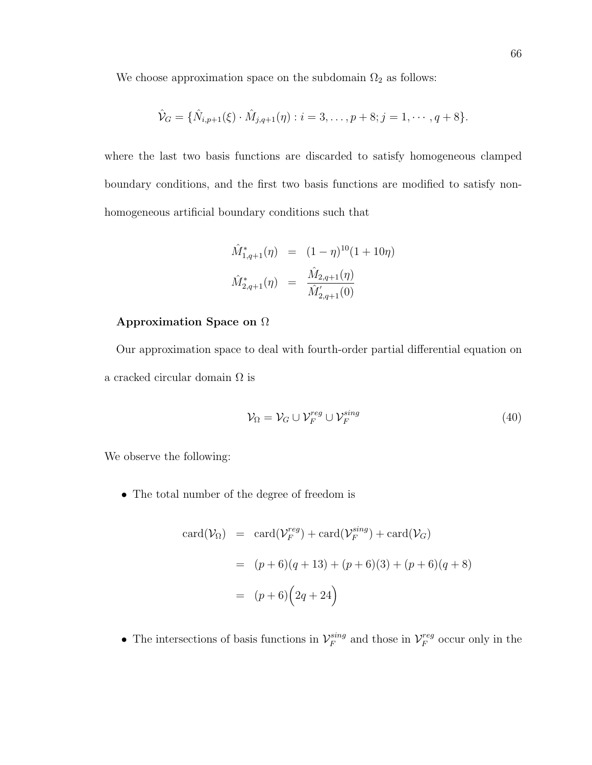We choose approximation space on the subdomain  $\Omega_2$  as follows:

$$
\hat{\mathcal{V}}_G = \{ \hat{N}_{i,p+1}(\xi) \cdot \hat{M}_{j,q+1}(\eta) : i = 3, \dots, p+8; j = 1, \dots, q+8 \}.
$$

where the last two basis functions are discarded to satisfy homogeneous clamped boundary conditions, and the first two basis functions are modified to satisfy nonhomogeneous artificial boundary conditions such that

$$
\hat{M}_{1,q+1}^*(\eta) = (1-\eta)^{10}(1+10\eta)
$$
  

$$
\hat{M}_{2,q+1}^*(\eta) = \frac{\hat{M}_{2,q+1}(\eta)}{\hat{M}_{2,q+1}'(0)}
$$

### Approximation Space on Ω

Our approximation space to deal with fourth-order partial differential equation on a cracked circular domain  $\Omega$  is

$$
\mathcal{V}_{\Omega} = \mathcal{V}_G \cup \mathcal{V}_F^{reg} \cup \mathcal{V}_F^{sing} \tag{40}
$$

We observe the following:

• The total number of the degree of freedom is

$$
card(\mathcal{V}_{\Omega}) = card(\mathcal{V}_F^{reg}) + card(\mathcal{V}_F^{sing}) + card(\mathcal{V}_G)
$$
  
= 
$$
(p+6)(q+13) + (p+6)(3) + (p+6)(q+8)
$$
  
= 
$$
(p+6)\left(2q+24\right)
$$

• The intersections of basis functions in  $\mathcal{V}_F^{sing}$  $\int_F^{sing}$  and those in  $\mathcal{V}_F^{reg}$  $F_F^{reg}$  occur only in the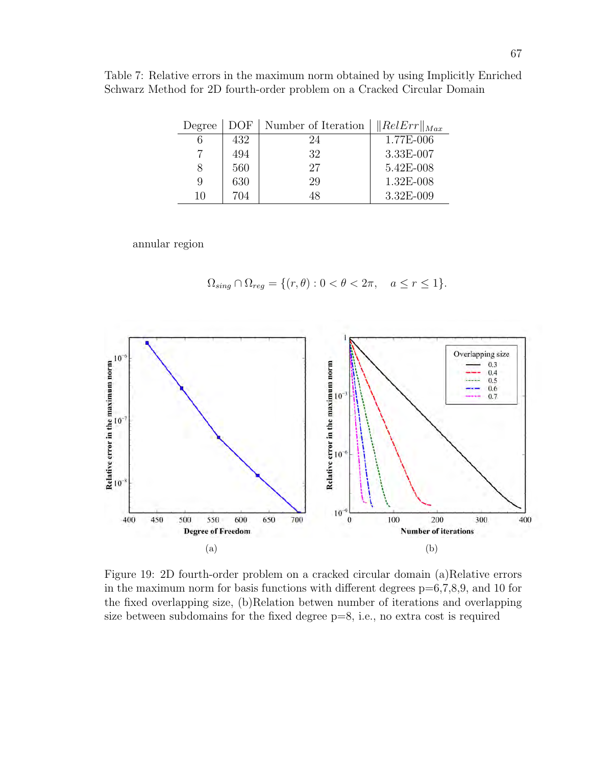Table 7: Relative errors in the maximum norm obtained by using Implicitly Enriched Schwarz Method for 2D fourth-order problem on a Cracked Circular Domain

| Degree | DOF | Number of Iteration | $\ RelErr\ _{Max}$ |
|--------|-----|---------------------|--------------------|
|        | 432 | 24                  | 1.77E-006          |
|        | 494 | 32                  | 3.33E-007          |
| 8      | 560 | 27                  | 5.42E-008          |
| 9      | 630 | 29                  | 1.32E-008          |
| 10     | 704 | 48                  | 3.32E-009          |

annular region

$$
\Omega_{sing} \cap \Omega_{reg} = \{ (r, \theta) : 0 < \theta < 2\pi, \quad a \le r \le 1 \}.
$$



Figure 19: 2D fourth-order problem on a cracked circular domain (a)Relative errors in the maximum norm for basis functions with different degrees  $p=6,7,8,9$ , and 10 for the fixed overlapping size, (b)Relation betwen number of iterations and overlapping size between subdomains for the fixed degree p=8, i.e., no extra cost is required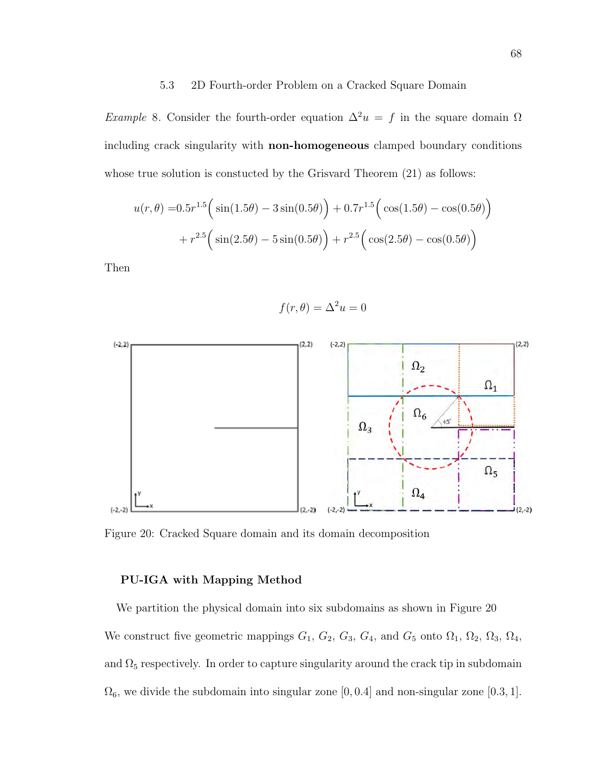#### 5.3 2D Fourth-order Problem on a Cracked Square Domain

Example 8. Consider the fourth-order equation  $\Delta^2 u = f$  in the square domain  $\Omega$ including crack singularity with non-homogeneous clamped boundary conditions whose true solution is constucted by the Grisvard Theorem  $(21)$  as follows:

$$
u(r,\theta) = 0.5r^{1.5} \left( \sin(1.5\theta) - 3\sin(0.5\theta) \right) + 0.7r^{1.5} \left( \cos(1.5\theta) - \cos(0.5\theta) \right) + r^{2.5} \left( \sin(2.5\theta) - 5\sin(0.5\theta) \right) + r^{2.5} \left( \cos(2.5\theta) - \cos(0.5\theta) \right)
$$

Then

$$
f(r,\theta) = \Delta^2 u = 0
$$



Figure 20: Cracked Square domain and its domain decomposition

#### PU-IGA with Mapping Method

We partition the physical domain into six subdomains as shown in Figure 20 We construct five geometric mappings  $G_1$ ,  $G_2$ ,  $G_3$ ,  $G_4$ , and  $G_5$  onto  $\Omega_1$ ,  $\Omega_2$ ,  $\Omega_3$ ,  $\Omega_4$ , and  $\Omega_5$  respectively. In order to capture singularity around the crack tip in subdomain  $\Omega_6$ , we divide the subdomain into singular zone [0,0.4] and non-singular zone [0.3, 1].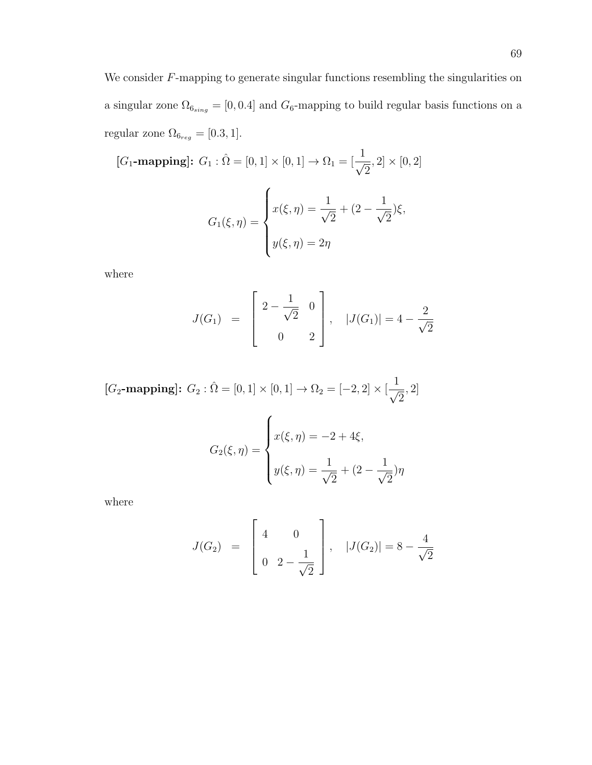We consider  $F$ -mapping to generate singular functions resembling the singularities on a singular zone  $\Omega_{6sing} = [0, 0.4]$  and  $G_6$ -mapping to build regular basis functions on a regular zone  $\Omega_{6_{reg}}=[0.3,1].$ 

$$
[G_1
$$
-mapping]:  $G_1 : \hat{\Omega} = [0, 1] \times [0, 1] \rightarrow \Omega_1 = [\frac{1}{\sqrt{2}}, 2] \times [0, 2]$ 

$$
G_1(\xi, \eta) = \begin{cases} x(\xi, \eta) = \frac{1}{\sqrt{2}} + (2 - \frac{1}{\sqrt{2}})\xi, \\ y(\xi, \eta) = 2\eta \end{cases}
$$

where

$$
J(G_1) = \begin{bmatrix} 2 - \frac{1}{\sqrt{2}} & 0 \\ 0 & 2 \end{bmatrix}, \quad |J(G_1)| = 4 - \frac{2}{\sqrt{2}}
$$

$$
[G_2\textbf{-mapping}]\colon\, G_2: \hat{\Omega} = [0,1] \times [0,1] \to \Omega_2 = [-2,2] \times [\frac{1}{\sqrt{2}},2]
$$

$$
G_2(\xi, \eta) = \begin{cases} x(\xi, \eta) = -2 + 4\xi, \\ y(\xi, \eta) = \frac{1}{\sqrt{2}} + (2 - \frac{1}{\sqrt{2}})\eta \end{cases}
$$

where

$$
J(G_2) = \begin{bmatrix} 4 & 0 \\ 0 & 2 - \frac{1}{\sqrt{2}} \end{bmatrix}, \quad |J(G_2)| = 8 - \frac{4}{\sqrt{2}}
$$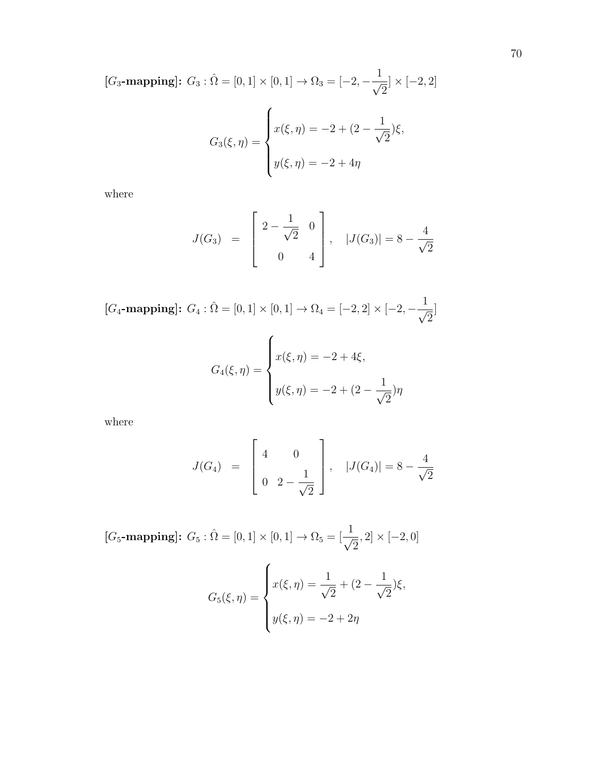$[G_3$-mapping]: G_3: \hat{\Omega} = [0,1] \times [0,1] \rightarrow \Omega_3 = [-2, -\frac{1}{\sqrt{3}}]$ 2  $] \times [-2, 2]$  $G_3(\xi,\eta)=$  $\sqrt{ }$  $\int$  $\overline{\mathcal{L}}$  $x(\xi, \eta) = -2 + (2 - \frac{1}{\zeta})$ 2 )ξ,  $y(\xi, \eta) = -2 + 4\eta$ 

where

$$
J(G_3) = \begin{bmatrix} 2 - \frac{1}{\sqrt{2}} & 0 \\ 0 & 4 \end{bmatrix}, \quad |J(G_3)| = 8 - \frac{4}{\sqrt{2}}
$$

$$
[G_4
$$
-mapping]:  $G_4 : \hat{\Omega} = [0, 1] \times [0, 1] \rightarrow \Omega_4 = [-2, 2] \times [-2, -\frac{1}{\sqrt{2}}]$ 

$$
G_4(\xi, \eta) = \begin{cases} x(\xi, \eta) = -2 + 4\xi, \\ y(\xi, \eta) = -2 + (2 - \frac{1}{\sqrt{2}})\eta \end{cases}
$$

where

$$
J(G_4) = \begin{bmatrix} 4 & 0 \\ 0 & 2 - \frac{1}{\sqrt{2}} \end{bmatrix}, |J(G_4)| = 8 - \frac{4}{\sqrt{2}}
$$

$$
[G_5-\text{mapping}]: G_5: \hat{\Omega} = [0, 1] \times [0, 1] \to \Omega_5 = [\frac{1}{\sqrt{2}}, 2] \times [-2, 0]
$$

$$
G_5(\xi, \eta) = \begin{cases} x(\xi, \eta) = \frac{1}{\sqrt{2}} + (2 - \frac{1}{\sqrt{2}})\xi, \\ y(\xi, \eta) = -2 + 2\eta \end{cases}
$$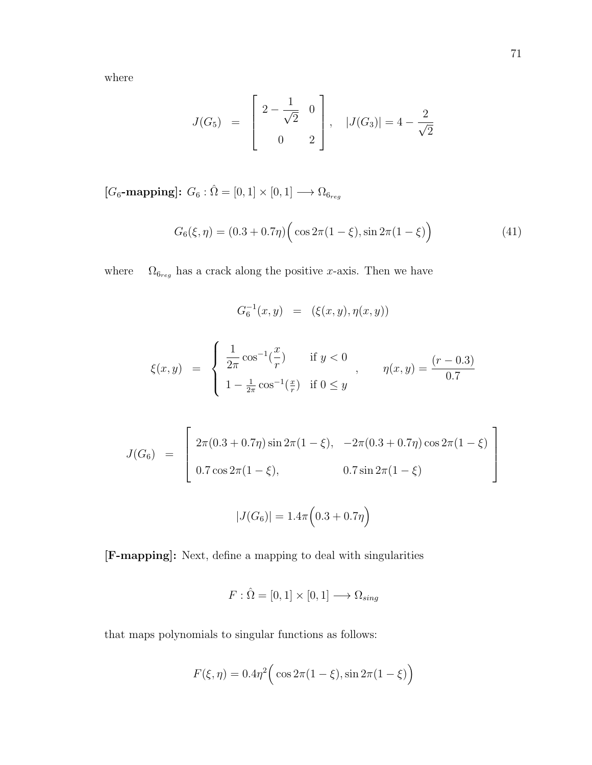$$
J(G_5) = \begin{bmatrix} 2 - \frac{1}{\sqrt{2}} & 0 \\ 0 & 2 \end{bmatrix}, \quad |J(G_3)| = 4 - \frac{2}{\sqrt{2}}
$$

[ $G_6$ -mapping]:  $G_6$  :  $\hat{\Omega} = [0, 1] \times [0, 1] \longrightarrow \Omega_{6_{reg}}$ 

$$
G_6(\xi, \eta) = (0.3 + 0.7\eta) \Big( \cos 2\pi (1 - \xi), \sin 2\pi (1 - \xi) \Big)
$$
 (41)

where  $\Omega_{6_{reg}}$  has a crack along the positive x-axis. Then we have

 $G_6^{-1}(x, y) = (\xi(x, y), \eta(x, y))$ 

$$
\xi(x,y) = \begin{cases} \frac{1}{2\pi} \cos^{-1}(\frac{x}{r}) & \text{if } y < 0 \\ 1 - \frac{1}{2\pi} \cos^{-1}(\frac{x}{r}) & \text{if } 0 \le y \end{cases}, \qquad \eta(x,y) = \frac{(r-0.3)}{0.7}
$$

$$
J(G_6) = \begin{bmatrix} 2\pi (0.3 + 0.7\eta) \sin 2\pi (1 - \xi), & -2\pi (0.3 + 0.7\eta) \cos 2\pi (1 - \xi) \\ 0.7 \cos 2\pi (1 - \xi), & 0.7 \sin 2\pi (1 - \xi) \end{bmatrix}
$$

$$
|J(G_6)| = 1.4\pi \left(0.3 + 0.7\eta\right)
$$

[F-mapping]: Next, define a mapping to deal with singularities

$$
F: \hat{\Omega} = [0,1] \times [0,1] \longrightarrow \Omega_{sing}
$$

that maps polynomials to singular functions as follows:

$$
F(\xi, \eta) = 0.4\eta^{2} \Big( \cos 2\pi (1 - \xi), \sin 2\pi (1 - \xi) \Big)
$$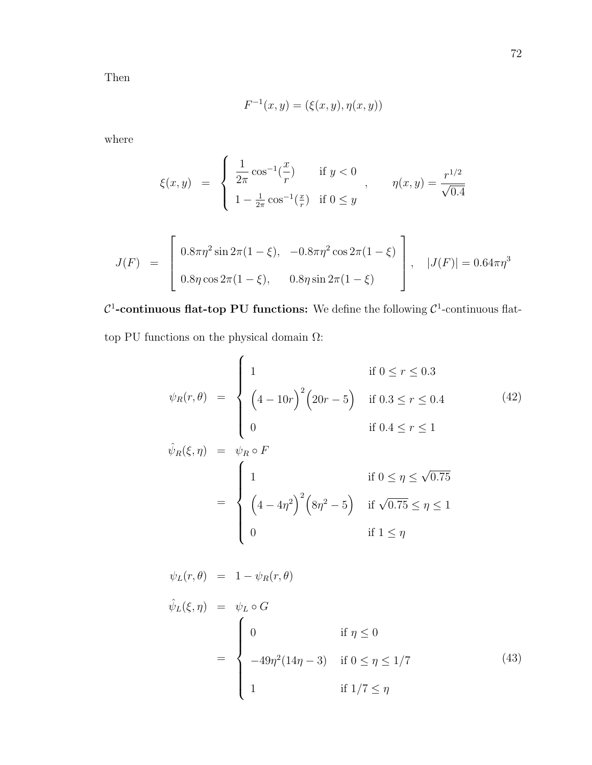Then

$$
F^{-1}(x, y) = (\xi(x, y), \eta(x, y))
$$

where

$$
\xi(x,y) = \begin{cases} \frac{1}{2\pi} \cos^{-1}(\frac{x}{r}) & \text{if } y < 0 \\ 1 - \frac{1}{2\pi} \cos^{-1}(\frac{x}{r}) & \text{if } 0 \le y \end{cases}, \qquad \eta(x,y) = \frac{r^{1/2}}{\sqrt{0.4}}
$$

$$
J(F) = \begin{bmatrix} 0.8\pi\eta^2 \sin 2\pi (1-\xi), & -0.8\pi\eta^2 \cos 2\pi (1-\xi) \\ 0.8\eta \cos 2\pi (1-\xi), & 0.8\eta \sin 2\pi (1-\xi) \end{bmatrix}, \quad |J(F)| = 0.64\pi\eta^3
$$

 $\mathcal{C}^1$ -continuous flat-top PU functions: We define the following  $\mathcal{C}^1$ -continuous flattop PU functions on the physical domain  $\Omega:$ 

$$
\psi_R(r,\theta) = \begin{cases}\n1 & \text{if } 0 \le r \le 0.3 \\
\left(4 - 10r\right)^2 \left(20r - 5\right) & \text{if } 0.3 \le r \le 0.4 \\
0 & \text{if } 0.4 \le r \le 1\n\end{cases}
$$
\n(42)

$$
\hat{\psi}_R(\xi, \eta) = \psi_R \circ F
$$
\n
$$
= \begin{cases}\n1 & \text{if } 0 \le \eta \le \sqrt{0.75} \\
\left(4 - 4\eta^2\right)^2 \left(8\eta^2 - 5\right) & \text{if } \sqrt{0.75} \le \eta \le 1 \\
0 & \text{if } 1 \le \eta\n\end{cases}
$$

$$
\psi_L(r,\theta) = 1 - \psi_R(r,\theta)
$$
  

$$
\hat{\psi}_L(\xi,\eta) = \psi_L \circ G
$$
  

$$
= \begin{cases}\n0 & \text{if } \eta \le 0 \\
-49\eta^2(14\eta - 3) & \text{if } 0 \le \eta \le 1/7 \\
1 & \text{if } 1/7 \le \eta\n\end{cases}
$$
\n(43)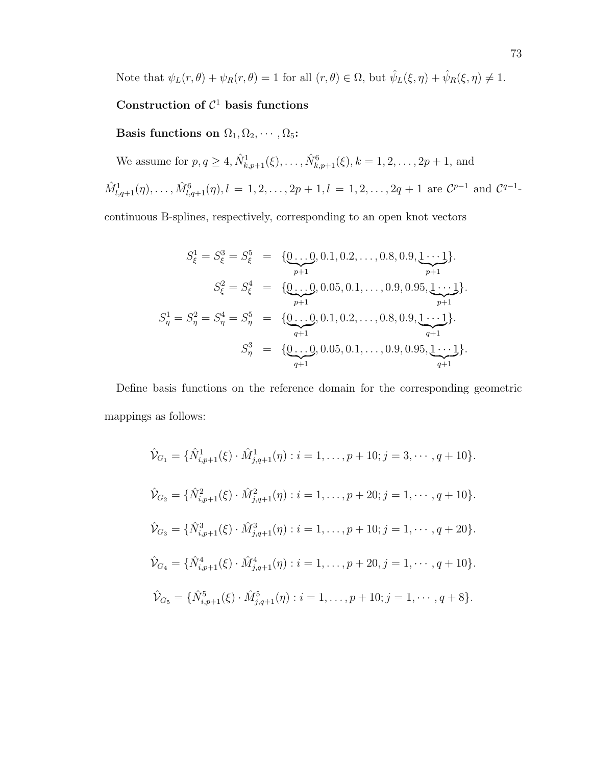Note that  $\psi_L(r,\theta) + \psi_R(r,\theta) = 1$  for all  $(r,\theta) \in \Omega$ , but  $\hat{\psi}_L(\xi,\eta) + \hat{\psi}_R(\xi,\eta) \neq 1$ .

## Construction of  $C<sup>1</sup>$  basis functions

Basis functions on  $\Omega_1, \Omega_2, \cdots, \Omega_5$ :

We assume for  $p, q \ge 4$ ,  $\hat{N}_{k, p+1}^1(\xi), \ldots, \hat{N}_{k, p+1}^6(\xi), k = 1, 2, \ldots, 2p+1$ , and

 $\hat{M}^1_{l,q+1}(\eta), \ldots, \hat{M}^6_{l,q+1}(\eta), l = 1, 2, \ldots, 2p+1, l = 1, 2, \ldots, 2q+1$  are  $\mathcal{C}^{p-1}$  and  $\mathcal{C}^{q-1}$ 

continuous B-splines, respectively, corresponding to an open knot vectors

$$
S_{\xi}^{1} = S_{\xi}^{3} = S_{\xi}^{5} = \{ \underbrace{0...0}_{p+1}, 0.1, 0.2, ..., 0.8, 0.9, \underbrace{1...1}_{p+1} \}.
$$
\n
$$
S_{\xi}^{2} = S_{\xi}^{4} = \{ \underbrace{0...0}_{p+1}, 0.05, 0.1, ..., 0.9, 0.95, \underbrace{1...1}_{p+1} \}.
$$
\n
$$
S_{\eta}^{1} = S_{\eta}^{2} = S_{\eta}^{4} = S_{\eta}^{5} = \{ \underbrace{0...0}_{q+1}, 0.1, 0.2, ..., 0.8, 0.9, \underbrace{1...1}_{q+1} \}.
$$
\n
$$
S_{\eta}^{3} = \{ \underbrace{0...0}_{q+1}, 0.05, 0.1, ..., 0.9, 0.95, \underbrace{1...1}_{q+1} \}.
$$

Define basis functions on the reference domain for the corresponding geometric mappings as follows:

$$
\hat{\mathcal{V}}_{G_1} = \{ \hat{N}_{i,p+1}^1(\xi) \cdot \hat{M}_{j,q+1}^1(\eta) : i = 1, \dots, p+10; j = 3, \dots, q+10 \}.
$$
  

$$
\hat{\mathcal{V}}_{G_2} = \{ \hat{N}_{i,p+1}^2(\xi) \cdot \hat{M}_{j,q+1}^2(\eta) : i = 1, \dots, p+20; j = 1, \dots, q+10 \}.
$$
  

$$
\hat{\mathcal{V}}_{G_3} = \{ \hat{N}_{i,p+1}^3(\xi) \cdot \hat{M}_{j,q+1}^3(\eta) : i = 1, \dots, p+10; j = 1, \dots, q+20 \}.
$$
  

$$
\hat{\mathcal{V}}_{G_4} = \{ \hat{N}_{i,p+1}^4(\xi) \cdot \hat{M}_{j,q+1}^4(\eta) : i = 1, \dots, p+20, j = 1, \dots, q+10 \}.
$$
  

$$
\hat{\mathcal{V}}_{G_5} = \{ \hat{N}_{i,p+1}^5(\xi) \cdot \hat{M}_{j,q+1}^5(\eta) : i = 1, \dots, p+10; j = 1, \dots, q+8 \}.
$$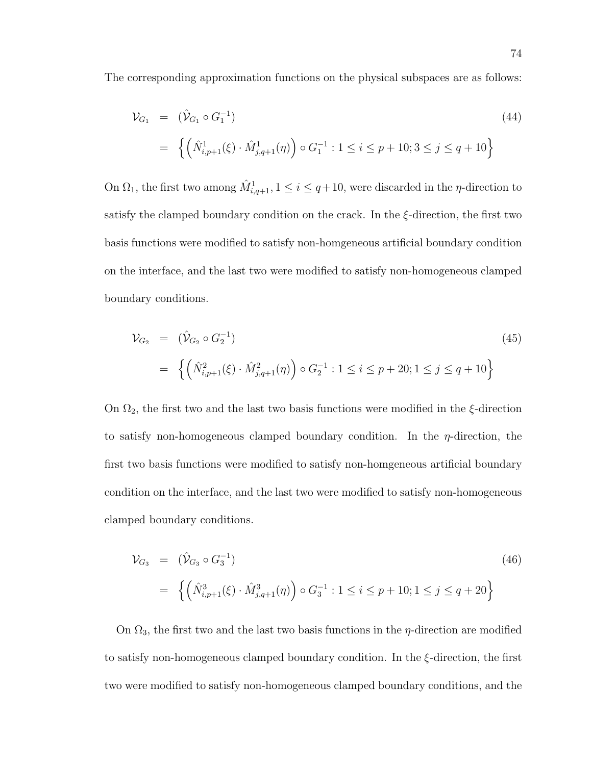The corresponding approximation functions on the physical subspaces are as follows:

$$
\mathcal{V}_{G_1} = (\hat{\mathcal{V}}_{G_1} \circ G_1^{-1})
$$
\n
$$
= \left\{ \left( \hat{N}_{i,p+1}^1(\xi) \cdot \hat{M}_{j,q+1}^1(\eta) \right) \circ G_1^{-1} : 1 \le i \le p+10; 3 \le j \le q+10 \right\}
$$
\n
$$
(44)
$$

On  $\Omega_1$ , the first two among  $\hat{M}^1_{i,q+1}$ ,  $1 \leq i \leq q+10$ , were discarded in the *η*-direction to satisfy the clamped boundary condition on the crack. In the  $\xi$ -direction, the first two basis functions were modified to satisfy non-homgeneous artificial boundary condition on the interface, and the last two were modified to satisfy non-homogeneous clamped boundary conditions.

$$
\mathcal{V}_{G_2} = (\hat{\mathcal{V}}_{G_2} \circ G_2^{-1})
$$
\n
$$
= \left\{ \left( \hat{N}_{i,p+1}^2(\xi) \cdot \hat{M}_{j,q+1}^2(\eta) \right) \circ G_2^{-1} : 1 \le i \le p+20; 1 \le j \le q+10 \right\}
$$
\n(45)

On  $\Omega_2$ , the first two and the last two basis functions were modified in the  $\xi$ -direction to satisfy non-homogeneous clamped boundary condition. In the  $\eta$ -direction, the first two basis functions were modified to satisfy non-homgeneous artificial boundary condition on the interface, and the last two were modified to satisfy non-homogeneous clamped boundary conditions.

$$
\mathcal{V}_{G_3} = (\hat{\mathcal{V}}_{G_3} \circ G_3^{-1})
$$
\n
$$
= \left\{ \left( \hat{N}_{i,p+1}^3(\xi) \cdot \hat{M}_{j,q+1}^3(\eta) \right) \circ G_3^{-1} : 1 \le i \le p+10; 1 \le j \le q+20 \right\}
$$
\n(46)

On  $\Omega_3$ , the first two and the last two basis functions in the *η*-direction are modified to satisfy non-homogeneous clamped boundary condition. In the ξ-direction, the first two were modified to satisfy non-homogeneous clamped boundary conditions, and the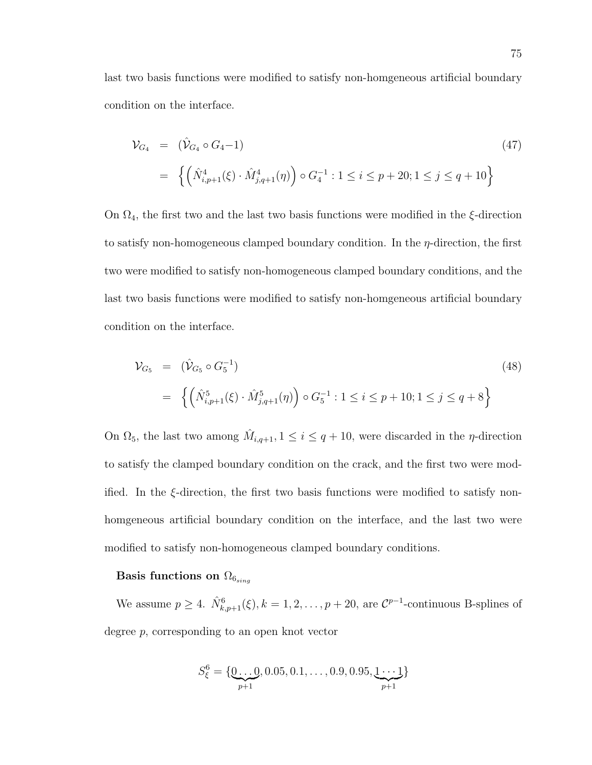last two basis functions were modified to satisfy non-homgeneous artificial boundary condition on the interface.

$$
\mathcal{V}_{G_4} = (\hat{\mathcal{V}}_{G_4} \circ G_4 - 1)
$$
\n
$$
= \left\{ \left( \hat{N}_{i,p+1}^4(\xi) \cdot \hat{M}_{j,q+1}^4(\eta) \right) \circ G_4^{-1} : 1 \le i \le p+20; 1 \le j \le q+10 \right\}
$$
\n
$$
(47)
$$

On  $\Omega_4$ , the first two and the last two basis functions were modified in the  $\xi$ -direction to satisfy non-homogeneous clamped boundary condition. In the  $\eta$ -direction, the first two were modified to satisfy non-homogeneous clamped boundary conditions, and the last two basis functions were modified to satisfy non-homgeneous artificial boundary condition on the interface.

$$
\mathcal{V}_{G_5} = (\hat{\mathcal{V}}_{G_5} \circ G_5^{-1})
$$
\n
$$
= \left\{ \left( \hat{N}_{i,p+1}^5(\xi) \cdot \hat{M}_{j,q+1}^5(\eta) \right) \circ G_5^{-1} : 1 \le i \le p+10; 1 \le j \le q+8 \right\}
$$
\n
$$
(48)
$$

On  $\Omega_5$ , the last two among  $\hat{M}_{i,q+1}$ ,  $1 \leq i \leq q+10$ , were discarded in the *η*-direction to satisfy the clamped boundary condition on the crack, and the first two were modified. In the ξ-direction, the first two basis functions were modified to satisfy nonhomgeneous artificial boundary condition on the interface, and the last two were modified to satisfy non-homogeneous clamped boundary conditions.

# Basis functions on  $\Omega_{6_{sing}}$

We assume  $p \geq 4$ .  $\hat{N}_{k,p+1}^6(\xi), k = 1, 2, \ldots, p+20$ , are  $\mathcal{C}^{p-1}$ -continuous B-splines of degree p, corresponding to an open knot vector

$$
S_{\xi}^{6} = \{ \underbrace{0 \dots 0}_{p+1}, 0.05, 0.1, \dots, 0.9, 0.95, \underbrace{1 \cdots 1}_{p+1} \}
$$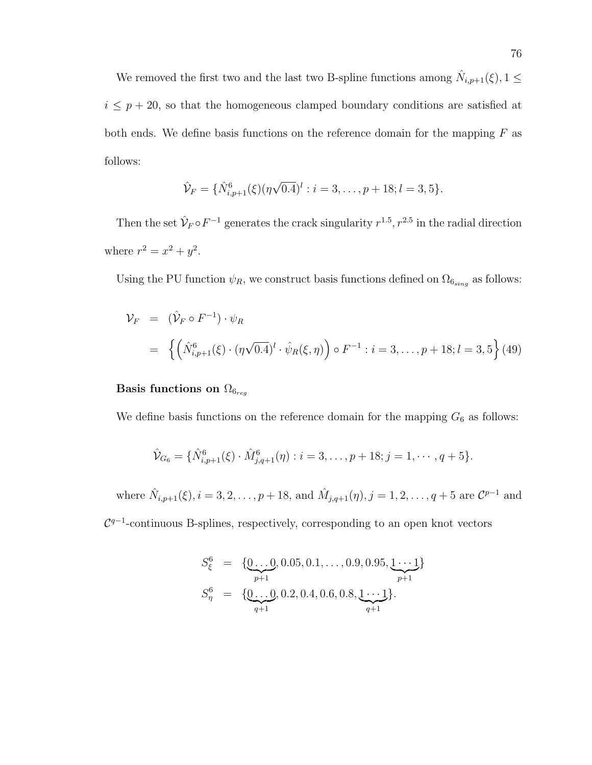We removed the first two and the last two B-spline functions among  $\hat{N}_{i,p+1}(\xi), 1 \leq$  $i \leq p + 20$ , so that the homogeneous clamped boundary conditions are satisfied at both ends. We define basis functions on the reference domain for the mapping  $F$  as follows:

$$
\hat{\mathcal{V}}_F = \{ \hat{N}_{i,p+1}^6(\xi)(\eta\sqrt{0.4})^l : i = 3,\ldots,p+18; l = 3,5 \}.
$$

Then the set  $\hat{\mathcal{V}}_F \circ F^{-1}$  generates the crack singularity  $r^{1.5}$ ,  $r^{2.5}$  in the radial direction where  $r^2 = x^2 + y^2$ .

Using the PU function  $\psi_R$ , we construct basis functions defined on  $\Omega_{6sing}$  as follows:

$$
\mathcal{V}_F = (\hat{V}_F \circ F^{-1}) \cdot \psi_R
$$
  
=  $\left\{ \left( \hat{N}_{i,p+1}^6(\xi) \cdot (\eta \sqrt{0.4})^l \cdot \hat{\psi}_R(\xi, \eta) \right) \circ F^{-1} : i = 3, ..., p + 18; l = 3, 5 \right\}$  (49)

# Basis functions on  $\Omega_{6_{req}}$

We define basis functions on the reference domain for the mapping  $G_6$  as follows:

$$
\hat{\mathcal{V}}_{G_6} = \{ \hat{N}_{i,p+1}^6(\xi) \cdot \hat{M}_{j,q+1}^6(\eta) : i = 3, \dots, p+18; j = 1, \dots, q+5 \}.
$$

where  $\hat{N}_{i,p+1}(\xi), i = 3, 2, \ldots, p+18$ , and  $\hat{M}_{j,q+1}(\eta), j = 1, 2, \ldots, q+5$  are  $\mathcal{C}^{p-1}$  and  $\mathcal{C}^{q-1}$ -continuous B-splines, respectively, corresponding to an open knot vectors

$$
S_{\xi}^{6} = \{ \underbrace{0...0}_{p+1}, 0.05, 0.1, ..., 0.9, 0.95, \underbrace{1...1}_{p+1} \}
$$
  
\n
$$
S_{\eta}^{6} = \{ \underbrace{0...0}_{q+1}, 0.2, 0.4, 0.6, 0.8, \underbrace{1...1}_{q+1} \}.
$$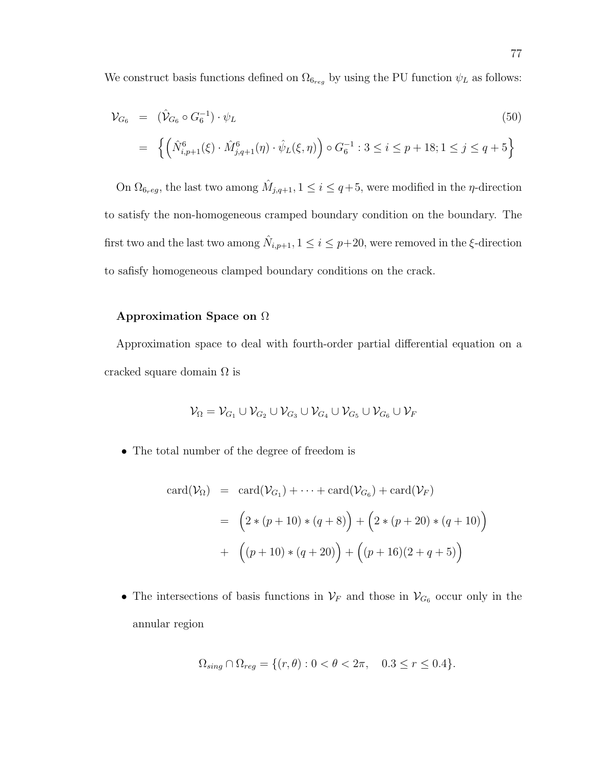We construct basis functions defined on  $\Omega_{6reg}$  by using the PU function  $\psi_L$  as follows:

$$
\mathcal{V}_{G_6} = (\hat{\mathcal{V}}_{G_6} \circ G_6^{-1}) \cdot \psi_L
$$
\n
$$
= \left\{ \left( \hat{N}_{i,p+1}^6(\xi) \cdot \hat{M}_{j,q+1}^6(\eta) \cdot \hat{\psi}_L(\xi,\eta) \right) \circ G_6^{-1} : 3 \le i \le p+18; 1 \le j \le q+5 \right\}
$$
\n(50)

On  $\Omega_{6reg}$ , the last two among  $\hat{M}_{j,q+1}$ ,  $1 \leq i \leq q+5$ , were modified in the *η*-direction to satisfy the non-homogeneous cramped boundary condition on the boundary. The first two and the last two among  $\hat{N}_{i,p+1}$ ,  $1 \leq i \leq p+20$ , were removed in the  $\xi$ -direction to safisfy homogeneous clamped boundary conditions on the crack.

#### Approximation Space on Ω

Approximation space to deal with fourth-order partial differential equation on a cracked square domain  $\Omega$  is

$$
\mathcal{V}_\Omega = \mathcal{V}_{G_1} \cup \mathcal{V}_{G_2} \cup \mathcal{V}_{G_3} \cup \mathcal{V}_{G_4} \cup \mathcal{V}_{G_5} \cup \mathcal{V}_{G_6} \cup \mathcal{V}_{F}
$$

• The total number of the degree of freedom is

$$
card(\mathcal{V}_{\Omega}) = card(\mathcal{V}_{G_1}) + \dots + card(\mathcal{V}_{G_6}) + card(\mathcal{V}_F)
$$
  
=  $(2 * (p + 10) * (q + 8)) + (2 * (p + 20) * (q + 10))$   
+  $((p + 10) * (q + 20)) + ((p + 16)(2 + q + 5))$ 

• The intersections of basis functions in  $\mathcal{V}_F$  and those in  $\mathcal{V}_{G_6}$  occur only in the annular region

$$
\Omega_{sing} \cap \Omega_{reg} = \{ (r, \theta) : 0 < \theta < 2\pi, \quad 0.3 \le r \le 0.4 \}.
$$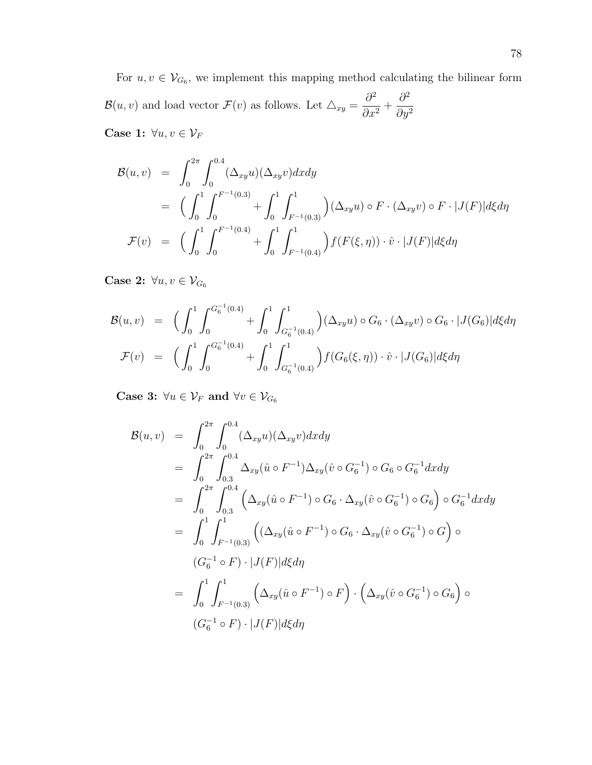For  $u, v \in V_{G_6}$ , we implement this mapping method calculating the bilinear form  $\mathcal{B}(u, v)$  and load vector  $\mathcal{F}(v)$  as follows. Let  $\triangle_{xy} = \frac{\partial^2}{\partial x^2}$  $\frac{\delta}{\partial x^2}$  +  $\partial^2$  $\partial y^2$ Case 1:  $\forall u, v \in \mathcal{V}_F$ 

 $\mathcal{B}(u, v) = \int^{2\pi}$ 0  $\int^{0.4}$  $\boldsymbol{0}$  $(\Delta_{xy}u)(\Delta_{xy}v)dxdy$  $=$   $\left(\int_0^1$  $\boldsymbol{0}$  $\int_0^{F^{-1}(0.3)}$ 0  $+$   $\int_1^1$  $\boldsymbol{0}$  $\int_0^1$  $F^{-1}(0.3)$  $(\Delta_{xy}u)\circ F\cdot(\Delta_{xy}v)\circ F\cdot |J(F)|d\xi d\eta$  $\mathcal{F}(v) = \left(\begin{array}{c} \end{array}\right)^{1}$  $\boldsymbol{0}$  $\int_0^{F^{-1}(0.4)}$ 0  $+$   $\int_1^1$  $\boldsymbol{0}$  $\int_1^1$  $F^{-1}(0.4)$  $\int f(F(\xi, \eta)) \cdot \hat{v} \cdot |J(F)| d\xi d\eta$ 

Case 2:  $\forall u, v \in \mathcal{V}_{G_6}$ 

$$
\mathcal{B}(u,v) = \left(\int_0^1 \int_0^{G_6^{-1}(0.4)} + \int_0^1 \int_{G_6^{-1}(0.4)}^1 \right) (\Delta_{xy} u) \circ G_6 \cdot (\Delta_{xy} v) \circ G_6 \cdot |J(G_6)| d\xi d\eta
$$
  

$$
\mathcal{F}(v) = \left(\int_0^1 \int_0^{G_6^{-1}(0.4)} + \int_0^1 \int_{G_6^{-1}(0.4)}^1 \right) f(G_6(\xi, \eta)) \cdot \hat{v} \cdot |J(G_6)| d\xi d\eta
$$

Case 3:  $\forall u \in \mathcal{V}_F$  and  $\forall v \in \mathcal{V}_{G_6}$ 

$$
\mathcal{B}(u, v) = \int_0^{2\pi} \int_0^{0.4} (\Delta_{xy} u)(\Delta_{xy} v) dxdy
$$
  
\n
$$
= \int_0^{2\pi} \int_0^{0.4} \Delta_{xy} (\hat{u} \circ F^{-1}) \Delta_{xy} (\hat{v} \circ G_6^{-1}) \circ G_6 \circ G_6^{-1} dxdy
$$
  
\n
$$
= \int_0^{2\pi} \int_0^{0.4} (\Delta_{xy} (\hat{u} \circ F^{-1}) \circ G_6 \cdot \Delta_{xy} (\hat{v} \circ G_6^{-1}) \circ G_6) \circ G_6^{-1} dxdy
$$
  
\n
$$
= \int_0^1 \int_{F^{-1}(0.3)}^1 ((\Delta_{xy} (\hat{u} \circ F^{-1}) \circ G_6 \cdot \Delta_{xy} (\hat{v} \circ G_6^{-1}) \circ G) \circ G_6^{-1} d\xi
$$
  
\n
$$
(G_6^{-1} \circ F) \cdot |J(F)| d\xi d\eta
$$
  
\n
$$
= \int_0^1 \int_{F^{-1}(0.3)}^1 (\Delta_{xy} (\hat{u} \circ F^{-1}) \circ F) \cdot (\Delta_{xy} (\hat{v} \circ G_6^{-1}) \circ G_6) \circ G_6^{-1} d\xi
$$
  
\n
$$
(G_6^{-1} \circ F) \cdot |J(F)| d\xi d\eta
$$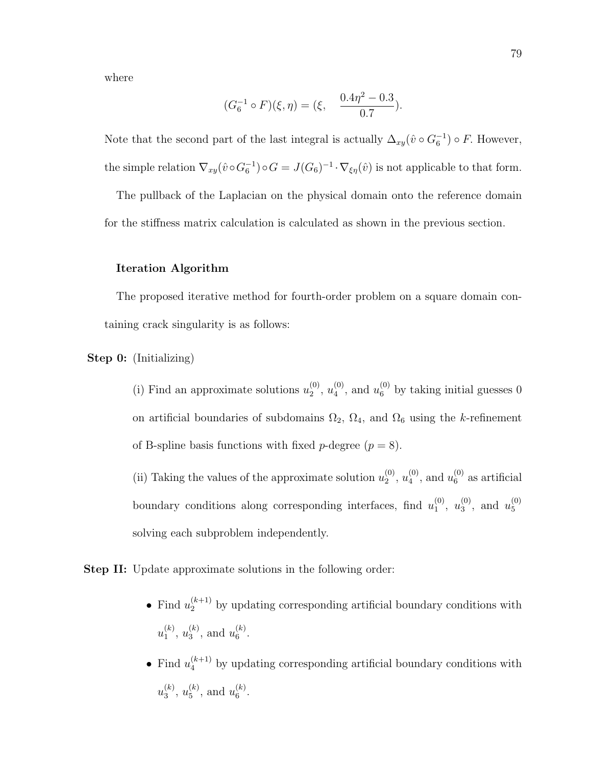where

$$
(G_6^{-1} \circ F)(\xi, \eta) = (\xi, \quad \frac{0.4\eta^2 - 0.3}{0.7}).
$$

Note that the second part of the last integral is actually  $\Delta_{xy}(\hat{v} \circ G_6^{-1}) \circ F$ . However, the simple relation  $\nabla_{xy}(\hat{v} \circ G_6^{-1}) \circ G = J(G_6)^{-1} \cdot \nabla_{\xi\eta}(\hat{v})$  is not applicable to that form.

The pullback of the Laplacian on the physical domain onto the reference domain for the stiffness matrix calculation is calculated as shown in the previous section.

#### Iteration Algorithm

The proposed iterative method for fourth-order problem on a square domain containing crack singularity is as follows:

Step 0: (Initializing)

(i) Find an approximate solutions  $u_2^{(0)}$  $\binom{0}{2}, u_4^{(0)}$  $u_4^{(0)}$ , and  $u_6^{(0)}$  by taking initial guesses 0 on artificial boundaries of subdomains  $\Omega_2$ ,  $\Omega_4$ , and  $\Omega_6$  using the k-refinement of B-spline basis functions with fixed *p*-degree  $(p = 8)$ .

(ii) Taking the values of the approximate solution  $u_2^{(0)}$  $\binom{0}{2}, u_4^{(0)}$  $u_4^{(0)}$ , and  $u_6^{(0)}$  $_6^{\circ}$  as artificial boundary conditions along corresponding interfaces, find  $u_1^{(0)}$  $\binom{0}{1}, u_3^{(0)}$  $u_3^{(0)}$ , and  $u_5^{(0)}$ 5 solving each subproblem independently.

Step II: Update approximate solutions in the following order:

- Find  $u_2^{(k+1)}$  by updating corresponding artificial boundary conditions with  $u_1^{(k)}$  $\binom{k}{1}, u_3^{(k)}$  $\binom{k}{3}$ , and  $u_6^{(k)}$  $\binom{\kappa}{6}$ .
- Find  $u_4^{(k+1)}$  by updating corresponding artificial boundary conditions with  $u_3^{(k)}$  $\binom{k}{3}, u_5^{(k)}$  $_5^{(k)}$ , and  $u_6^{(k)}$  $\binom{\kappa}{6}$ .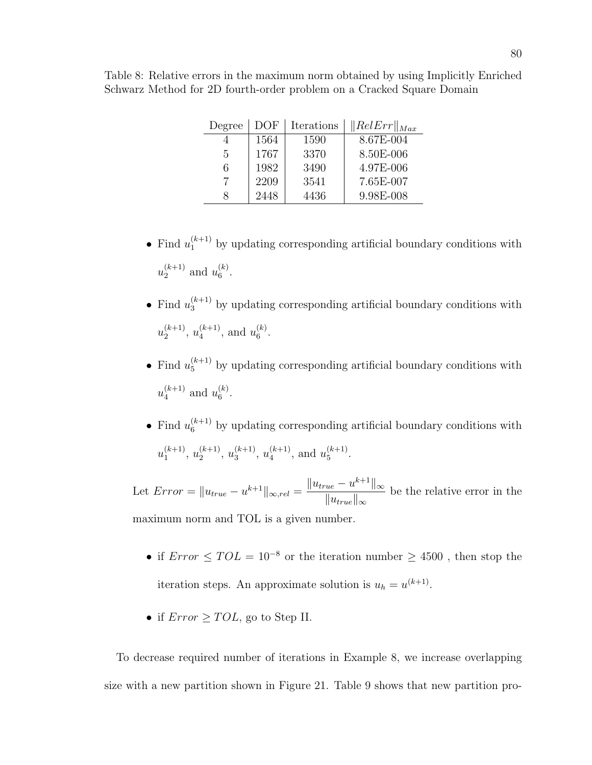| Degree | DOF  | Iterations | $\ RelErr\ _{Max}$ |
|--------|------|------------|--------------------|
|        | 1564 | 1590       | 8.67E-004          |
| 5      | 1767 | 3370       | 8.50E-006          |
| 6      | 1982 | 3490       | 4.97E-006          |
|        | 2209 | 3541       | 7.65E-007          |
| x      | 2448 | 4436       | 9.98E-008          |

Table 8: Relative errors in the maximum norm obtained by using Implicitly Enriched Schwarz Method for 2D fourth-order problem on a Cracked Square Domain

- Find  $u_1^{(k+1)}$  by updating corresponding artificial boundary conditions with  $u_2^{(k+1)}$  $u_2^{(k+1)}$  and  $u_6^{(k)}$  $\binom{\kappa}{6}$ .
- Find  $u_3^{(k+1)}$  by updating corresponding artificial boundary conditions with  $u_2^{(k+1)}$  $\binom{k+1}{2}, u_4^{(k+1)}$  $\binom{k+1}{4}$ , and  $u_6^{(k)}$  $\binom{\kappa}{6}$ .
- Find  $u_5^{(k+1)}$  by updating corresponding artificial boundary conditions with  $u_4^{(k+1)}$  $u_4^{(k+1)}$  and  $u_6^{(k)}$  $\binom{\kappa}{6}$ .
- Find  $u_6^{(k+1)}$  by updating corresponding artificial boundary conditions with  $u_1^{(k+1)}$  $\binom{k+1}{1}, u_2^{(k+1)}$  $\binom{k+1}{2}, u_3^{(k+1)}$  $\binom{k+1}{3}, u_4^{(k+1)}$  $\binom{k+1}{4}$ , and  $u_5^{(k+1)}$  $\frac{(k+1)}{5}$ .

Let  $Error = ||u_{true} - u^{k+1}||_{\infty, rel} = \frac{||u_{true} - u^{k+1}||_{\infty}}{||u_{true} - u^{k+1}||_{\infty}}$  $||u_{true}||_{\infty}$ be the relative error in the maximum norm and TOL is a given number.

- if  $Error \leq TOL = 10^{-8}$  or the iteration number  $\geq 4500$ , then stop the iteration steps. An approximate solution is  $u_h = u^{(k+1)}$ .
- if  $Error \geq TOL$ , go to Step II.

To decrease required number of iterations in Example 8, we increase overlapping size with a new partition shown in Figure 21. Table 9 shows that new partition pro-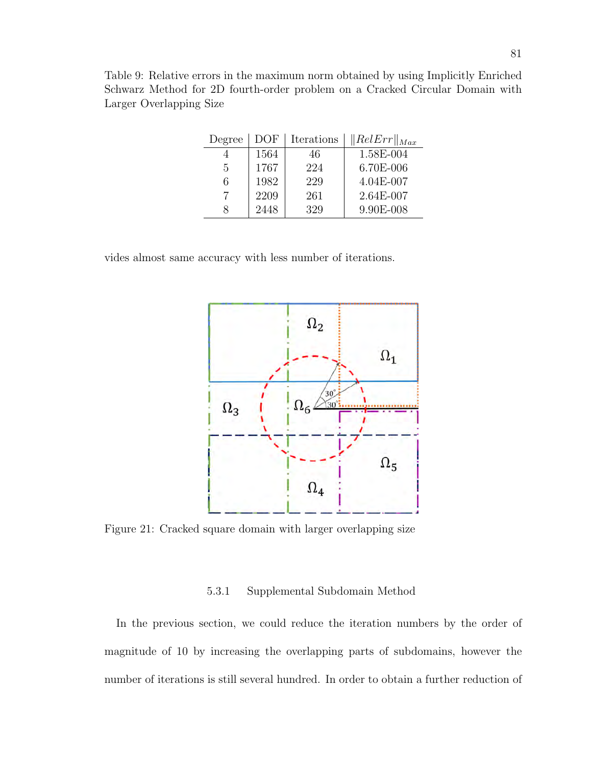Table 9: Relative errors in the maximum norm obtained by using Implicitly Enriched Schwarz Method for 2D fourth-order problem on a Cracked Circular Domain with Larger Overlapping Size

| Degree | DOF  | Iterations | $\ RelErr\ _{Max}$ |
|--------|------|------------|--------------------|
|        | 1564 | 46         | 1.58E-004          |
| 5      | 1767 | 224        | 6.70E-006          |
| 6      | 1982 | 229        | 4.04E-007          |
|        | 2209 | 261        | 2.64E-007          |
| Χ      | 2448 | 329        | 9.90E-008          |

vides almost same accuracy with less number of iterations.



Figure 21: Cracked square domain with larger overlapping size

### 5.3.1 Supplemental Subdomain Method

In the previous section, we could reduce the iteration numbers by the order of magnitude of 10 by increasing the overlapping parts of subdomains, however the number of iterations is still several hundred. In order to obtain a further reduction of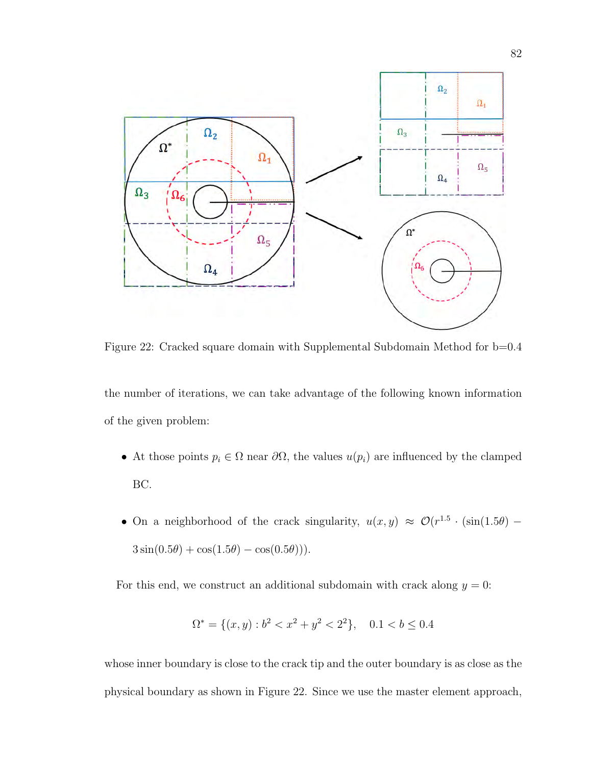

Figure 22: Cracked square domain with Supplemental Subdomain Method for b=0.4

the number of iterations, we can take advantage of the following known information of the given problem:

- At those points  $p_i \in \Omega$  near  $\partial\Omega$ , the values  $u(p_i)$  are influenced by the clamped BC.
- On a neighborhood of the crack singularity,  $u(x, y) \approx \mathcal{O}(r^{1.5} \cdot (\sin(1.5\theta) 3\sin(0.5\theta) + \cos(1.5\theta) - \cos(0.5\theta)).$

For this end, we construct an additional subdomain with crack along  $y = 0$ :

$$
\Omega^* = \{(x, y) : b^2 < x^2 + y^2 < 2^2\}, \quad 0.1 < b \le 0.4
$$

whose inner boundary is close to the crack tip and the outer boundary is as close as the physical boundary as shown in Figure 22. Since we use the master element approach,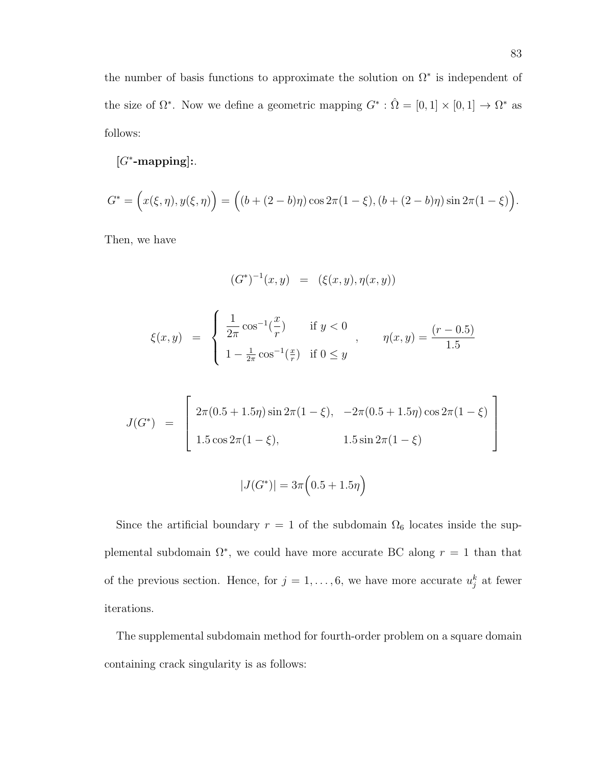the number of basis functions to approximate the solution on  $\Omega^*$  is independent of the size of  $\Omega^*$ . Now we define a geometric mapping  $G^* : \hat{\Omega} = [0,1] \times [0,1] \to \Omega^*$  as follows:

# $[G^*$ -mapping]:.

$$
G^* = (x(\xi, \eta), y(\xi, \eta)) = ((b + (2 - b)\eta) \cos 2\pi (1 - \xi), (b + (2 - b)\eta) \sin 2\pi (1 - \xi)).
$$

Then, we have

$$
(G^*)^{-1}(x, y) = (\xi(x, y), \eta(x, y))
$$
  

$$
\xi(x, y) = \begin{cases} \frac{1}{2\pi} \cos^{-1}(\frac{x}{r}) & \text{if } y < 0 \\ 1 - \frac{1}{2\pi} \cos^{-1}(\frac{x}{r}) & \text{if } 0 \le y \end{cases}, \eta(x, y) = \frac{(r - 0.5)}{1.5}
$$

$$
J(G^*) = \begin{bmatrix} 2\pi(0.5 + 1.5\eta)\sin 2\pi(1 - \xi), & -2\pi(0.5 + 1.5\eta)\cos 2\pi(1 - \xi) \\ 1.5\cos 2\pi(1 - \xi), & 1.5\sin 2\pi(1 - \xi) \end{bmatrix}
$$

$$
|J(G^*)| = 3\pi(0.5 + 1.5\eta)
$$

Since the artificial boundary  $r = 1$  of the subdomain  $\Omega_6$  locates inside the supplemental subdomain  $\Omega^*$ , we could have more accurate BC along  $r = 1$  than that of the previous section. Hence, for  $j = 1, \ldots, 6$ , we have more accurate  $u_j^k$  at fewer iterations.

The supplemental subdomain method for fourth-order problem on a square domain containing crack singularity is as follows: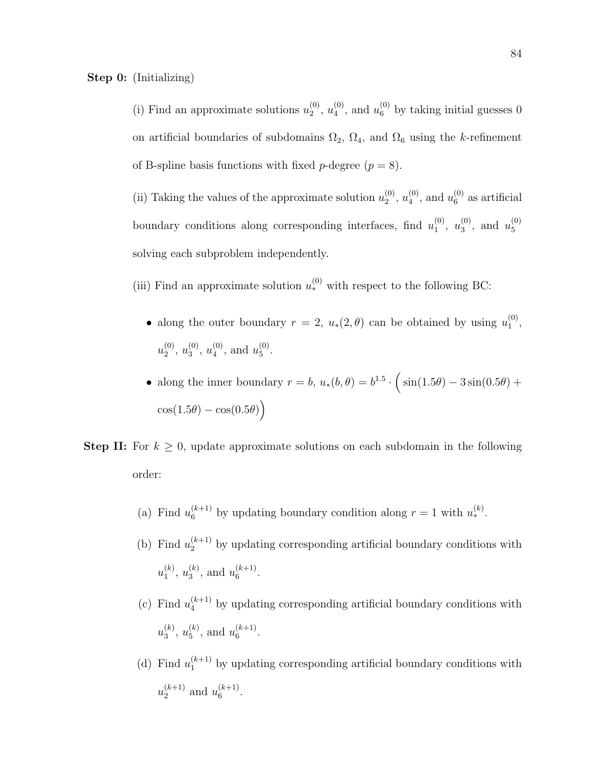(i) Find an approximate solutions  $u_2^{(0)}$  $\binom{0}{2}, u_4^{(0)}$  $u_4^{(0)}$ , and  $u_6^{(0)}$  by taking initial guesses 0 on artificial boundaries of subdomains  $\Omega_2$ ,  $\Omega_4$ , and  $\Omega_6$  using the k-refinement of B-spline basis functions with fixed *p*-degree  $(p = 8)$ .

(ii) Taking the values of the approximate solution  $u_2^{(0)}$  $\binom{0}{2}, u_4^{(0)}$  $u_4^{(0)}$ , and  $u_6^{(0)}$  $_6^{\circ}$  as artificial boundary conditions along corresponding interfaces, find  $u_1^{(0)}$  $\binom{0}{1}, u_3^{(0)}$  $u_3^{(0)}$ , and  $u_5^{(0)}$ 5 solving each subproblem independently.

(iii) Find an approximate solution  $u_*^{(0)}$  with respect to the following BC:

- along the outer boundary  $r = 2$ ,  $u_*(2, \theta)$  can be obtained by using  $u_1^{(0)}$  $\binom{(0)}{1}$  $u_2^{(0)}$  $\binom{0}{2}, u_3^{(0)}$  $\binom{0}{3}, u_4^{(0)}$  $u_4^{(0)}$ , and  $u_5^{(0)}$ 5 .
- along the inner boundary  $r = b$ ,  $u_*(b, \theta) = b^{1.5} \cdot (\sin(1.5\theta) 3\sin(0.5\theta) +$  $\cos(1.5\theta) - \cos(0.5\theta)$
- **Step II:** For  $k \geq 0$ , update approximate solutions on each subdomain in the following order:
	- (a) Find  $u_6^{(k+1)}$  by updating boundary condition along  $r = 1$  with  $u_*^{(k)}$ .
	- (b) Find  $u_2^{(k+1)}$  by updating corresponding artificial boundary conditions with  $u_1^{(k)}$  $\binom{k}{1}, u_3^{(k)}$  $\binom{k}{3}$ , and  $u_6^{(k+1)}$  $\binom{\kappa+1}{6}$ .
	- (c) Find  $u_4^{(k+1)}$  by updating corresponding artificial boundary conditions with  $u_3^{(k)}$  $\binom{k}{3}, u_5^{(k)}$  $_5^{(k)}$ , and  $u_6^{(k+1)}$  $\overset{(\kappa+1)}{6}$ .
	- (d) Find  $u_1^{(k+1)}$  by updating corresponding artificial boundary conditions with  $u_2^{(k+1)}$  $\binom{k+1}{2}$  and  $u_6^{(k+1)}$  $\overset{(\kappa+1)}{6}$ .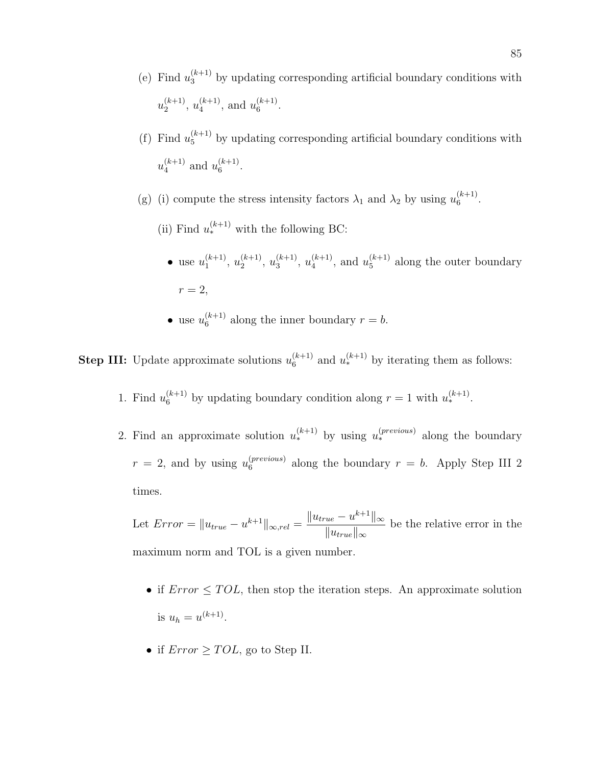- (e) Find  $u_3^{(k+1)}$  by updating corresponding artificial boundary conditions with  $u_2^{(k+1)}$  $u_4^{(k+1)}, u_4^{(k+1)}$  $\binom{(k+1)}{4}$ , and  $u_6^{(k+1)}$  $\overset{(\kappa+1)}{6}$ .
- (f) Find  $u_5^{(k+1)}$  by updating corresponding artificial boundary conditions with  $u_4^{(k+1)}$  $\binom{k+1}{4}$  and  $u_6^{(k+1)}$  $\binom{\kappa+1}{6}$ .
- (g) (i) compute the stress intensity factors  $\lambda_1$  and  $\lambda_2$  by using  $u_6^{(k+1)}$  $\overset{(\kappa+1)}{6}$ .
	- (ii) Find  $u_*^{(k+1)}$  with the following BC:
		- use  $u_1^{(k+1)}$  $\binom{k+1}{1}, u_2^{(k+1)}$  $u_3^{(k+1)}, u_3^{(k+1)}$  $\binom{k+1}{3}, u_4^{(k+1)}$  $\binom{(k+1)}{4}$ , and  $u_5^{(k+1)}$  $_5^{(k+1)}$  along the outer boundary  $r=2$ ,
		- use  $u_6^{(k+1)}$  $6^{(k+1)}$  along the inner boundary  $r = b$ .

**Step III:** Update approximate solutions  $u_6^{(k+1)}$  $\binom{k+1}{6}$  and  $u_*^{(k+1)}$  by iterating them as follows:

- 1. Find  $u_6^{(k+1)}$  by updating boundary condition along  $r = 1$  with  $u_*^{(k+1)}$ .
- 2. Find an approximate solution  $u_*^{(k+1)}$  by using  $u_*^{(previous)}$  along the boundary  $r = 2$ , and by using  $u_6^{(previous)}$  $_6^{(prevous)}$  along the boundary  $r = b$ . Apply Step III 2 times.

Let  $Error = ||u_{true} - u^{k+1}||_{\infty, rel} = \frac{||u_{true} - u^{k+1}||_{\infty}}{||u_{true} - u^{k+1}||_{\infty}}$  $||u_{true}||_{\infty}$ be the relative error in the maximum norm and TOL is a given number.

- if  $Error \leq TOL$ , then stop the iteration steps. An approximate solution is  $u_h = u^{(k+1)}$ .
- if  $Error \geq TOL$ , go to Step II.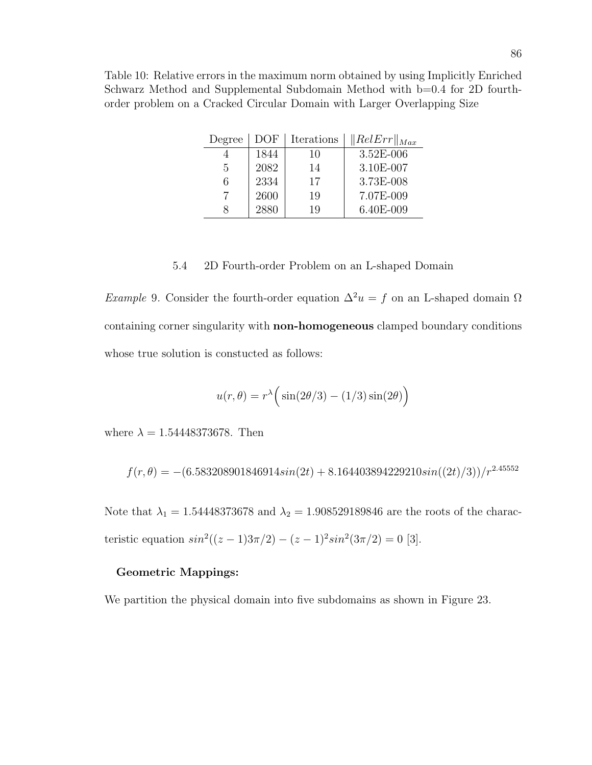Table 10: Relative errors in the maximum norm obtained by using Implicitly Enriched Schwarz Method and Supplemental Subdomain Method with b=0.4 for 2D fourthorder problem on a Cracked Circular Domain with Larger Overlapping Size

| Degree | DOF  | Iterations | $\ RelErr\ _{Max}$ |
|--------|------|------------|--------------------|
|        | 1844 | 10         | $3.52E - 006$      |
| 5      | 2082 | 14         | 3.10E-007          |
| 6      | 2334 | 17         | 3.73E-008          |
|        | 2600 | 19         | 7.07E-009          |
|        | 2880 | 19         | 6.40E-009          |

### 5.4 2D Fourth-order Problem on an L-shaped Domain

Example 9. Consider the fourth-order equation  $\Delta^2 u = f$  on an L-shaped domain  $\Omega$ containing corner singularity with non-homogeneous clamped boundary conditions whose true solution is constucted as follows:

$$
u(r,\theta) = r^{\lambda} \Big( \sin(2\theta/3) - (1/3)\sin(2\theta) \Big)
$$

where  $\lambda = 1.54448373678$ . Then

$$
f(r,\theta) = -(6.583208901846914\sin(2t) + 8.164403894229210\sin((2t)/3))/r^{2.45552}
$$

Note that  $\lambda_1 = 1.54448373678$  and  $\lambda_2 = 1.908529189846$  are the roots of the characteristic equation  $sin^2((z-1)3\pi/2) - (z-1)^2 sin^2(3\pi/2) = 0$  [3].

#### Geometric Mappings:

We partition the physical domain into five subdomains as shown in Figure 23.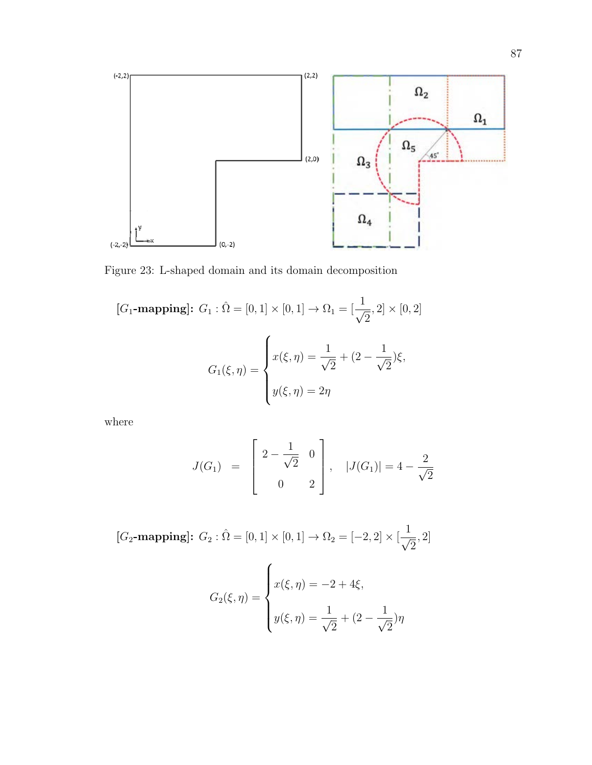

Figure 23: L-shaped domain and its domain decomposition

$$
[G_1-\text{mapping}]: G_1: \hat{\Omega} = [0, 1] \times [0, 1] \to \Omega_1 = [\frac{1}{\sqrt{2}}, 2] \times [0, 2]
$$

$$
G_1(\xi, \eta) = \begin{cases} x(\xi, \eta) = \frac{1}{\sqrt{2}} + (2 - \frac{1}{\sqrt{2}})\xi, \\ y(\xi, \eta) = 2\eta \end{cases}
$$

where

$$
J(G_1) = \begin{bmatrix} 2 - \frac{1}{\sqrt{2}} & 0 \\ 0 & 2 \end{bmatrix}, |J(G_1)| = 4 - \frac{2}{\sqrt{2}}
$$

 $[G_2$-mapping]: G_2: \hat{\Omega} = [0,1] \times [0,1] \rightarrow \Omega_2 = [-2,2] \times [\frac{1}{\sqrt{2}}]$ 2 , 2]  $G_2(\xi,\eta) =$  $\sqrt{ }$  $\int$  $\overline{\mathcal{L}}$  $x(\xi, \eta) = -2 + 4\xi,$  $y(\xi,\eta) = \frac{1}{\eta}$ 2  $+(2-\frac{1}{4})$ 2  $\left( \eta \right)$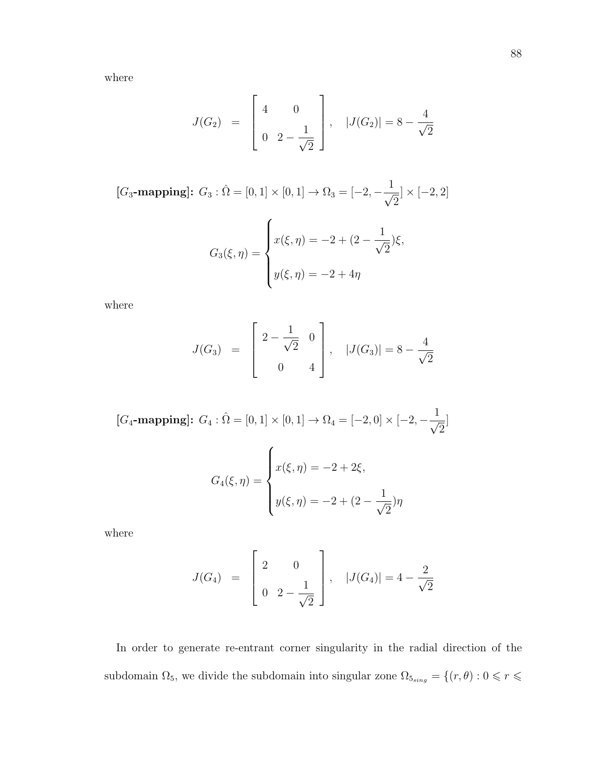where

$$
J(G_2) = \begin{bmatrix} 4 & 0 \\ 0 & 2 - \frac{1}{\sqrt{2}} \end{bmatrix}, |J(G_2)| = 8 - \frac{4}{\sqrt{2}}
$$

 $[G_3$-mapping]: G_3: \hat{\Omega} = [0,1] \times [0,1] \rightarrow \Omega_3 = [-2, -\frac{1}{\sqrt{2}}]$ 2  $\vert \times \vert -2, 2 \vert$ 

$$
G_3(\xi, \eta) = \begin{cases} x(\xi, \eta) = -2 + (2 - \frac{1}{\sqrt{2}})\xi, \\ y(\xi, \eta) = -2 + 4\eta \end{cases}
$$

where

$$
J(G_3) = \begin{bmatrix} 2 - \frac{1}{\sqrt{2}} & 0 \\ 0 & 4 \end{bmatrix}, |J(G_3)| = 8 - \frac{4}{\sqrt{2}}
$$

$$
[G_4\text{-mapping}]: G_4: \hat{\Omega} = [0, 1] \times [0, 1] \to \Omega_4 = [-2, 0] \times [-2, -\frac{1}{\sqrt{2}}]
$$

$$
G_4(\xi, \eta) = \begin{cases} x(\xi, \eta) = -2 + 2\xi, \\ y(\xi, \eta) = -2 + (2 - \frac{1}{\sqrt{2}})\eta \end{cases}
$$

where

$$
J(G_4) = \begin{bmatrix} 2 & 0 \\ 0 & 2 - \frac{1}{\sqrt{2}} \end{bmatrix}, |J(G_4)| = 4 - \frac{2}{\sqrt{2}}
$$

In order to generate re-entrant corner singularity in the radial direction of the subdomain  $\Omega_5$ , we divide the subdomain into singular zone  $\Omega_{5_{sing}} = \{(r, \theta): 0 \leqslant r \leqslant 0\}$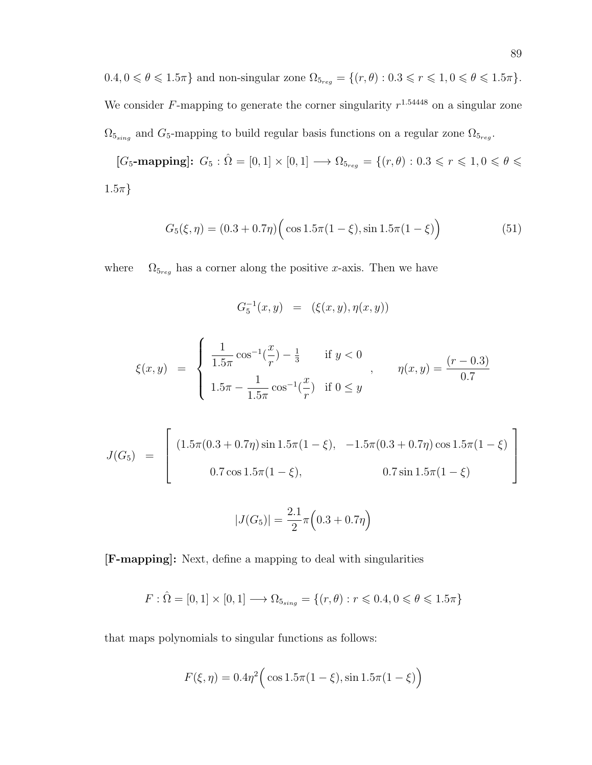$0.4, 0 \le \theta \le 1.5\pi$ } and non-singular zone  $\Omega_{5_{reg}} = \{(r, \theta) : 0.3 \le r \le 1, 0 \le \theta \le 1.5\pi\}.$ We consider F-mapping to generate the corner singularity  $r^{1.54448}$  on a singular zone  $\Omega_{5_{sing}}$  and  $G_5$ -mapping to build regular basis functions on a regular zone  $\Omega_{5_{reg}}$ .

 $[G_5{\text -}\mathbf{mapping}]$ :  $G_5$ :  $\hat{\Omega} = [0,1] \times [0,1] \longrightarrow \Omega_{5_{reg}} = \{(r,\theta): 0.3 \leq r \leq 1, 0 \leq \theta \leq \theta \leq \theta_{5}, r \in \{0,1\} \}$  $1.5\pi$ }

$$
G_5(\xi, \eta) = (0.3 + 0.7\eta) \Big( \cos 1.5\pi (1 - \xi), \sin 1.5\pi (1 - \xi) \Big)
$$
 (51)

where  $\Omega_{5_{reg}}$  has a corner along the positive x-axis. Then we have

$$
G_5^{-1}(x,y) \ \ = \ \ (\xi(x,y),\eta(x,y))
$$

$$
\xi(x,y) = \begin{cases} \frac{1}{1.5\pi} \cos^{-1}(\frac{x}{r}) - \frac{1}{3} & \text{if } y < 0 \\ 1.5\pi - \frac{1}{1.5\pi} \cos^{-1}(\frac{x}{r}) & \text{if } 0 \le y \end{cases}, \quad \eta(x,y) = \frac{(r-0.3)}{0.7}
$$

$$
J(G_5) = \begin{bmatrix} (1.5\pi(0.3 + 0.7\eta)\sin 1.5\pi(1 - \xi), -1.5\pi(0.3 + 0.7\eta)\cos 1.5\pi(1 - \xi) \\ 0.7\cos 1.5\pi(1 - \xi), & 0.7\sin 1.5\pi(1 - \xi) \end{bmatrix}
$$

$$
|J(G_5)| = \frac{2.1}{2}\pi \left(0.3 + 0.7\eta\right)
$$

[F-mapping]: Next, define a mapping to deal with singularities

$$
F: \hat{\Omega} = [0, 1] \times [0, 1] \longrightarrow \Omega_{5_{sing}} = \{(r, \theta) : r \leq 0.4, 0 \leq \theta \leq 1.5\pi\}
$$

that maps polynomials to singular functions as follows:

$$
F(\xi, \eta) = 0.4\eta^2 \Big(\cos 1.5\pi (1 - \xi), \sin 1.5\pi (1 - \xi)\Big)
$$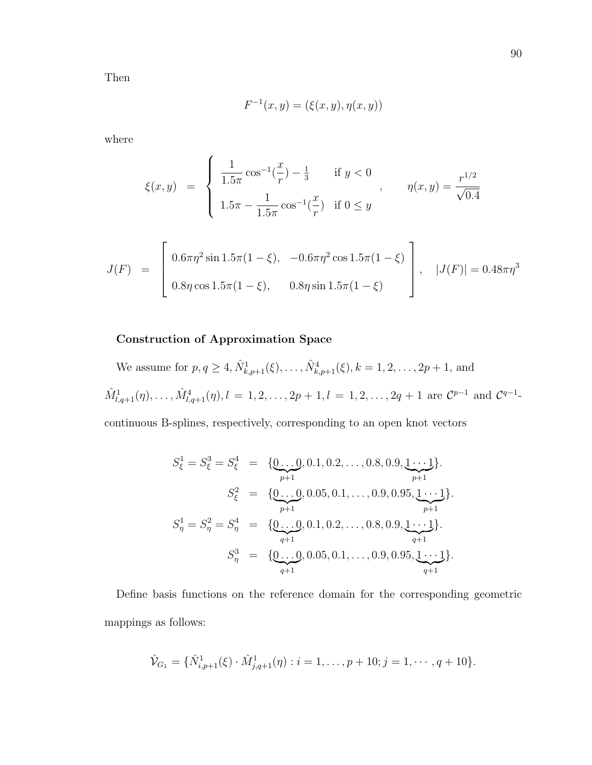Then

$$
F^{-1}(x, y) = (\xi(x, y), \eta(x, y))
$$

where

$$
\xi(x,y) = \begin{cases} \frac{1}{1.5\pi} \cos^{-1}(\frac{x}{r}) - \frac{1}{3} & \text{if } y < 0 \\ 1.5\pi - \frac{1}{1.5\pi} \cos^{-1}(\frac{x}{r}) & \text{if } 0 \le y \end{cases}, \quad \eta(x,y) = \frac{r^{1/2}}{\sqrt{0.4}}
$$

$$
J(F) = \begin{bmatrix} 0.6\pi\eta^2 \sin 1.5\pi (1 - \xi), & -0.6\pi\eta^2 \cos 1.5\pi (1 - \xi) \\ 0.8\eta \cos 1.5\pi (1 - \xi), & 0.8\eta \sin 1.5\pi (1 - \xi) \end{bmatrix}, \quad |J(F)| = 0.48\pi\eta^3
$$

### Construction of Approximation Space

We assume for  $p, q \ge 4$ ,  $\hat{N}_{k, p+1}^1(\xi), \ldots, \hat{N}_{k, p+1}^4(\xi), k = 1, 2, \ldots, 2p+1$ , and  $\hat{M}^1_{l,q+1}(\eta), \ldots, \hat{M}^4_{l,q+1}(\eta), l = 1, 2, \ldots, 2p+1, l = 1, 2, \ldots, 2q+1$  are  $\mathcal{C}^{p-1}$  and  $\mathcal{C}^{q-1}$ 

continuous B-splines, respectively, corresponding to an open knot vectors

$$
S_{\xi}^{1} = S_{\xi}^{3} = S_{\xi}^{4} = \{ \underbrace{0...0}_{p+1}, 0.1, 0.2, ..., 0.8, 0.9, \underbrace{1...1}_{p+1} \}.
$$
\n
$$
S_{\xi}^{2} = \{ \underbrace{0...0}_{p+1}, 0.05, 0.1, ..., 0.9, 0.95, \underbrace{1...1}_{p+1} \}.
$$
\n
$$
S_{\eta}^{1} = S_{\eta}^{2} = S_{\eta}^{4} = \{ \underbrace{0...0}_{q+1}, 0.1, 0.2, ..., 0.8, 0.9, \underbrace{1...1}_{q+1} \}.
$$
\n
$$
S_{\eta}^{3} = \{ \underbrace{0...0}_{q+1}, 0.05, 0.1, ..., 0.9, 0.95, \underbrace{1...1}_{q+1} \}.
$$

Define basis functions on the reference domain for the corresponding geometric mappings as follows:

$$
\hat{\mathcal{V}}_{G_1} = \{ \hat{N}_{i,p+1}^1(\xi) \cdot \hat{M}_{j,q+1}^1(\eta) : i = 1, \dots, p+10; j = 1, \dots, q+10 \}.
$$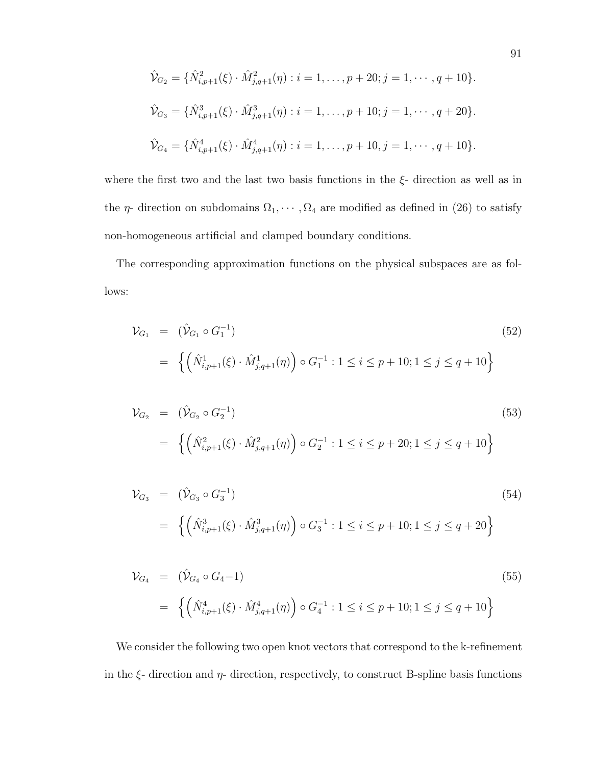$$
\hat{\mathcal{V}}_{G_2} = \{ \hat{N}_{i,p+1}^2(\xi) \cdot \hat{M}_{j,q+1}^2(\eta) : i = 1, \dots, p+20; j = 1, \dots, q+10 \}.
$$
  

$$
\hat{\mathcal{V}}_{G_3} = \{ \hat{N}_{i,p+1}^3(\xi) \cdot \hat{M}_{j,q+1}^3(\eta) : i = 1, \dots, p+10; j = 1, \dots, q+20 \}.
$$
  

$$
\hat{\mathcal{V}}_{G_4} = \{ \hat{N}_{i,p+1}^4(\xi) \cdot \hat{M}_{j,q+1}^4(\eta) : i = 1, \dots, p+10, j = 1, \dots, q+10 \}.
$$

where the first two and the last two basis functions in the  $\xi$ - direction as well as in the  $\eta$ - direction on subdomains  $\Omega_1, \cdots, \Omega_4$  are modified as defined in (26) to satisfy non-homogeneous artificial and clamped boundary conditions.

The corresponding approximation functions on the physical subspaces are as follows:

$$
\mathcal{V}_{G_1} = (\hat{\mathcal{V}}_{G_1} \circ G_1^{-1})
$$
\n
$$
= \left\{ \left( \hat{N}_{i,p+1}^1(\xi) \cdot \hat{M}_{j,q+1}^1(\eta) \right) \circ G_1^{-1} : 1 \le i \le p+10; 1 \le j \le q+10 \right\}
$$
\n(52)

$$
\mathcal{V}_{G_2} = (\hat{\mathcal{V}}_{G_2} \circ G_2^{-1})
$$
\n
$$
= \left\{ \left( \hat{N}_{i,p+1}^2(\xi) \cdot \hat{M}_{j,q+1}^2(\eta) \right) \circ G_2^{-1} : 1 \le i \le p+20; 1 \le j \le q+10 \right\}
$$
\n(53)

$$
\mathcal{V}_{G_3} = (\hat{\mathcal{V}}_{G_3} \circ G_3^{-1})
$$
\n
$$
= \left\{ \left( \hat{N}_{i,p+1}^3(\xi) \cdot \hat{M}_{j,q+1}^3(\eta) \right) \circ G_3^{-1} : 1 \le i \le p+10; 1 \le j \le q+20 \right\}
$$
\n(54)

$$
\mathcal{V}_{G_4} = (\hat{\mathcal{V}}_{G_4} \circ G_4 - 1)
$$
\n
$$
= \left\{ \left( \hat{N}_{i,p+1}^4(\xi) \cdot \hat{M}_{j,q+1}^4(\eta) \right) \circ G_4^{-1} : 1 \le i \le p+10; 1 \le j \le q+10 \right\}
$$
\n
$$
(55)
$$

We consider the following two open knot vectors that correspond to the k-refinement in the  $\xi$ - direction and  $\eta$ - direction, respectively, to construct B-spline basis functions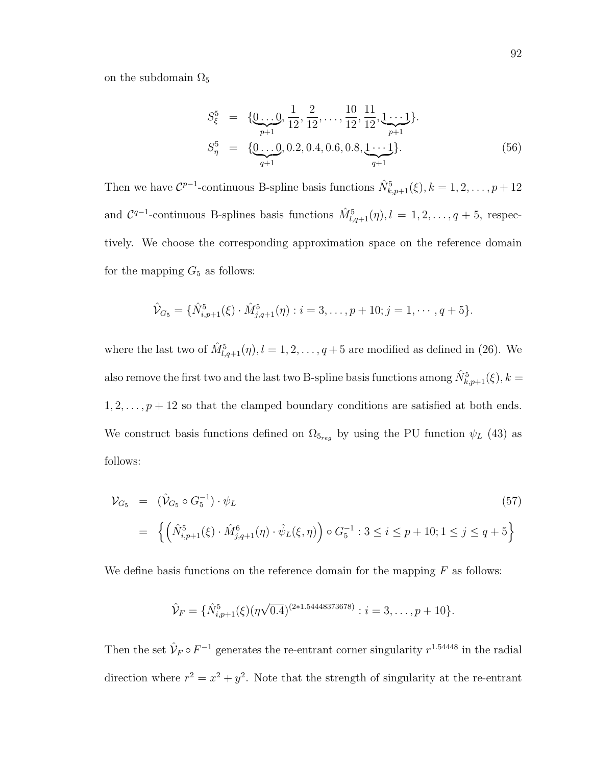on the subdomain  $\Omega_5$ 

$$
S_{\xi}^{5} = \{ \underbrace{0...0}_{p+1}, \underbrace{1}{12}, \underbrace{2}_{12}, \dots, \underbrace{10}_{12}, \underbrace{11}_{12}, \underbrace{1...1}_{p+1} \}.
$$
\n
$$
S_{\eta}^{5} = \{ \underbrace{0...0}_{q+1}, 0.2, 0.4, 0.6, 0.8, \underbrace{1...1}_{q+1} \}.
$$
\n(56)

Then we have  $\mathcal{C}^{p-1}$ -continuous B-spline basis functions  $\hat{N}_{k,p+1}^5(\xi)$ ,  $k = 1, 2, \ldots, p+12$ and  $C^{q-1}$ -continuous B-splines basis functions  $\hat{M}_{l,q+1}^5(\eta), l = 1, 2, \ldots, q+5$ , respectively. We choose the corresponding approximation space on the reference domain for the mapping  $G_5$  as follows:

$$
\hat{\mathcal{V}}_{G_5} = \{ \hat{N}_{i,p+1}^5(\xi) \cdot \hat{M}_{j,q+1}^5(\eta) : i = 3, \dots, p+10; j = 1, \dots, q+5 \}.
$$

where the last two of  $\hat{M}_{l,q+1}^5(\eta), l = 1, 2, \ldots, q+5$  are modified as defined in (26). We also remove the first two and the last two B-spline basis functions among  $\hat{N}^5_{k,p+1}(\xi), k =$  $1, 2, \ldots, p + 12$  so that the clamped boundary conditions are satisfied at both ends. We construct basis functions defined on  $\Omega_{5_{reg}}$  by using the PU function  $\psi_L$  (43) as follows:

$$
\mathcal{V}_{G_5} = (\hat{\mathcal{V}}_{G_5} \circ G_5^{-1}) \cdot \psi_L
$$
\n
$$
= \left\{ \left( \hat{N}_{i,p+1}^5(\xi) \cdot \hat{M}_{j,q+1}^6(\eta) \cdot \hat{\psi}_L(\xi,\eta) \right) \circ G_5^{-1} : 3 \le i \le p+10; 1 \le j \le q+5 \right\}
$$
\n
$$
(57)
$$

We define basis functions on the reference domain for the mapping  $F$  as follows:

$$
\hat{\mathcal{V}}_F = \{ \hat{N}_{i,p+1}^5(\xi) (\eta \sqrt{0.4})^{(2*1.54448373678)} : i = 3, \dots, p+10 \}.
$$

Then the set  $\hat{\mathcal{V}}_F \circ F^{-1}$  generates the re-entrant corner singularity  $r^{1.54448}$  in the radial direction where  $r^2 = x^2 + y^2$ . Note that the strength of singularity at the re-entrant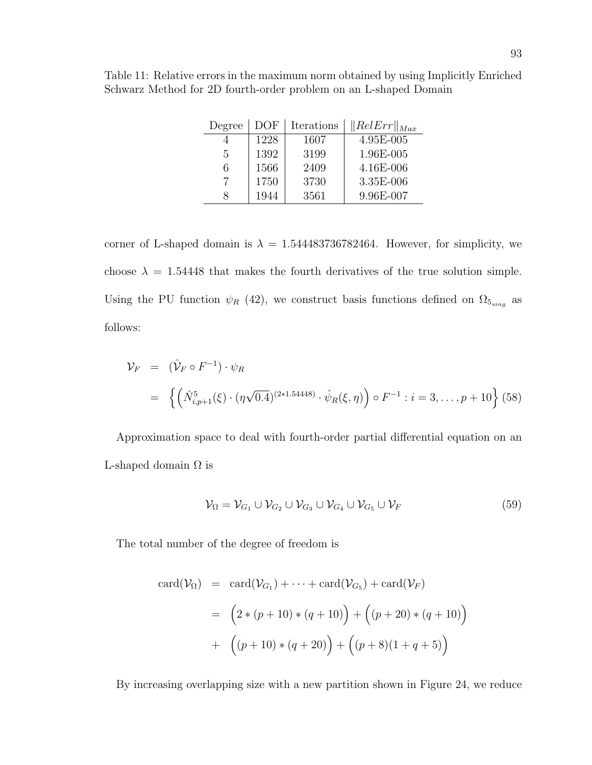| Degree | DOF  | Iterations | $\ RelErr\ _{Max}$ |
|--------|------|------------|--------------------|
|        | 1228 | 1607       | 4.95E-005          |
| 5      | 1392 | 3199       | 1.96E-005          |
| 6      | 1566 | 2409       | 4.16E-006          |
|        | 1750 | 3730       | 3.35E-006          |
| x      | 1944 | 3561       | 9.96E-007          |

Table 11: Relative errors in the maximum norm obtained by using Implicitly Enriched Schwarz Method for 2D fourth-order problem on an L-shaped Domain

corner of L-shaped domain is  $\lambda = 1.544483736782464$ . However, for simplicity, we choose  $\lambda = 1.54448$  that makes the fourth derivatives of the true solution simple. Using the PU function  $\psi_R$  (42), we construct basis functions defined on  $\Omega_{5_{sing}}$  as follows:

$$
\mathcal{V}_F = (\hat{V}_F \circ F^{-1}) \cdot \psi_R
$$
  
=  $\left\{ \left( \hat{N}_{i,p+1}^5(\xi) \cdot (\eta \sqrt{0.4})^{(2*1.54448)} \cdot \hat{\psi}_R(\xi, \eta) \right) \circ F^{-1} : i = 3, ..., p + 10 \right\}$  (58)

Approximation space to deal with fourth-order partial differential equation on an L-shaped domain  $\Omega$  is

$$
\mathcal{V}_{\Omega} = \mathcal{V}_{G_1} \cup \mathcal{V}_{G_2} \cup \mathcal{V}_{G_3} \cup \mathcal{V}_{G_4} \cup \mathcal{V}_{G_5} \cup \mathcal{V}_F
$$
\n
$$
(59)
$$

The total number of the degree of freedom is

$$
card(\mathcal{V}_{\Omega}) = card(\mathcal{V}_{G_1}) + \dots + card(\mathcal{V}_{G_5}) + card(\mathcal{V}_F)
$$
  
=  $(2 * (p + 10) * (q + 10)) + ((p + 20) * (q + 10))$   
+  $((p + 10) * (q + 20)) + ((p + 8)(1 + q + 5))$ 

By increasing overlapping size with a new partition shown in Figure 24, we reduce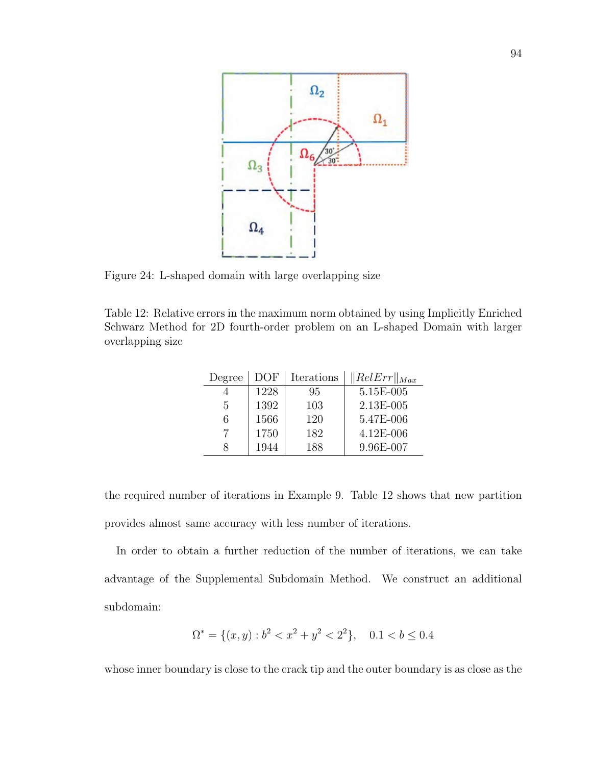

Figure 24: L-shaped domain with large overlapping size

Table 12: Relative errors in the maximum norm obtained by using Implicitly Enriched Schwarz Method for 2D fourth-order problem on an L-shaped Domain with larger overlapping size

| Degree | DOF  | Iterations | $\ RelErr\ _{Max}$ |
|--------|------|------------|--------------------|
|        | 1228 | 95         | 5.15E-005          |
| 5      | 1392 | 103        | 2.13E-005          |
| 6      | 1566 | 120        | 5.47E-006          |
|        | 1750 | 182        | 4.12E-006          |
|        | 1944 | 188        | 9.96E-007          |

the required number of iterations in Example 9. Table 12 shows that new partition provides almost same accuracy with less number of iterations.

In order to obtain a further reduction of the number of iterations, we can take advantage of the Supplemental Subdomain Method. We construct an additional subdomain:

$$
\Omega^* = \{(x, y) : b^2 < x^2 + y^2 < 2^2\}, \quad 0.1 < b \le 0.4
$$

whose inner boundary is close to the crack tip and the outer boundary is as close as the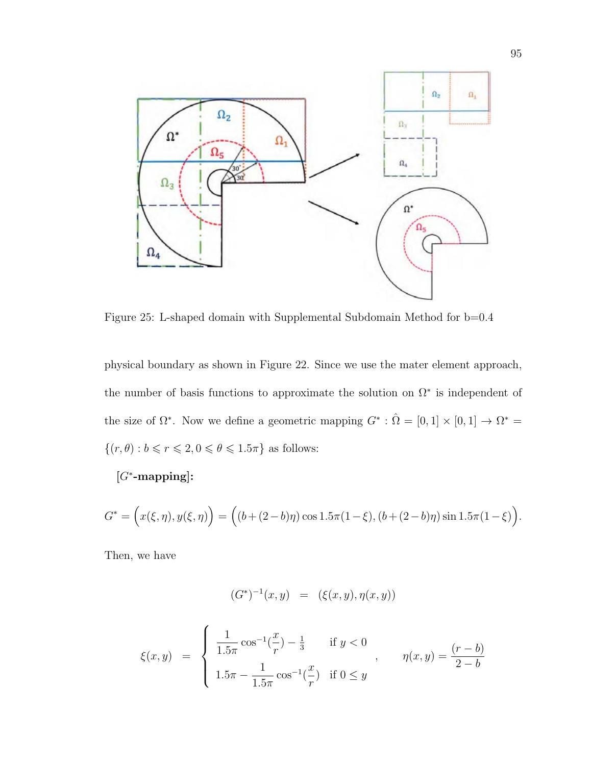

Figure 25: L-shaped domain with Supplemental Subdomain Method for b=0.4

physical boundary as shown in Figure 22. Since we use the mater element approach, the number of basis functions to approximate the solution on  $\Omega^*$  is independent of the size of  $\Omega^*$ . Now we define a geometric mapping  $G^* : \hat{\Omega} = [0,1] \times [0,1] \rightarrow \Omega^* =$  $\{(r, \theta): b \leqslant r \leqslant 2, 0 \leqslant \theta \leqslant 1.5\pi \}$  as follows:

[G<sup>∗</sup> -mapping]:

$$
G^* = \Big(x(\xi, \eta), y(\xi, \eta)\Big) = \Big((b + (2 - b)\eta)\cos 1.5\pi (1 - \xi), (b + (2 - b)\eta)\sin 1.5\pi (1 - \xi)\Big).
$$

Then, we have

$$
(G^*)^{-1}(x,y) = (\xi(x,y), \eta(x,y))
$$

$$
\xi(x,y) = \begin{cases} \frac{1}{1.5\pi} \cos^{-1}(\frac{x}{r}) - \frac{1}{3} & \text{if } y < 0 \\ 1.5\pi - \frac{1}{1.5\pi} \cos^{-1}(\frac{x}{r}) & \text{if } 0 \le y \end{cases}, \qquad \eta(x,y) = \frac{(r-b)}{2-b}
$$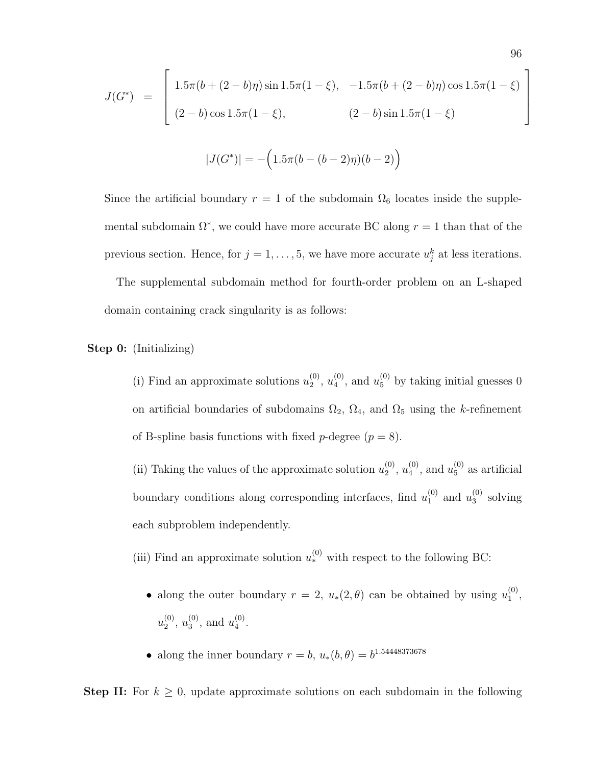$$
J(G^*) = \begin{bmatrix} 1.5\pi(b + (2 - b)\eta)\sin 1.5\pi(1 - \xi), & -1.5\pi(b + (2 - b)\eta)\cos 1.5\pi(1 - \xi) \\ (2 - b)\cos 1.5\pi(1 - \xi), & (2 - b)\sin 1.5\pi(1 - \xi) \end{bmatrix}
$$

$$
|J(G^*)| = -\big(1.5\pi(b - (b-2)\eta)(b-2)\big)
$$

Since the artificial boundary  $r = 1$  of the subdomain  $\Omega_6$  locates inside the supplemental subdomain  $\Omega^*$ , we could have more accurate BC along  $r = 1$  than that of the previous section. Hence, for  $j = 1, \ldots, 5$ , we have more accurate  $u_j^k$  at less iterations.

The supplemental subdomain method for fourth-order problem on an L-shaped domain containing crack singularity is as follows:

Step 0: (Initializing)

(i) Find an approximate solutions  $u_2^{(0)}$  $\binom{0}{2}, u_4^{(0)}$  $u_4^{(0)}$ , and  $u_5^{(0)}$  by taking initial guesses 0 on artificial boundaries of subdomains  $\Omega_2$ ,  $\Omega_4$ , and  $\Omega_5$  using the k-refinement of B-spline basis functions with fixed *p*-degree  $(p = 8)$ .

(ii) Taking the values of the approximate solution  $u_2^{(0)}$  $\stackrel{(0)}{2},u_4^{(0)}$  $\binom{0}{4}$ , and  $u_5^{(0)}$  $_5^{(0)}$  as artificial boundary conditions along corresponding interfaces, find  $u_1^{(0)}$  $_1^{(0)}$  and  $u_3^{(0)}$  $_3^{\left(0\right)}$  solving each subproblem independently.

(iii) Find an approximate solution  $u_*^{(0)}$  with respect to the following BC:

- along the outer boundary  $r = 2$ ,  $u_*(2, \theta)$  can be obtained by using  $u_1^{(0)}$  $\mathbf{1}^{(0)},$  $u_2^{(0)}$  $\binom{0}{2}, u_3^{(0)}$  $u_3^{(0)}$ , and  $u_4^{(0)}$  $\frac{(0)}{4}$ .
- along the inner boundary  $r = b$ ,  $u_*(b, \theta) = b^{1.54448373678}$

**Step II:** For  $k \geq 0$ , update approximate solutions on each subdomain in the following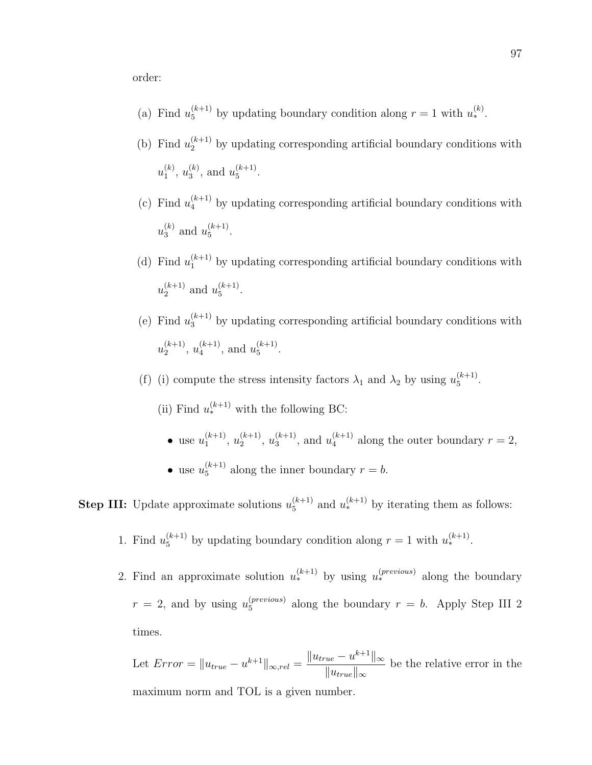order:

- (a) Find  $u_5^{(k+1)}$  by updating boundary condition along  $r = 1$  with  $u_*^{(k)}$ .
- (b) Find  $u_2^{(k+1)}$  by updating corresponding artificial boundary conditions with  $u_1^{(k)}$  $\binom{k}{1}, u_3^{(k)}$  $\binom{k}{3}$ , and  $u_5^{(k+1)}$  $\frac{(\kappa+1)}{5}$ .
- (c) Find  $u_4^{(k+1)}$  by updating corresponding artificial boundary conditions with  $u_3^{(k)}$  $\binom{k}{3}$  and  $u_5^{(k+1)}$  $\frac{(k+1)}{5}$ .
- (d) Find  $u_1^{(k+1)}$  by updating corresponding artificial boundary conditions with  $u_2^{(k+1)}$  $\binom{k+1}{2}$  and  $u_5^{(k+1)}$  $\frac{(\kappa+1)}{5}$ .
- (e) Find  $u_3^{(k+1)}$  by updating corresponding artificial boundary conditions with  $u_2^{(k+1)}$  $u_4^{(k+1)}, u_4^{(k+1)}$  $\binom{k+1}{4}$ , and  $u_5^{(k+1)}$  $\frac{(\kappa+1)}{5}$ .
- (f) (i) compute the stress intensity factors  $\lambda_1$  and  $\lambda_2$  by using  $u_5^{(k+1)}$  $\frac{(\kappa+1)}{5}$ .
	- (ii) Find  $u_*^{(k+1)}$  with the following BC:
		- use  $u_1^{(k+1)}$  $\binom{k+1}{1}, u_2^{(k+1)}$  $\binom{k+1}{2}, u_3^{(k+1)}$  $\binom{k+1}{3}$ , and  $u_4^{(k+1)}$  $a_4^{(k+1)}$  along the outer boundary  $r = 2$ , • use  $u_5^{(k+1)}$  $_5^{(k+1)}$  along the inner boundary  $r = b$ .

**Step III:** Update approximate solutions  $u_5^{(k+1)}$  $_5^{(k+1)}$  and  $u_*^{(k+1)}$  by iterating them as follows:

- 1. Find  $u_5^{(k+1)}$  by updating boundary condition along  $r = 1$  with  $u_*^{(k+1)}$ .
- 2. Find an approximate solution  $u_*^{(k+1)}$  by using  $u_*^{(previous)}$  along the boundary  $r = 2$ , and by using  $u_5^{(previous)}$  $_5^{(previous)}$  along the boundary  $r = b$ . Apply Step III 2 times.

Let 
$$
Error = ||u_{true} - u^{k+1}||_{\infty, rel} = \frac{||u_{true} - u^{k+1}||_{\infty}}{||u_{true}||_{\infty}}
$$
 be the relative error in the maximum norm and TOL is a given number.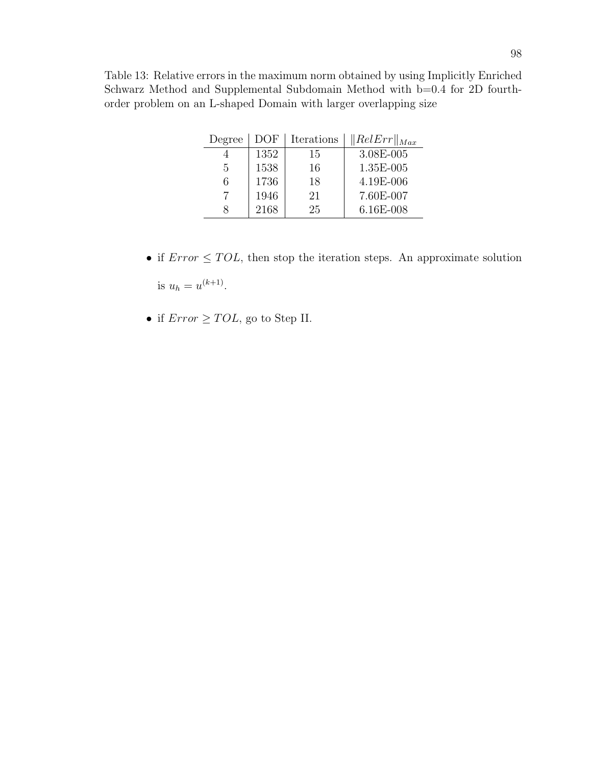Table 13: Relative errors in the maximum norm obtained by using Implicitly Enriched Schwarz Method and Supplemental Subdomain Method with b=0.4 for 2D fourthorder problem on an L-shaped Domain with larger overlapping size

| Degree | DOF  | Iterations | $\ RelErr\ _{Max}$ |
|--------|------|------------|--------------------|
|        | 1352 | 15         | 3.08E-005          |
| 5      | 1538 | 16         | 1.35E-005          |
| 6      | 1736 | 18         | 4.19E-006          |
|        | 1946 | 21         | 7.60E-007          |
|        | 2168 | 25         | 6.16E-008          |

- if  $Error \leq TOL$ , then stop the iteration steps. An approximate solution is  $u_h = u^{(k+1)}$ .
- if  $Error \geq TOL$ , go to Step II.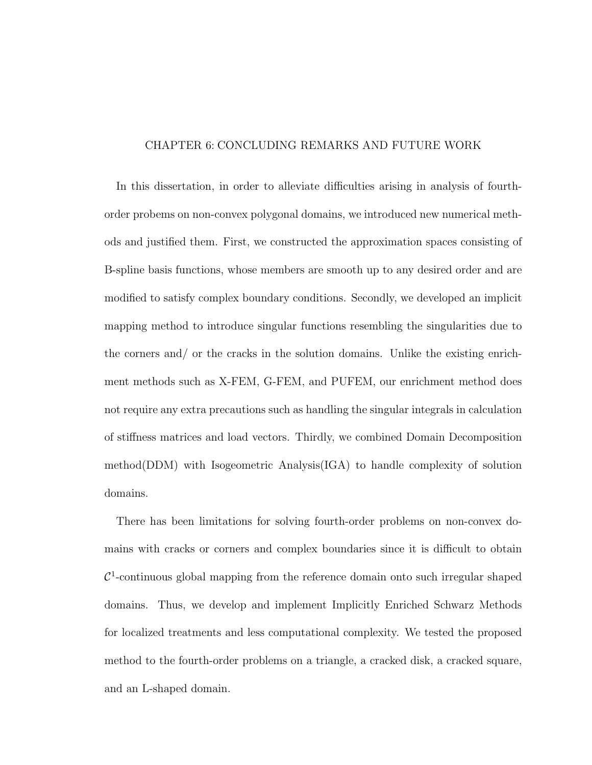## CHAPTER 6: CONCLUDING REMARKS AND FUTURE WORK

In this dissertation, in order to alleviate difficulties arising in analysis of fourthorder probems on non-convex polygonal domains, we introduced new numerical methods and justified them. First, we constructed the approximation spaces consisting of B-spline basis functions, whose members are smooth up to any desired order and are modified to satisfy complex boundary conditions. Secondly, we developed an implicit mapping method to introduce singular functions resembling the singularities due to the corners and/ or the cracks in the solution domains. Unlike the existing enrichment methods such as X-FEM, G-FEM, and PUFEM, our enrichment method does not require any extra precautions such as handling the singular integrals in calculation of stiffness matrices and load vectors. Thirdly, we combined Domain Decomposition method(DDM) with Isogeometric Analysis(IGA) to handle complexity of solution domains.

There has been limitations for solving fourth-order problems on non-convex domains with cracks or corners and complex boundaries since it is difficult to obtain  $\mathcal{C}^1$ -continuous global mapping from the reference domain onto such irregular shaped domains. Thus, we develop and implement Implicitly Enriched Schwarz Methods for localized treatments and less computational complexity. We tested the proposed method to the fourth-order problems on a triangle, a cracked disk, a cracked square, and an L-shaped domain.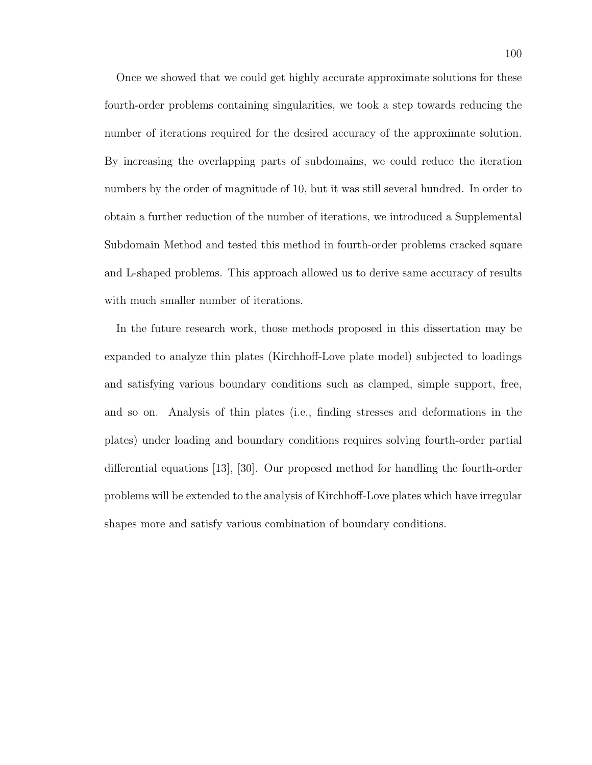Once we showed that we could get highly accurate approximate solutions for these fourth-order problems containing singularities, we took a step towards reducing the number of iterations required for the desired accuracy of the approximate solution. By increasing the overlapping parts of subdomains, we could reduce the iteration numbers by the order of magnitude of 10, but it was still several hundred. In order to obtain a further reduction of the number of iterations, we introduced a Supplemental Subdomain Method and tested this method in fourth-order problems cracked square and L-shaped problems. This approach allowed us to derive same accuracy of results with much smaller number of iterations.

In the future research work, those methods proposed in this dissertation may be expanded to analyze thin plates (Kirchhoff-Love plate model) subjected to loadings and satisfying various boundary conditions such as clamped, simple support, free, and so on. Analysis of thin plates (i.e., finding stresses and deformations in the plates) under loading and boundary conditions requires solving fourth-order partial differential equations [13], [30]. Our proposed method for handling the fourth-order problems will be extended to the analysis of Kirchhoff-Love plates which have irregular shapes more and satisfy various combination of boundary conditions.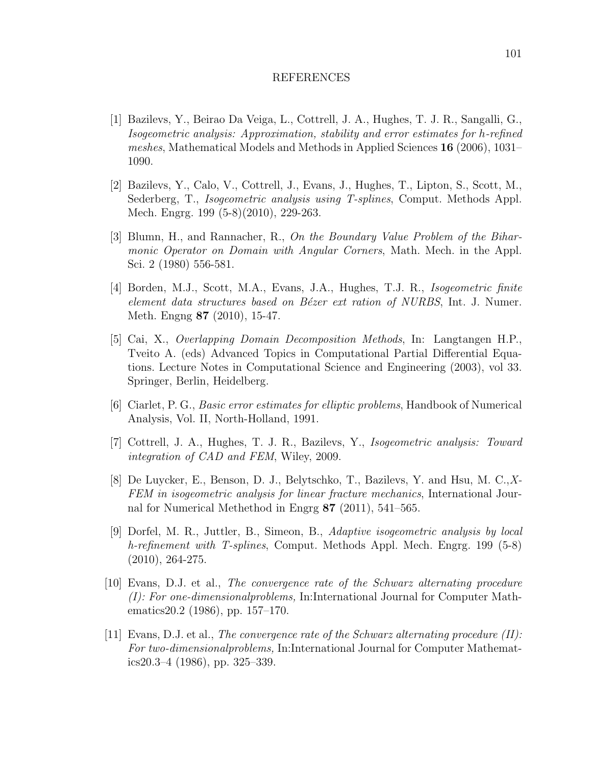## REFERENCES

- [1] Bazilevs, Y., Beirao Da Veiga, L., Cottrell, J. A., Hughes, T. J. R., Sangalli, G., Isogeometric analysis: Approximation, stability and error estimates for h-refined meshes, Mathematical Models and Methods in Applied Sciences 16 (2006), 1031– 1090.
- [2] Bazilevs, Y., Calo, V., Cottrell, J., Evans, J., Hughes, T., Lipton, S., Scott, M., Sederberg, T., Isogeometric analysis using T-splines, Comput. Methods Appl. Mech. Engrg. 199 (5-8)(2010), 229-263.
- [3] Blumn, H., and Rannacher, R., On the Boundary Value Problem of the Biharmonic Operator on Domain with Angular Corners, Math. Mech. in the Appl. Sci. 2 (1980) 556-581.
- [4] Borden, M.J., Scott, M.A., Evans, J.A., Hughes, T.J. R., Isogeometric finite element data structures based on Bézer ext ration of NURBS, Int. J. Numer. Meth. Engng 87 (2010), 15-47.
- [5] Cai, X., Overlapping Domain Decomposition Methods, In: Langtangen H.P., Tveito A. (eds) Advanced Topics in Computational Partial Differential Equations. Lecture Notes in Computational Science and Engineering (2003), vol 33. Springer, Berlin, Heidelberg.
- [6] Ciarlet, P. G., Basic error estimates for elliptic problems, Handbook of Numerical Analysis, Vol. II, North-Holland, 1991.
- [7] Cottrell, J. A., Hughes, T. J. R., Bazilevs, Y., Isogeometric analysis: Toward integration of CAD and FEM, Wiley, 2009.
- [8] De Luycker, E., Benson, D. J., Belytschko, T., Bazilevs, Y. and Hsu, M. C.,X-FEM in isogeometric analysis for linear fracture mechanics, International Journal for Numerical Methethod in Engrg 87 (2011), 541–565.
- [9] Dorfel, M. R., Juttler, B., Simeon, B., Adaptive isogeometric analysis by local h-refinement with T-splines, Comput. Methods Appl. Mech. Engrg. 199 (5-8) (2010), 264-275.
- [10] Evans, D.J. et al., The convergence rate of the Schwarz alternating procedure (I): For one-dimensionalproblems, In:International Journal for Computer Mathematics20.2 (1986), pp. 157–170.
- [11] Evans, D.J. et al., The convergence rate of the Schwarz alternating procedure  $(II)$ : For two-dimensionalproblems, In:International Journal for Computer Mathematics20.3–4 (1986), pp. 325–339.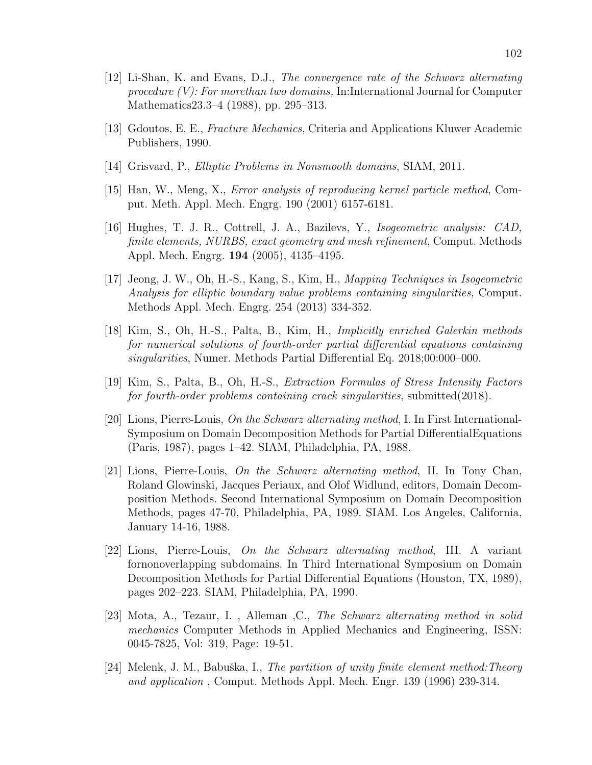- [12] Li-Shan, K. and Evans, D.J., The convergence rate of the Schwarz alternating procedure (V): For morethan two domains, In:International Journal for Computer Mathematics23.3–4 (1988), pp. 295–313.
- [13] Gdoutos, E. E., Fracture Mechanics, Criteria and Applications Kluwer Academic Publishers, 1990.
- [14] Grisvard, P., Elliptic Problems in Nonsmooth domains, SIAM, 2011.
- [15] Han, W., Meng, X., Error analysis of reproducing kernel particle method, Comput. Meth. Appl. Mech. Engrg. 190 (2001) 6157-6181.
- [16] Hughes, T. J. R., Cottrell, J. A., Bazilevs, Y., Isogeometric analysis: CAD, finite elements, NURBS, exact geometry and mesh refinement, Comput. Methods Appl. Mech. Engrg. 194 (2005), 4135–4195.
- [17] Jeong, J. W., Oh, H.-S., Kang, S., Kim, H., Mapping Techniques in Isogeometric Analysis for elliptic boundary value problems containing singularities, Comput. Methods Appl. Mech. Engrg. 254 (2013) 334-352.
- [18] Kim, S., Oh, H.-S., Palta, B., Kim, H., Implicitly enriched Galerkin methods for numerical solutions of fourth-order partial differential equations containing singularities, Numer. Methods Partial Differential Eq. 2018;00:000–000.
- [19] Kim, S., Palta, B., Oh, H.-S., Extraction Formulas of Stress Intensity Factors for fourth-order problems containing crack singularities, submitted(2018).
- [20] Lions, Pierre-Louis, On the Schwarz alternating method, I. In First International-Symposium on Domain Decomposition Methods for Partial DifferentialEquations (Paris, 1987), pages 1–42. SIAM, Philadelphia, PA, 1988.
- [21] Lions, Pierre-Louis, On the Schwarz alternating method, II. In Tony Chan, Roland Glowinski, Jacques Periaux, and Olof Widlund, editors, Domain Decomposition Methods. Second International Symposium on Domain Decomposition Methods, pages 47-70, Philadelphia, PA, 1989. SIAM. Los Angeles, California, January 14-16, 1988.
- [22] Lions, Pierre-Louis, On the Schwarz alternating method, III. A variant fornonoverlapping subdomains. In Third International Symposium on Domain Decomposition Methods for Partial Differential Equations (Houston, TX, 1989), pages 202–223. SIAM, Philadelphia, PA, 1990.
- [23] Mota, A., Tezaur, I. , Alleman ,C., The Schwarz alternating method in solid mechanics Computer Methods in Applied Mechanics and Engineering, ISSN: 0045-7825, Vol: 319, Page: 19-51.
- [24] Melenk, J. M., Babuška, I., The partition of unity finite element method: Theory and application , Comput. Methods Appl. Mech. Engr. 139 (1996) 239-314.